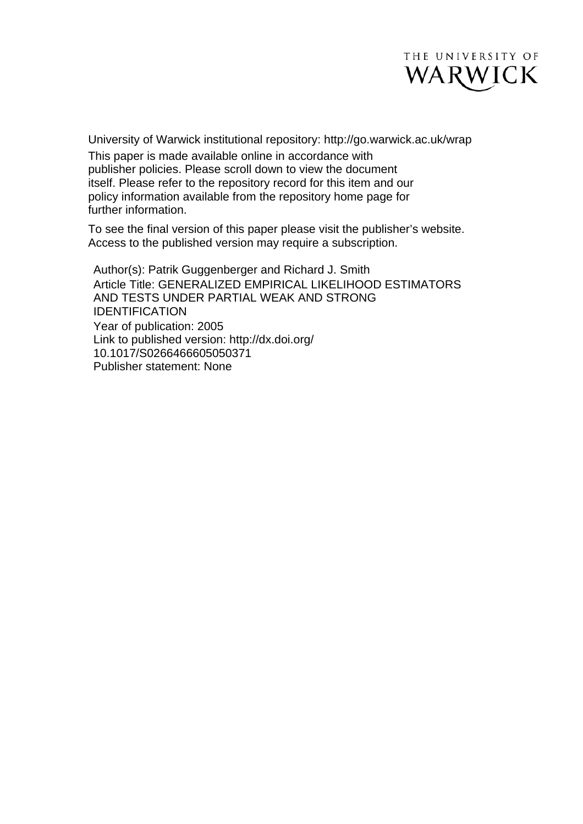

University of Warwick institutional repository: <http://go.warwick.ac.uk/wrap> This paper is made available online in accordance with publisher policies. Please scroll down to view the document itself. Please refer to the repository record for this item and our policy information available from the repository home page for further information.

To see the final version of this paper please visit the publisher's website. Access to the published version may require a subscription.

Author(s): Patrik Guggenberger and Richard J. Smith Article Title: GENERALIZED EMPIRICAL LIKELIHOOD ESTIMATORS AND TESTS UNDER PARTIAL WEAK AND STRONG IDENTIFICATION Year of publication: 2005 Link to published version: http://dx.doi.org/ 10.1017/S0266466605050371 Publisher statement: None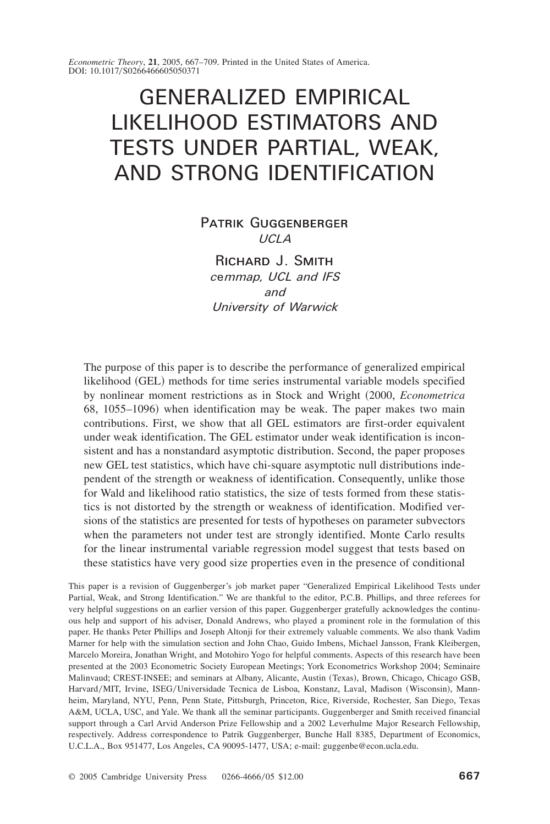*Econometric Theory*, 21, 2005, 667–709. Printed in the United States of America. DOI: 10.1017/S0266466605050371

# GENERALIZED EMPIRICAL LIKELIHOOD ESTIMATORS AND TESTS UNDER PARTIAL, WEAK, AND STRONG IDENTIFICATION

## PATRIK GUGGENBERGER

*UCLA*

RICHARD J. SMITH *c*e*mmap, UCL and IFS and University of Warwick*

The purpose of this paper is to describe the performance of generalized empirical likelihood (GEL) methods for time series instrumental variable models specified by nonlinear moment restrictions as in Stock and Wright ~2000, *Econometrica* 68,  $1055-1096$ ) when identification may be weak. The paper makes two main contributions. First, we show that all GEL estimators are first-order equivalent under weak identification. The GEL estimator under weak identification is inconsistent and has a nonstandard asymptotic distribution. Second, the paper proposes new GEL test statistics, which have chi-square asymptotic null distributions independent of the strength or weakness of identification. Consequently, unlike those for Wald and likelihood ratio statistics, the size of tests formed from these statistics is not distorted by the strength or weakness of identification. Modified versions of the statistics are presented for tests of hypotheses on parameter subvectors when the parameters not under test are strongly identified. Monte Carlo results for the linear instrumental variable regression model suggest that tests based on these statistics have very good size properties even in the presence of conditional

This paper is a revision of Guggenberger's job market paper "Generalized Empirical Likelihood Tests under Partial, Weak, and Strong Identification." We are thankful to the editor, P.C.B. Phillips, and three referees for very helpful suggestions on an earlier version of this paper. Guggenberger gratefully acknowledges the continuous help and support of his adviser, Donald Andrews, who played a prominent role in the formulation of this paper. He thanks Peter Phillips and Joseph Altonji for their extremely valuable comments. We also thank Vadim Marner for help with the simulation section and John Chao, Guido Imbens, Michael Jansson, Frank Kleibergen, Marcelo Moreira, Jonathan Wright, and Motohiro Yogo for helpful comments. Aspects of this research have been presented at the 2003 Econometric Society European Meetings; York Econometrics Workshop 2004; Seminaire Malinvaud; CREST-INSEE; and seminars at Albany, Alicante, Austin (Texas), Brown, Chicago, Chicago GSB, Harvard/MIT, Irvine, ISEG/Universidade Tecnica de Lisboa, Konstanz, Laval, Madison (Wisconsin), Mannheim, Maryland, NYU, Penn, Penn State, Pittsburgh, Princeton, Rice, Riverside, Rochester, San Diego, Texas A&M, UCLA, USC, and Yale. We thank all the seminar participants. Guggenberger and Smith received financial support through a Carl Arvid Anderson Prize Fellowship and a 2002 Leverhulme Major Research Fellowship, respectively. Address correspondence to Patrik Guggenberger, Bunche Hall 8385, Department of Economics, U.C.L.A., Box 951477, Los Angeles, CA 90095-1477, USA; e-mail: guggenbe@econ.ucla.edu.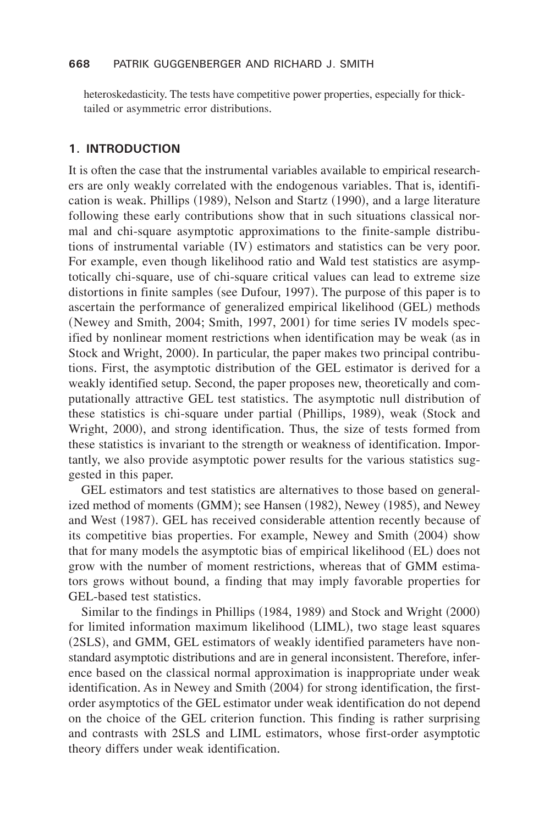#### **668** PATRIK GUGGENBERGER AND RICHARD J. SMITH

heteroskedasticity. The tests have competitive power properties, especially for thicktailed or asymmetric error distributions.

#### **1. INTRODUCTION**

It is often the case that the instrumental variables available to empirical researchers are only weakly correlated with the endogenous variables. That is, identification is weak. Phillips  $(1989)$ , Nelson and Startz  $(1990)$ , and a large literature following these early contributions show that in such situations classical normal and chi-square asymptotic approximations to the finite-sample distributions of instrumental variable  $(IV)$  estimators and statistics can be very poor. For example, even though likelihood ratio and Wald test statistics are asymptotically chi-square, use of chi-square critical values can lead to extreme size distortions in finite samples (see Dufour, 1997). The purpose of this paper is to ascertain the performance of generalized empirical likelihood (GEL) methods (Newey and Smith, 2004; Smith, 1997, 2001) for time series IV models specified by nonlinear moment restrictions when identification may be weak (as in Stock and Wright, 2000). In particular, the paper makes two principal contributions+ First, the asymptotic distribution of the GEL estimator is derived for a weakly identified setup. Second, the paper proposes new, theoretically and computationally attractive GEL test statistics. The asymptotic null distribution of these statistics is chi-square under partial  $(Phillips, 1989)$ , weak  $(Stock and$ Wright, 2000), and strong identification. Thus, the size of tests formed from these statistics is invariant to the strength or weakness of identification. Importantly, we also provide asymptotic power results for the various statistics suggested in this paper.

GEL estimators and test statistics are alternatives to those based on generalized method of moments  $(GMM)$ ; see Hansen  $(1982)$ , Newey  $(1985)$ , and Newey and West (1987). GEL has received considerable attention recently because of its competitive bias properties. For example, Newey and Smith  $(2004)$  show that for many models the asymptotic bias of empirical likelihood (EL) does not grow with the number of moment restrictions, whereas that of GMM estimators grows without bound, a finding that may imply favorable properties for GEL-based test statistics.

Similar to the findings in Phillips (1984, 1989) and Stock and Wright (2000) for limited information maximum likelihood (LIML), two stage least squares (2SLS), and GMM, GEL estimators of weakly identified parameters have nonstandard asymptotic distributions and are in general inconsistent. Therefore, inference based on the classical normal approximation is inappropriate under weak identification. As in Newey and Smith  $(2004)$  for strong identification, the firstorder asymptotics of the GEL estimator under weak identification do not depend on the choice of the GEL criterion function. This finding is rather surprising and contrasts with 2SLS and LIML estimators, whose first-order asymptotic theory differs under weak identification.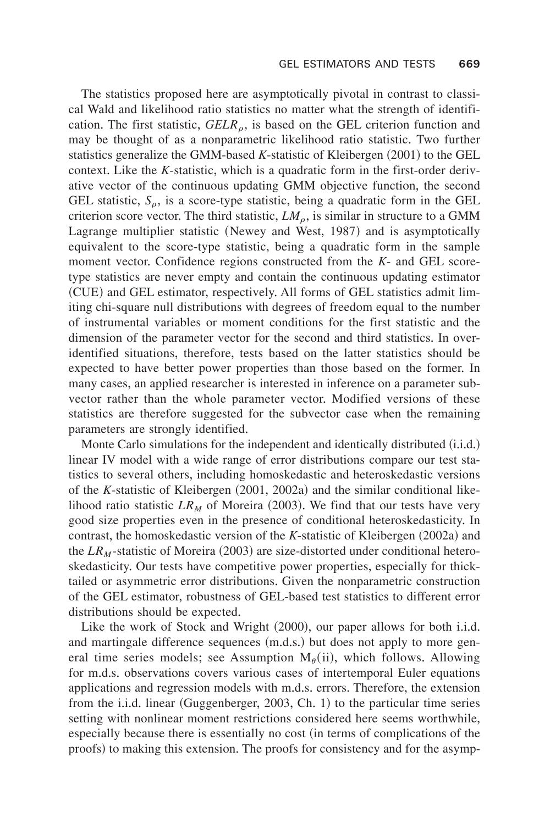The statistics proposed here are asymptotically pivotal in contrast to classical Wald and likelihood ratio statistics no matter what the strength of identification. The first statistic,  $GELR_o$ , is based on the GEL criterion function and may be thought of as a nonparametric likelihood ratio statistic. Two further statistics generalize the GMM-based *K*-statistic of Kleibergen (2001) to the GEL context. Like the *K*-statistic, which is a quadratic form in the first-order derivative vector of the continuous updating GMM objective function, the second GEL statistic,  $S_\rho$ , is a score-type statistic, being a quadratic form in the GEL criterion score vector. The third statistic,  $LM_\rho$ , is similar in structure to a GMM Lagrange multiplier statistic (Newey and West, 1987) and is asymptotically equivalent to the score-type statistic, being a quadratic form in the sample moment vector. Confidence regions constructed from the *K*- and GEL scoretype statistics are never empty and contain the continuous updating estimator (CUE) and GEL estimator, respectively. All forms of GEL statistics admit limiting chi-square null distributions with degrees of freedom equal to the number of instrumental variables or moment conditions for the first statistic and the dimension of the parameter vector for the second and third statistics. In overidentified situations, therefore, tests based on the latter statistics should be expected to have better power properties than those based on the former. In many cases, an applied researcher is interested in inference on a parameter subvector rather than the whole parameter vector. Modified versions of these statistics are therefore suggested for the subvector case when the remaining parameters are strongly identified.

Monte Carlo simulations for the independent and identically distributed  $(i.i.d.)$ linear IV model with a wide range of error distributions compare our test statistics to several others, including homoskedastic and heteroskedastic versions of the *K*-statistic of Kleibergen  $(2001, 2002a)$  and the similar conditional likelihood ratio statistic  $LR_M$  of Moreira (2003). We find that our tests have very good size properties even in the presence of conditional heteroskedasticity. In contrast, the homoskedastic version of the *K*-statistic of Kleibergen (2002a) and the  $LR_M$ -statistic of Moreira (2003) are size-distorted under conditional heteroskedasticity. Our tests have competitive power properties, especially for thicktailed or asymmetric error distributions+ Given the nonparametric construction of the GEL estimator, robustness of GEL-based test statistics to different error distributions should be expected.

Like the work of Stock and Wright  $(2000)$ , our paper allows for both i.i.d. and martingale difference sequences  $(m.d.s.)$  but does not apply to more general time series models; see Assumption  $M_\theta(ii)$ , which follows. Allowing for m.d.s. observations covers various cases of intertemporal Euler equations applications and regression models with m,d,s, errors. Therefore, the extension from the i.i.d. linear (Guggenberger, 2003, Ch. 1) to the particular time series setting with nonlinear moment restrictions considered here seems worthwhile, especially because there is essentially no cost (in terms of complications of the proofs) to making this extension. The proofs for consistency and for the asymp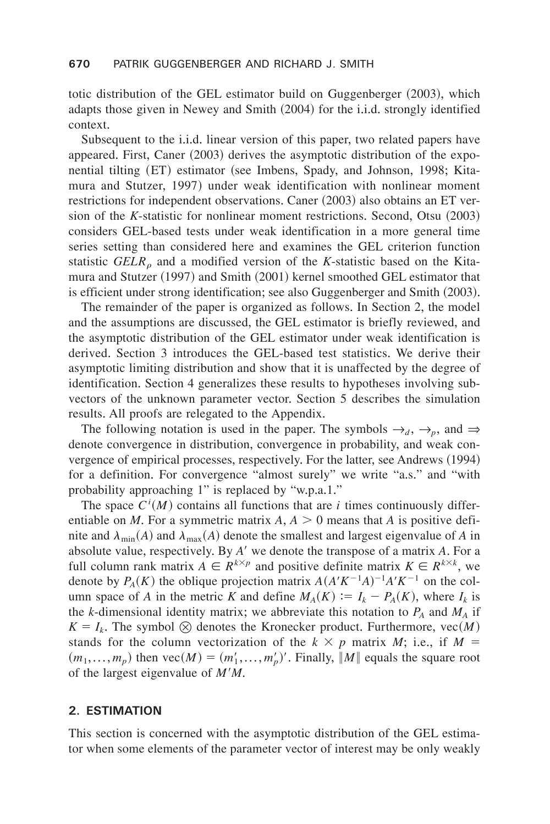totic distribution of the GEL estimator build on Guggenberger (2003), which adapts those given in Newey and Smith  $(2004)$  for the i.i.d. strongly identified context.

Subsequent to the i.i.d. linear version of this paper, two related papers have appeared. First, Caner  $(2003)$  derives the asymptotic distribution of the exponential tilting (ET) estimator (see Imbens, Spady, and Johnson, 1998; Kitamura and Stutzer, 1997) under weak identification with nonlinear moment restrictions for independent observations. Caner  $(2003)$  also obtains an ET version of the *K*-statistic for nonlinear moment restrictions. Second, Otsu (2003) considers GEL-based tests under weak identification in a more general time series setting than considered here and examines the GEL criterion function statistic *GELR*<sub> $\alpha$ </sub> and a modified version of the *K*-statistic based on the Kitamura and Stutzer  $(1997)$  and Smith  $(2001)$  kernel smoothed GEL estimator that is efficient under strong identification; see also Guggenberger and Smith  $(2003)$ .

The remainder of the paper is organized as follows. In Section 2, the model and the assumptions are discussed, the GEL estimator is briefly reviewed, and the asymptotic distribution of the GEL estimator under weak identification is derived. Section 3 introduces the GEL-based test statistics. We derive their asymptotic limiting distribution and show that it is unaffected by the degree of identification. Section 4 generalizes these results to hypotheses involving subvectors of the unknown parameter vector. Section 5 describes the simulation results. All proofs are relegated to the Appendix.

The following notation is used in the paper. The symbols  $\rightarrow_d$ ,  $\rightarrow_p$ , and  $\Rightarrow$ denote convergence in distribution, convergence in probability, and weak convergence of empirical processes, respectively. For the latter, see Andrews (1994) for a definition. For convergence "almost surely" we write "a.s." and "with probability approaching  $1$ " is replaced by "w.p.a.1."

The space  $C^{i}(M)$  contains all functions that are *i* times continuously differentiable on *M*. For a symmetric matrix  $A$ ,  $A > 0$  means that *A* is positive definite and  $\lambda_{\min}(A)$  and  $\lambda_{\max}(A)$  denote the smallest and largest eigenvalue of *A* in absolute value, respectively. By *A'* we denote the transpose of a matrix *A*. For a full column rank matrix  $A \in \mathbb{R}^{k \times p}$  and positive definite matrix  $K \in \mathbb{R}^{k \times k}$ , we denote by  $P_A(K)$  the oblique projection matrix  $A(A'K^{-1}A)^{-1}A'K^{-1}$  on the column space of *A* in the metric *K* and define  $M_A(K) := I_k - P_A(K)$ , where  $I_k$  is the *k*-dimensional identity matrix; we abbreviate this notation to  $P_A$  and  $M_A$  if  $K = I_k$ . The symbol  $\otimes$  denotes the Kronecker product. Furthermore, vec $(M)$ stands for the column vectorization of the  $k \times p$  matrix *M*; i.e., if  $M =$  $(m_1,..., m_p)$  then  $\text{vec}(M) = (m'_1,..., m'_p)'$ . Finally,  $\|M\|$  equals the square root of the largest eigenvalue of  $M'M$ .

#### **2. ESTIMATION**

This section is concerned with the asymptotic distribution of the GEL estimator when some elements of the parameter vector of interest may be only weakly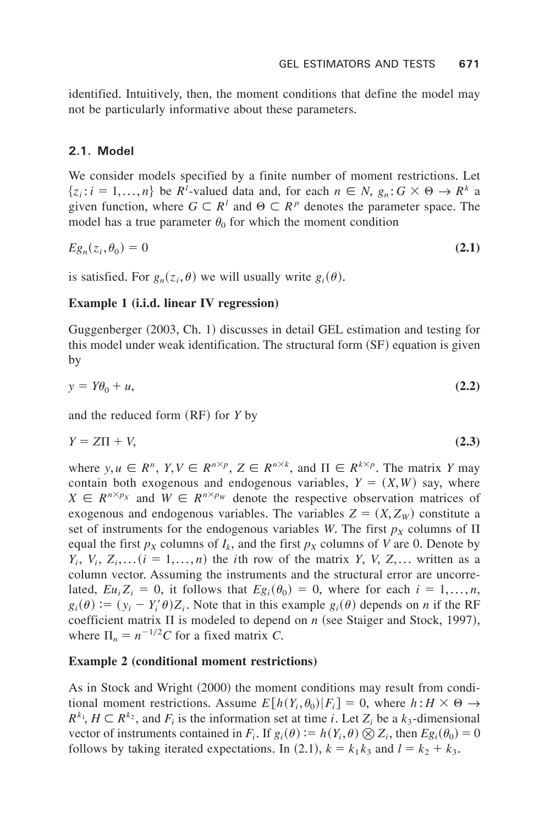identified. Intuitively, then, the moment conditions that define the model may not be particularly informative about these parameters.

## **2.1. Model**

We consider models specified by a finite number of moment restrictions. Let  $\{z_i : i = 1,..., n\}$  be  $R^i$ -valued data and, for each  $n \in N$ ,  $g_n : G \times \Theta \to R^k$  a given function, where  $G \subset R^l$  and  $\Theta \subset R^p$  denotes the parameter space. The model has a true parameter  $\theta_0$  for which the moment condition

$$
Eg_n(z_i, \theta_0) = 0 \tag{2.1}
$$

is satisfied. For  $g_n(z_i, \theta)$  we will usually write  $g_i(\theta)$ .

## **Example 1 (i.i.d. linear IV regression)**

Guggenberger (2003, Ch. 1) discusses in detail GEL estimation and testing for this model under weak identification. The structural form  $(SF)$  equation is given by

$$
y = Y\theta_0 + u,\tag{2.2}
$$

and the reduced form  $(RF)$  for *Y* by

$$
Y = Z\Pi + V,\tag{2.3}
$$

where  $y, u \in R^n$ ,  $Y, V \in R^{n \times p}$ ,  $Z \in R^{n \times k}$ , and  $\Pi \in R^{k \times p}$ . The matrix *Y* may contain both exogenous and endogenous variables,  $Y = (X, W)$  say, where  $X \in R^{n \times p_X}$  and  $W \in R^{n \times p_W}$  denote the respective observation matrices of exogenous and endogenous variables. The variables  $Z = (X, Z_W)$  constitute a set of instruments for the endogenous variables *W*. The first  $p<sub>X</sub>$  columns of  $\Pi$ equal the first  $p_X$  columns of  $I_k$ , and the first  $p_X$  columns of *V* are 0. Denote by  $Y_i$ ,  $V_i$ ,  $Z_i$ ,... $(i = 1,...,n)$  the *i*th row of the matrix *Y*, *V*, *Z*,... written as a column vector. Assuming the instruments and the structural error are uncorrelated,  $E_{u_i}Z_i = 0$ , it follows that  $E_{g_i}(\theta_0) = 0$ , where for each  $i = 1,...,n$ ,  $g_i(\theta) := (y_i - Y'_i \theta) Z_i$ . Note that in this example  $g_i(\theta)$  depends on *n* if the RF coefficient matrix  $\Pi$  is modeled to depend on *n* (see Staiger and Stock, 1997), where  $\Pi_n = n^{-1/2}C$  for a fixed matrix *C*.

## **Example 2 (conditional moment restrictions)**

As in Stock and Wright  $(2000)$  the moment conditions may result from conditional moment restrictions. Assume  $E[h(Y_i, \theta_0)|F_i] = 0$ , where  $h: H \times \Theta \rightarrow$  $R^{k_1}$ ,  $H \subset R^{k_2}$ , and  $F_i$  is the information set at time *i*. Let  $Z_i$  be a  $k_3$ -dimensional vector of instruments contained in  $F_i$ . If  $g_i(\theta) := h(Y_i, \theta) \otimes Z_i$ , then  $E g_i(\theta_0) = 0$ follows by taking iterated expectations. In (2.1),  $k = k_1 k_3$  and  $l = k_2 + k_3$ .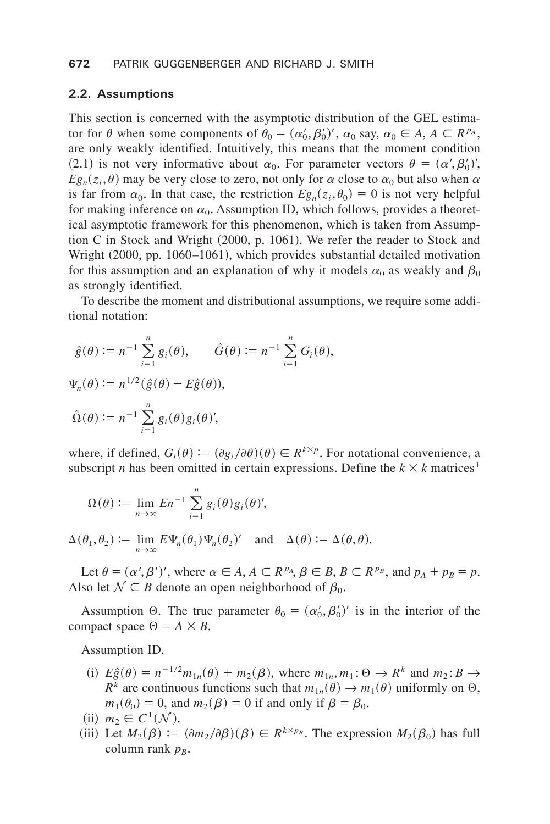#### **672** PATRIK GUGGENBERGER AND RICHARD J. SMITH

#### **2.2. Assumptions**

This section is concerned with the asymptotic distribution of the GEL estimator for  $\theta$  when some components of  $\theta_0 = (\alpha'_0, \beta'_0)'$ ,  $\alpha_0$  say,  $\alpha_0 \in A$ ,  $A \subset R^{p_A}$ , are only weakly identified. Intuitively, this means that the moment condition (2.1) is not very informative about  $\alpha_0$ . For parameter vectors  $\theta = (\alpha', \beta_0')'$ ,  $E_{\mathcal{S}_n}(z_i, \theta)$  may be very close to zero, not only for  $\alpha$  close to  $\alpha_0$  but also when  $\alpha$ is far from  $\alpha_0$ . In that case, the restriction  $Eg_n(z_i, \theta_0) = 0$  is not very helpful for making inference on  $\alpha_0$ . Assumption ID, which follows, provides a theoretical asymptotic framework for this phenomenon, which is taken from Assumption C in Stock and Wright  $(2000, p, 1061)$ . We refer the reader to Stock and Wright (2000, pp. 1060–1061), which provides substantial detailed motivation for this assumption and an explanation of why it models  $\alpha_0$  as weakly and  $\beta_0$ as strongly identified.

To describe the moment and distributional assumptions, we require some additional notation:

$$
\hat{g}(\theta) := n^{-1} \sum_{i=1}^{n} g_i(\theta), \qquad \hat{G}(\theta) := n^{-1} \sum_{i=1}^{n} G_i(\theta),
$$
  

$$
\Psi_n(\theta) := n^{1/2} (\hat{g}(\theta) - E\hat{g}(\theta)),
$$
  

$$
\hat{\Omega}(\theta) := n^{-1} \sum_{i=1}^{n} g_i(\theta) g_i(\theta),
$$

where, if defined,  $G_i(\theta) := (\partial g_i/\partial \theta)(\theta) \in R^{k \times p}$ . For notational convenience, a subscript *n* has been omitted in certain expressions. Define the  $k \times k$  matrices<sup>1</sup>

$$
\Omega(\theta) := \lim_{n \to \infty} En^{-1} \sum_{i=1}^n g_i(\theta) g_i(\theta),
$$

$$
\Delta(\theta_1, \theta_2) := \lim_{n \to \infty} E \Psi_n(\theta_1) \Psi_n(\theta_2) \quad \text{and} \quad \Delta(\theta) := \Delta(\theta, \theta).
$$

Let  $\theta = (\alpha', \beta')'$ , where  $\alpha \in A$ ,  $A \subset R^{p_A}$ ,  $\beta \in B$ ,  $B \subset R^{p_B}$ , and  $p_A + p_B = p$ . Also let  $N \subset B$  denote an open neighborhood of  $\beta_0$ .

Assumption  $\Theta$ . The true parameter  $\theta_0 = (\alpha'_0, \beta'_0)'$  is in the interior of the compact space  $\Theta = A \times B$ .

Assumption ID.

- (i)  $E_{\hat{g}}(\theta) = n^{-1/2} m_{1n}(\theta) + m_2(\beta)$ , where  $m_{1n}, m_1: \Theta \rightarrow R^k$  and  $m_2: B \rightarrow$  $R^k$  are continuous functions such that  $m_{1n}(\theta) \rightarrow m_1(\theta)$  uniformly on  $\Theta$ ,  $m_1(\theta_0) = 0$ , and  $m_2(\beta) = 0$  if and only if  $\beta = \beta_0$ .
- $(i)$   $m_2 \in C^1(\mathcal{N})$ .
- (iii) Let  $M_2(\beta) := (\partial m_2/\partial \beta)(\beta) \in R^{k \times p_B}$ . The expression  $M_2(\beta_0)$  has full column rank  $p_B$ .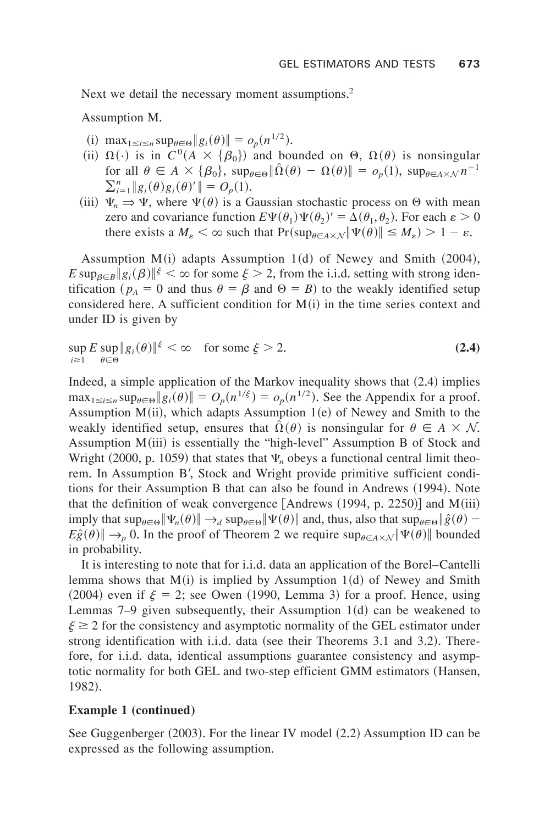Next we detail the necessary moment assumptions.<sup>2</sup>

Assumption M.

- (i)  $\max_{1 \le i \le n} \sup_{\theta \in \Theta} \|g_i(\theta)\| = o_p(n^{1/2}).$
- (ii)  $\Omega(\cdot)$  is in  $C^0(A \times {\{\beta_0\}})$  and bounded on  $\Theta$ ,  $\Omega(\theta)$  is nonsingular for all  $\theta \in A \times {\{\beta_0\}}, \sup_{\theta \in \Theta} \|\hat{\Omega}(\theta) - \Omega(\theta)\| = o_p(1), \sup_{\theta \in A \times \mathcal{N}} n^{-1}$  $\sum_{i=1}^{n} \|g_i(\theta)g_i(\theta)'\| = O_p(1).$
- (iii)  $\Psi_n \Rightarrow \Psi$ , where  $\Psi(\theta)$  is a Gaussian stochastic process on  $\Theta$  with mean zero and covariance function  $E\Psi(\theta_1)\Psi(\theta_2)' = \Delta(\theta_1, \theta_2)$ . For each  $\varepsilon > 0$ there exists a  $M_{\varepsilon} < \infty$  such that  $Pr(\sup_{\theta \in A \times \mathcal{N}} || \Psi(\theta) || \leq M_{\varepsilon}) > 1 - \varepsilon$ .

Assumption  $M(i)$  adapts Assumption 1(d) of Newey and Smith  $(2004)$ ,  $E \sup_{\beta \in B} |g_i(\beta)|^{\xi} < \infty$  for some  $\xi > 2$ , from the i.i.d. setting with strong identification ( $p_A = 0$  and thus  $\theta = \beta$  and  $\theta = B$ ) to the weakly identified setup considered here. A sufficient condition for  $M(i)$  in the time series context and under ID is given by

$$
\sup_{i\geq 1} E \sup_{\theta \in \Theta} \|g_i(\theta)\|^{\xi} < \infty \quad \text{for some } \xi > 2. \tag{2.4}
$$

Indeed, a simple application of the Markov inequality shows that  $(2.4)$  implies  $\max_{1 \le i \le n} \sup_{\theta \in \Theta} \|g_i(\theta)\| = O_p(n^{1/\xi}) = o_p(n^{1/2})$ . See the Appendix for a proof. Assumption  $M(ii)$ , which adapts Assumption 1 $(e)$  of Newey and Smith to the weakly identified setup, ensures that  $\hat{\Omega}(\theta)$  is nonsingular for  $\theta \in A \times N$ . Assumption  $M(iii)$  is essentially the "high-level" Assumption B of Stock and Wright (2000, p. 1059) that states that  $\Psi_n$  obeys a functional central limit theorem. In Assumption B', Stock and Wright provide primitive sufficient conditions for their Assumption B that can also be found in Andrews (1994). Note that the definition of weak convergence  $[Andrews (1994, p. 2250)]$  and  $M(iii)$ imply that  $\sup_{\theta \in \Theta} \|\Psi_n(\theta)\| \to_d \sup_{\theta \in \Theta} \|\Psi(\theta)\|$  and, thus, also that  $\sup_{\theta \in \Theta} \|\hat{g}(\theta) - g(\theta)\|$  $E\hat{g}(\theta)$   $\rightarrow$  *p* 0. In the proof of Theorem 2 we require sup<sub> $\theta \in A \times N$ </sub>  $\|\Psi(\theta)\|$  bounded in probability.

It is interesting to note that for i.i.d. data an application of the Borel–Cantelli lemma shows that  $M(i)$  is implied by Assumption 1(d) of Newey and Smith (2004) even if  $\xi = 2$ ; see Owen (1990, Lemma 3) for a proof. Hence, using Lemmas  $7-9$  given subsequently, their Assumption 1 $(d)$  can be weakened to  $\xi \geq 2$  for the consistency and asymptotic normality of the GEL estimator under strong identification with i.i.d. data (see their Theorems 3.1 and 3.2). Therefore, for i.i.d. data, identical assumptions guarantee consistency and asymptotic normality for both GEL and two-step efficient GMM estimators (Hansen, 1982).

#### **Example 1 (continued)**

See Guggenberger  $(2003)$ . For the linear IV model  $(2.2)$  Assumption ID can be expressed as the following assumption.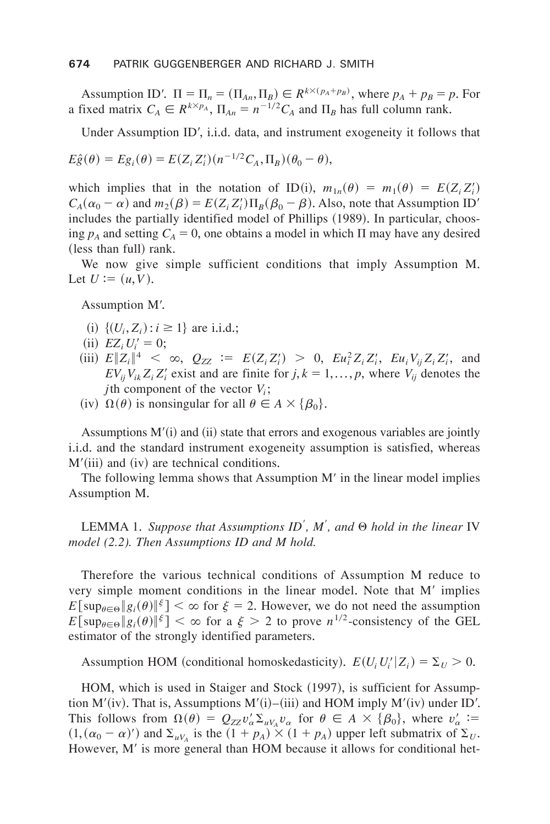Assumption ID'.  $\Pi = \Pi_n = (\Pi_{An}, \Pi_B) \in R^{k \times (p_A + p_B)}$ , where  $p_A + p_B = p$ . For a fixed matrix  $C_A \in R^{k \times p_A}$ ,  $\Pi_{An} = n^{-1/2} C_A$  and  $\Pi_B$  has full column rank.

Under Assumption ID', i.i.d. data, and instrument exogeneity it follows that

$$
E\hat{g}(\theta) = Eg_i(\theta) = E(Z_i Z_i')(n^{-1/2}C_A, \Pi_B)(\theta_0 - \theta),
$$

which implies that in the notation of ID(i),  $m_{1n}(\theta) = m_1(\theta) = E(Z_i Z'_i)$  $C_A(\alpha_0 - \alpha)$  and  $m_2(\beta) = E(Z_i Z_i') \Pi_B(\beta_0 - \beta)$ . Also, note that Assumption ID'  $includes the partially identified model of Phillips (1989). In particular, choos$ ing  $p_A$  and setting  $C_A = 0$ , one obtains a model in which  $\Pi$  may have any desired (less than full) rank.

We now give simple sufficient conditions that imply Assumption M. Let  $U := (u, V)$ .

Assumption M'.

- $(i) \{(U_i, Z_i) : i \geq 1\}$  are i.i.d.;
- (ii)  $EZ_i U_i' = 0;$
- (iii)  $E\|Z_i\|^4 < \infty$ ,  $Q_{ZZ} := E(Z_i Z_i') > 0$ ,  $E u_i^2 Z_i Z_i'$ ,  $E u_i V_{ij} Z_i Z_i'$ , and  $EV_{ij}V_{ik}Z_iZ_i'$  exist and are finite for  $j, k = 1,..., p$ , where  $V_{ij}$  denotes the *j*th component of the vector  $V_i$ ;
- (iv)  $\Omega(\theta)$  is nonsingular for all  $\theta \in A \times {\{\beta_0\}}$ .

Assumptions  $M'(i)$  and  $(ii)$  state that errors and exogenous variables are jointly ithered, and the standard instrument exogeneity assumption is satisfied, whereas  $M'(iii)$  and (iv) are technical conditions.

The following lemma shows that Assumption M' in the linear model implies Assumption M.

LEMMA 1+ *Suppose that Assumptions ID*' *, M*' *, and* Q *hold in the linear* IV *model (2.2). Then Assumptions ID and M hold.*

Therefore the various technical conditions of Assumption M reduce to very simple moment conditions in the linear model. Note that M' implies  $E\left[\sup_{\theta\in\Theta} |g_i(\theta)|^{\xi}\right]<\infty$  for  $\xi=2$ . However, we do not need the assumption  $E[\sup_{\theta \in \Theta} |g_i(\theta)|^{\xi}] < \infty$  for a  $\xi > 2$  to prove  $n^{1/2}$ -consistency of the GEL estimator of the strongly identified parameters.

Assumption HOM (conditional homoskedasticity).  $E(U_i U_i' | Z_i) = \sum_U > 0$ .

HOM, which is used in Staiger and Stock (1997), is sufficient for Assumption  $M'(iv)$ . That is, Assumptions  $M'(i)$ –(iii) and HOM imply  $M'(iv)$  under ID'. This follows from  $\Omega(\theta) = Q_{ZZ} v_{\alpha}^{\prime} \Sigma_{uV_A} v_{\alpha}$  for  $\theta \in A \times \{\beta_0\}$ , where  $v_{\alpha}^{\prime} :=$  $(1, (\alpha_0 - \alpha)')$  and  $\Sigma_{uV_A}$  is the  $(1 + p_A) \times (1 + p_A)$  upper left submatrix of  $\Sigma_U$ . However, M' is more general than HOM because it allows for conditional het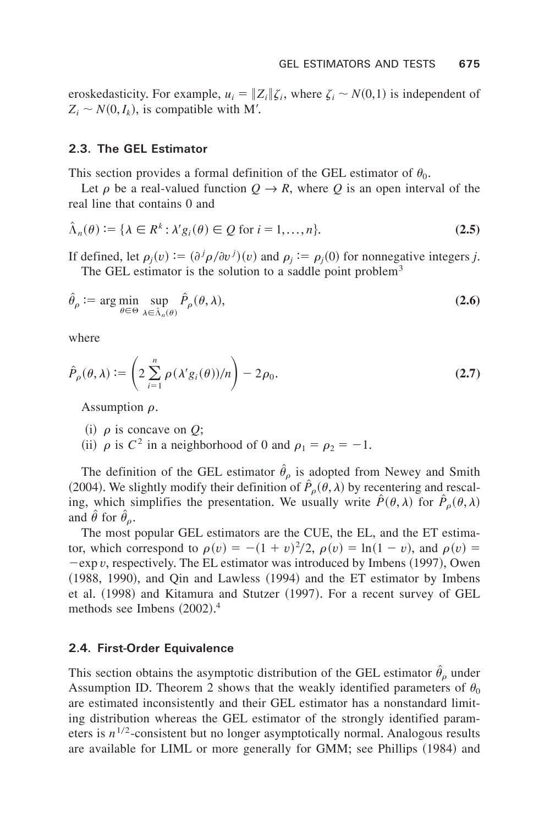eroskedasticity. For example,  $u_i = ||Z_i||\zeta_i$ , where  $\zeta_i \sim N(0,1)$  is independent of  $Z_i \sim N(0, I_k)$ , is compatible with M'.

#### **2.3. The GEL Estimator**

This section provides a formal definition of the GEL estimator of  $\theta_0$ .

Let  $\rho$  be a real-valued function  $Q \rightarrow R$ , where *Q* is an open interval of the real line that contains 0 and

$$
\hat{\Lambda}_n(\theta) := \{ \lambda \in R^k : \lambda' g_i(\theta) \in \mathcal{Q} \text{ for } i = 1, \dots, n \}. \tag{2.5}
$$

If defined, let  $\rho_j(v) := (\partial^j \rho / \partial v^j)(v)$  and  $\rho_j := \rho_j(0)$  for nonnegative integers *j*. The GEL estimator is the solution to a saddle point problem<sup>3</sup>

$$
\hat{\theta}_{\rho} := \arg\min_{\theta \in \Theta} \sup_{\lambda \in \hat{\Lambda}_n(\theta)} \hat{P}_{\rho}(\theta, \lambda),
$$
\n(2.6)

where

$$
\hat{P}_{\rho}(\theta,\lambda) := \left(2\sum_{i=1}^{n} \rho(\lambda' g_i(\theta))/n\right) - 2\rho_0.
$$
\n(2.7)

Assumption  $\rho$ .

(i)  $\rho$  is concave on *Q*;

(ii)  $\rho$  is  $C^2$  in a neighborhood of 0 and  $\rho_1 = \rho_2 = -1$ .

The definition of the GEL estimator  $\hat{\theta}_{\rho}$  is adopted from Newey and Smith (2004). We slightly modify their definition of  $\hat{P}_o(\theta, \lambda)$  by recentering and rescaling, which simplifies the presentation. We usually write  $\hat{P}(\theta, \lambda)$  for  $\hat{P}_{\rho}(\theta, \lambda)$ and  $\hat{\theta}$  for  $\hat{\theta}_{\rho}$ .

The most popular GEL estimators are the CUE, the EL, and the ET estimator, which correspond to  $\rho(v) = -(1 + v)^2/2$ ,  $\rho(v) = \ln(1 - v)$ , and  $\rho(v) =$  $-\exp v$ , respectively. The EL estimator was introduced by Imbens (1997), Owen  $(1988, 1990)$ , and Qin and Lawless  $(1994)$  and the ET estimator by Imbens et al. (1998) and Kitamura and Stutzer (1997). For a recent survey of GEL methods see Imbens  $(2002).<sup>4</sup>$ 

#### **2.4. First-Order Equivalence**

This section obtains the asymptotic distribution of the GEL estimator  $\hat{\theta}_{\rho}$  under Assumption ID. Theorem 2 shows that the weakly identified parameters of  $\theta_0$ are estimated inconsistently and their GEL estimator has a nonstandard limiting distribution whereas the GEL estimator of the strongly identified parameters is  $n^{1/2}$ -consistent but no longer asymptotically normal. Analogous results are available for LIML or more generally for GMM; see Phillips (1984) and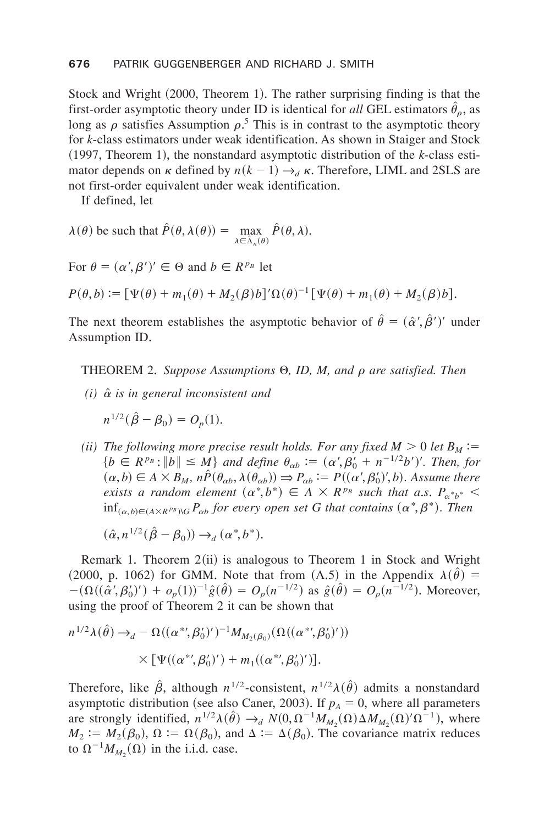Stock and Wright  $(2000,$  Theorem 1). The rather surprising finding is that the first-order asymptotic theory under ID is identical for *all* GEL estimators  $\hat{\theta}_{\rho}$ , as long as  $\rho$  satisfies Assumption  $\rho$ <sup>5</sup>. This is in contrast to the asymptotic theory for *k*-class estimators under weak identification. As shown in Staiger and Stock  $(1997,$  Theorem 1), the nonstandard asymptotic distribution of the *k*-class estimator depends on  $\kappa$  defined by  $n(k-1) \rightarrow_d \kappa$ . Therefore, LIML and 2SLS are not first-order equivalent under weak identification.

If defined, let

$$
\lambda(\theta) \text{ be such that } \hat{P}(\theta, \lambda(\theta)) = \max_{\lambda \in \hat{\Lambda}_n(\theta)} \hat{P}(\theta, \lambda).
$$

For  $\theta = (\alpha', \beta')' \in \Theta$  and  $b \in R^{p_B}$  let

 $P(\theta, b) := [\Psi(\theta) + m_1(\theta) + M_2(\beta)b]' \Omega(\theta)^{-1} [\Psi(\theta) + m_1(\theta) + M_2(\beta)b].$ 

The next theorem establishes the asymptotic behavior of  $\hat{\theta} = (\hat{\alpha}', \hat{\beta}')'$  under Assumption ID.

**THEOREM 2.** Suppose Assumptions  $\Theta$ , *ID, M, and*  $\rho$  *are satisfied. Then* 

 $(i)$   $\hat{\alpha}$  *is in general inconsistent and* 

$$
n^{1/2}(\hat{\beta}-\beta_0)=O_p(1).
$$

*(ii)* The following more precise result holds. For any fixed  $M > 0$  let  $B_M :=$  ${b \in R^{p_B} : \|b\| \le M}$  and define  $\theta_{\alpha b} := (\alpha', \beta'_0 + n^{-1/2}b')'$ . Then, for  $(a, b) \in A \times B_M$ ,  $n\hat{P}(\theta_{ab}, \lambda(\theta_{ab})) \Rightarrow P_{ab} := P((\alpha', \beta'_0)', b)$ . Assume there *exists a random element*  $(a^*, b^*) \in A \times R^{p_B}$  such that a.s.  $P_{a^*b^*}$  <  $\inf_{(\alpha, b) \in (A \times R^{p \beta}) \setminus G} P_{\alpha b}$  for every open set G that contains  $(\alpha^*, \beta^*)$ . Then

$$
(\hat{\alpha}, n^{1/2}(\hat{\beta} - \beta_0)) \rightarrow_d (\alpha^*, b^*).
$$

Remark 1. Theorem  $2(ii)$  is analogous to Theorem 1 in Stock and Wright (2000, p. 1062) for GMM. Note that from (A.5) in the Appendix  $\lambda(\hat{\theta}) =$  $-(\Omega((\hat{\alpha}', \beta'_0)') + o_p(1))^{-1}\hat{g}(\hat{\theta}) = O_p(n^{-1/2})$  as  $\hat{g}(\hat{\theta}) = O_p(n^{-1/2})$ . Moreover, using the proof of Theorem 2 it can be shown that

$$
n^{1/2}\lambda(\hat{\theta}) \to_d -\Omega((\alpha^{*}, \beta'_0)')^{-1}M_{M_2(\beta_0)}(\Omega((\alpha^{*}, \beta'_0)'))
$$
  
 
$$
\times [\Psi((\alpha^{*}, \beta'_0)') + m_1((\alpha^{*}, \beta'_0)')].
$$

Therefore, like  $\hat{\beta}$ , although  $n^{1/2}$ -consistent,  $n^{1/2}\lambda(\hat{\theta})$  admits a nonstandard asymptotic distribution (see also Caner, 2003). If  $p_A = 0$ , where all parameters are strongly identified,  $n^{1/2}\lambda(\hat{\theta}) \rightarrow_d N(0, \Omega^{-1}M_{M_2}(\Omega)\Delta M_{M_2}(\Omega)'\Omega^{-1})$ , where  $M_2 := M_2(\beta_0)$ ,  $\Omega := \Omega(\beta_0)$ , and  $\Delta := \Delta(\beta_0)$ . The covariance matrix reduces to  $\Omega^{-1} M_{M_2}(\Omega)$  in the i.i.d. case.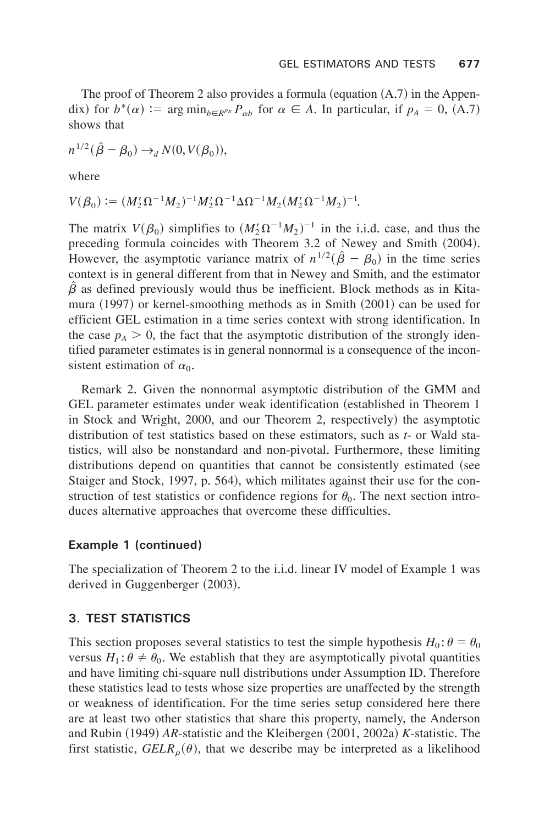The proof of Theorem 2 also provides a formula (equation  $(A.7)$  in the Appendix) for  $b^*(\alpha) := \arg \min_{b \in R^{p}B} P_{\alpha b}$  for  $\alpha \in A$ . In particular, if  $p_A = 0$ , (A.7) shows that

$$
n^{1/2}(\hat{\beta}-\beta_0) \rightarrow_d N(0, V(\beta_0)),
$$

where

$$
V(\beta_0) := (M'_2 \Omega^{-1} M_2)^{-1} M'_2 \Omega^{-1} \Delta \Omega^{-1} M_2 (M'_2 \Omega^{-1} M_2)^{-1}.
$$

The matrix  $V(\beta_0)$  simplifies to  $(M'_2 \Omega^{-1} M_2)^{-1}$  in the i.i.d. case, and thus the preceding formula coincides with Theorem 3.2 of Newey and Smith (2004). However, the asymptotic variance matrix of  $n^{1/2}(\hat{\beta} - \beta_0)$  in the time series context is in general different from that in Newey and Smith, and the estimator  $\hat{\beta}$  as defined previously would thus be inefficient. Block methods as in Kitamura  $(1997)$  or kernel-smoothing methods as in Smith  $(2001)$  can be used for efficient GEL estimation in a time series context with strong identification. In the case  $p_A > 0$ , the fact that the asymptotic distribution of the strongly identified parameter estimates is in general nonnormal is a consequence of the inconsistent estimation of  $\alpha_0$ .

Remark 2. Given the nonnormal asymptotic distribution of the GMM and GEL parameter estimates under weak identification (established in Theorem 1) in Stock and Wright, 2000, and our Theorem 2, respectively) the asymptotic distribution of test statistics based on these estimators, such as *t*- or Wald statistics, will also be nonstandard and non-pivotal+ Furthermore, these limiting distributions depend on quantities that cannot be consistently estimated (see Staiger and Stock, 1997, p. 564), which militates against their use for the construction of test statistics or confidence regions for  $\theta_0$ . The next section introduces alternative approaches that overcome these difficulties.

#### **Example 1 (continued)**

The specialization of Theorem 2 to the i.i.d. linear IV model of Example 1 was derived in Guggenberger  $(2003)$ .

#### **3. TEST STATISTICS**

This section proposes several statistics to test the simple hypothesis  $H_0: \theta = \theta_0$ versus  $H_1: \theta \neq \theta_0$ . We establish that they are asymptotically pivotal quantities and have limiting chi-square null distributions under Assumption ID. Therefore these statistics lead to tests whose size properties are unaffected by the strength or weakness of identification. For the time series setup considered here there are at least two other statistics that share this property, namely, the Anderson and Rubin (1949) *AR*-statistic and the Kleibergen (2001, 2002a) *K*-statistic. The first statistic,  $GELR_{\rho}(\theta)$ , that we describe may be interpreted as a likelihood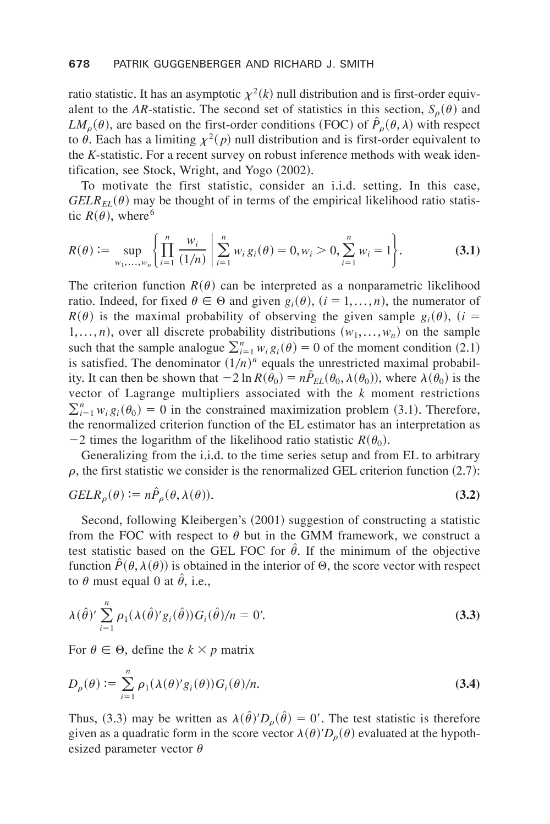ratio statistic. It has an asymptotic  $\chi^2(k)$  null distribution and is first-order equivalent to the *AR*-statistic. The second set of statistics in this section,  $S<sub>o</sub>(\theta)$  and *LM*<sub>0</sub>( $\theta$ ), are based on the first-order conditions (FOC) of  $\hat{P}_\rho(\theta, \lambda)$  with respect to  $\dot{\theta}$ . Each has a limiting  $\chi^2(p)$  null distribution and is first-order equivalent to the *K*-statistic. For a recent survey on robust inference methods with weak identification, see Stock, Wright, and Yogo  $(2002)$ .

To motivate the first statistic, consider an i.i.d. setting. In this case,  $GELR_{EI}(\theta)$  may be thought of in terms of the empirical likelihood ratio statistic  $R(\theta)$ , where<sup>6</sup>

$$
R(\theta) := \sup_{w_1, \dots, w_n} \left\{ \prod_{i=1}^n \frac{w_i}{(1/n)} \middle| \sum_{i=1}^n w_i g_i(\theta) = 0, w_i > 0, \sum_{i=1}^n w_i = 1 \right\}.
$$
 (3.1)

The criterion function  $R(\theta)$  can be interpreted as a nonparametric likelihood ratio. Indeed, for fixed  $\theta \in \Theta$  and given  $g_i(\theta)$ ,  $(i = 1,..., n)$ , the numerator of  $R(\theta)$  is the maximal probability of observing the given sample  $g_i(\theta)$ ,  $(i =$ 1,...,*n*), over all discrete probability distributions  $(w_1,...,w_n)$  on the sample such that the sample analogue  $\sum_{i=1}^{n} w_i g_i(\theta) = 0$  of the moment condition (2.1) is satisfied. The denominator  $(1/n)^n$  equals the unrestricted maximal probability. It can then be shown that  $-2 \ln R(\theta_0) = n \hat{P}_{EL}(\theta_0, \lambda(\theta_0))$ , where  $\lambda(\theta_0)$  is the vector of Lagrange multipliers associated with the *k* moment restrictions  $\sum_{i=1}^{n} w_i g_i(\theta_0) = 0$  in the constrained maximization problem (3.1). Therefore, the renormalized criterion function of the EL estimator has an interpretation as  $-2$  times the logarithm of the likelihood ratio statistic  $R(\theta_0)$ .

Generalizing from the i.i.d. to the time series setup and from EL to arbitrary  $\rho$ , the first statistic we consider is the renormalized GEL criterion function (2.7):

$$
GELR_{\rho}(\theta) := n\hat{P}_{\rho}(\theta, \lambda(\theta)).
$$
\n(3.2)

Second, following Kleibergen's (2001) suggestion of constructing a statistic from the FOC with respect to  $\theta$  but in the GMM framework, we construct a test statistic based on the GEL FOC for  $\hat{\theta}$ . If the minimum of the objective function  $\hat{P}(\theta, \lambda(\theta))$  is obtained in the interior of  $\Theta$ , the score vector with respect to  $\theta$  must equal 0 at  $\ddot{\theta}$ , i.e.,

$$
\lambda(\hat{\theta})' \sum_{i=1}^{n} \rho_1(\lambda(\hat{\theta})' g_i(\hat{\theta})) G_i(\hat{\theta})/n = 0'. \tag{3.3}
$$

For  $\theta \in \Theta$ , define the  $k \times p$  matrix

$$
D_{\rho}(\theta) := \sum_{i=1}^{n} \rho_1(\lambda(\theta)' g_i(\theta)) G_i(\theta) / n.
$$
 (3.4)

Thus, (3.3) may be written as  $\lambda(\hat{\theta})' D_{\rho}(\hat{\theta}) = 0'$ . The test statistic is therefore given as a quadratic form in the score vector  $\lambda(\theta)' D_{\rho}(\theta)$  evaluated at the hypothesized parameter vector  $\theta$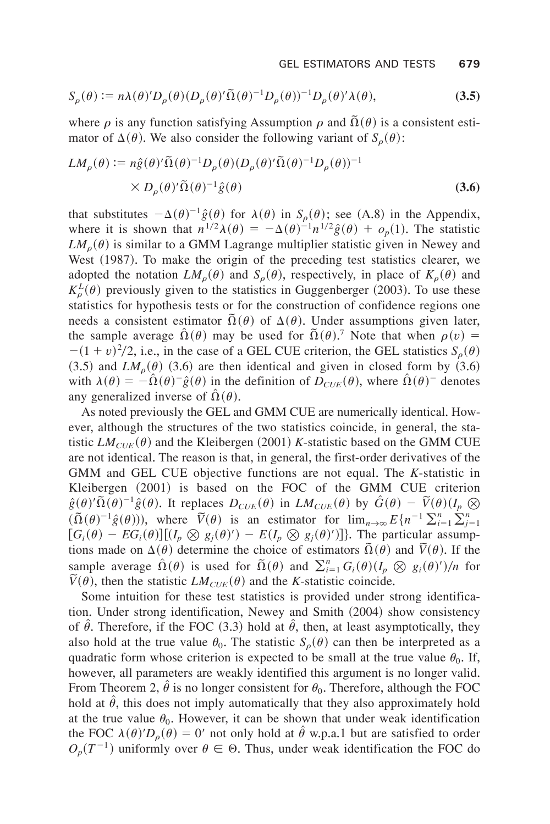$$
S_{\rho}(\theta) := n\lambda(\theta)' D_{\rho}(\theta) (D_{\rho}(\theta)'\tilde{\Omega}(\theta)^{-1} D_{\rho}(\theta))^{-1} D_{\rho}(\theta)'\lambda(\theta),
$$
\n(3.5)

where  $\rho$  is any function satisfying Assumption  $\rho$  and  $\tilde{\Omega}(\theta)$  is a consistent estimator of  $\Delta(\theta)$ . We also consider the following variant of  $S_{\rho}(\theta)$ :

$$
LM_{\rho}(\theta) := n\hat{g}(\theta)'\tilde{\Omega}(\theta)^{-1}D_{\rho}(\theta)(D_{\rho}(\theta)'\tilde{\Omega}(\theta)^{-1}D_{\rho}(\theta))^{-1}
$$
  
×  $D_{\rho}(\theta)'\tilde{\Omega}(\theta)^{-1}\hat{g}(\theta)$  (3.6)

that substitutes  $-\Delta(\theta)^{-1}\hat{g}(\theta)$  for  $\lambda(\theta)$  in  $S_{\rho}(\theta)$ ; see (A.8) in the Appendix, where it is shown that  $n^{1/2}\lambda(\theta) = -\Delta(\theta)^{-1}n^{1/2}\hat{g}(\theta) + o_p(1)$ . The statistic  $LM<sub>o</sub>(\theta)$  is similar to a GMM Lagrange multiplier statistic given in Newey and West  $(1987)$ . To make the origin of the preceding test statistics clearer, we adopted the notation  $LM_{\rho}(\theta)$  and  $S_{\rho}(\theta)$ , respectively, in place of  $K_{\rho}(\theta)$  and  $K^L_{\rho}(\theta)$  previously given to the statistics in Guggenberger (2003). To use these statistics for hypothesis tests or for the construction of confidence regions one needs a consistent estimator  $\tilde{\Omega}(\theta)$  of  $\Delta(\theta)$ . Under assumptions given later, the sample average  $\hat{\Omega}(\theta)$  may be used for  $\tilde{\Omega}(\theta)$ .<sup>7</sup> Note that when  $\rho(v)$  =  $-(1 + v)^2/2$ , i.e., in the case of a GEL CUE criterion, the GEL statistics  $S_\rho(\theta)$  $(3.5)$  and *LM<sub>0</sub>* $(\theta)$   $(3.6)$  are then identical and given in closed form by  $(3.6)$ with  $\lambda(\theta) = -\hat{\Omega}(\theta)^{-1} \hat{g}(\theta)$  in the definition of  $D_{CUE}(\theta)$ , where  $\hat{\Omega}(\theta)^{-1}$  denotes any generalized inverse of  $\Omega(\theta)$ .

As noted previously the GEL and GMM CUE are numerically identical. However, although the structures of the two statistics coincide, in general, the statistic  $LM_{CUE}(\theta)$  and the Kleibergen (2001) *K*-statistic based on the GMM CUE are not identical. The reason is that, in general, the first-order derivatives of the GMM and GEL CUE objective functions are not equal+ The *K*-statistic in Kleibergen (2001) is based on the FOC of the GMM CUE criterion  $\hat{g}(\theta)'\tilde{\Omega}(\theta)^{-1}\hat{g}(\theta)$ . It replaces  $D_{CUE}(\theta)$  in  $LM_{CUE}(\theta)$  by  $\hat{G}(\theta) - \tilde{V}(\theta)(I_p \otimes I_p)$  $(\tilde{\Omega}(\theta)^{-1}\hat{g}(\theta))$ , where  $\tilde{V}(\theta)$  is an estimator for  $\lim_{n\to\infty} E\{n^{-1}\sum_{i=1}^{n}\sum_{j=1}^{n}$  $[G_i(\theta) - EG_i(\theta)][(I_p \otimes g_j(\theta)') - E(I_p \otimes g_j(\theta)')]$ . The particular assumptions made on  $\Delta(\theta)$  determine the choice of estimators  $\tilde{\Omega}(\theta)$  and  $\tilde{V}(\theta)$ . If the sample average  $\hat{\Omega}(\theta)$  is used for  $\tilde{\Omega}(\theta)$  and  $\sum_{i=1}^{n} G_i(\theta) (I_p \otimes g_i(\theta)')/n$  for  $\widetilde{V}(\theta)$ , then the statistic *LM<sub>CUE</sub>*( $\theta$ ) and the *K*-statistic coincide.

Some intuition for these test statistics is provided under strong identification. Under strong identification, Newey and Smith (2004) show consistency of  $\theta$ . Therefore, if the FOC (3.3) hold at  $\theta$ , then, at least asymptotically, they also hold at the true value  $\theta_0$ . The statistic  $S_\rho(\theta)$  can then be interpreted as a quadratic form whose criterion is expected to be small at the true value  $\theta_0$ . If, however, all parameters are weakly identified this argument is no longer valid. From Theorem 2,  $\hat{\theta}$  is no longer consistent for  $\theta_0$ . Therefore, although the FOC hold at  $\hat{\theta}$ , this does not imply automatically that they also approximately hold at the true value  $\theta_0$ . However, it can be shown that under weak identification the FOC  $\lambda(\theta)' D_{\rho}(\theta) = 0'$  not only hold at  $\hat{\theta}$  w.p.a.1 but are satisfied to order  $O_p(T^{-1})$  uniformly over  $\theta \in \Theta$ . Thus, under weak identification the FOC do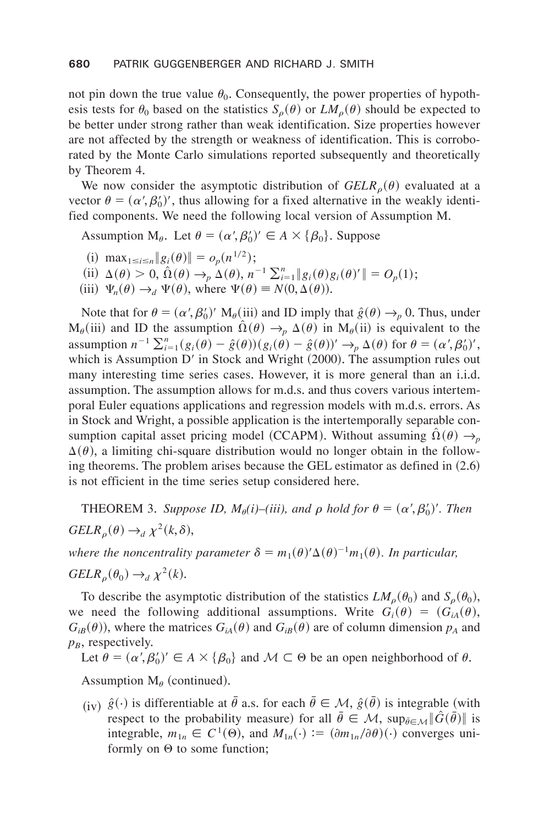not pin down the true value  $\theta_0$ . Consequently, the power properties of hypothesis tests for  $\theta_0$  based on the statistics  $S_o(\theta)$  or  $LM_o(\theta)$  should be expected to be better under strong rather than weak identification. Size properties however are not affected by the strength or weakness of identification. This is corroborated by the Monte Carlo simulations reported subsequently and theoretically by Theorem 4.

We now consider the asymptotic distribution of  $GELR_{\rho}(\theta)$  evaluated at a vector  $\theta = (\alpha', \beta'_0)'$ , thus allowing for a fixed alternative in the weakly identified components. We need the following local version of Assumption M.

Assumption M<sub> $\theta$ </sub>. Let  $\theta = (\alpha', \beta'_0)' \in A \times {\{\beta_0\}}$ . Suppose

- (i)  $\max_{1 \le i \le n} \|g_i(\theta)\| = o_p(n^{1/2})$ ;
- $(iii) \Delta(\theta) > 0, \hat{\Omega}(\theta) \rightarrow_{p} \Delta(\theta), n^{-1} \sum_{i=1}^{n} ||g_{i}(\theta)g_{i}(\theta)|| = O_{p}(1);$
- (iii)  $\Psi_n(\theta) \rightarrow_d \Psi(\theta)$ , where  $\Psi(\theta) \equiv N(0, \Delta(\theta))$ .

Note that for  $\theta = (\alpha', \beta'_0)' M_\theta(iii)$  and ID imply that  $\hat{g}(\theta) \to_p 0$ . Thus, under  $M_\theta(iii)$  and ID the assumption  $\hat{\Omega}(\theta) \rightarrow_p \Delta(\theta)$  in  $M_\theta(ii)$  is equivalent to the assumption  $n^{-1} \sum_{i=1}^{n} (g_i(\theta) - \hat{g}(\theta))(g_i(\theta) - \hat{g}(\theta))' \rightarrow_p \Delta(\theta)$  for  $\theta = (\alpha', \beta'_0)'$ , which is Assumption  $D'$  in Stock and Wright  $(2000)$ . The assumption rules out many interesting time series cases. However, it is more general than an i.i.d. assumption. The assumption allows for m,d,s, and thus covers various intertemporal Euler equations applications and regression models with m.d.s. errors. As in Stock and Wright, a possible application is the intertemporally separable consumption capital asset pricing model (CCAPM). Without assuming  $\hat{\Omega}(\theta) \rightarrow_p$  $\Delta(\theta)$ , a limiting chi-square distribution would no longer obtain in the following theorems. The problem arises because the GEL estimator as defined in  $(2.6)$ is not efficient in the time series setup considered here.

**THEOREM** 3. Suppose ID,  $M_{\theta}(i)$ –(iii), and  $\rho$  hold for  $\theta = (\alpha', \beta_0')'$ . Then  $GELR_{\rho}(\theta) \rightarrow_d \chi^2(k,\delta),$ 

*where the noncentrality parameter*  $\delta = m_1(\theta)^{\prime} \Delta(\theta)^{-1} m_1(\theta)$ . In particular,

 $GELR_{\rho}(\theta_0) \rightarrow_d \chi^2(k).$ 

To describe the asymptotic distribution of the statistics  $LM_{\rho}(\theta_0)$  and  $S_{\rho}(\theta_0)$ , we need the following additional assumptions. Write  $G_i(\theta) = (G_{iA}(\theta),$  $G_{iB}(\theta)$ , where the matrices  $G_{iA}(\theta)$  and  $G_{iB}(\theta)$  are of column dimension  $p_A$  and  $p_B$ , respectively.

Let  $\theta = (\alpha', \beta_0')' \in A \times {\{\beta_0\}}$  and  $M \subset \Theta$  be an open neighborhood of  $\theta$ .

Assumption  $M_\theta$  (continued).

 $(iy)$   $\hat{g}(\cdot)$  is differentiable at  $\bar{\theta}$  a.s. for each  $\bar{\theta} \in M$ ,  $\hat{g}(\bar{\theta})$  is integrable (with respect to the probability measure) for all  $\bar{\theta} \in \mathcal{M}$ ,  $\sup_{\bar{\theta} \in \mathcal{M}} ||\tilde{G}(\bar{\theta})||$  is integrable,  $m_{1n} \in C^1(\Theta)$ , and  $M_{1n}(\cdot) := (\partial m_{1n}/\partial \theta)(\cdot)$  converges uniformly on  $\Theta$  to some function;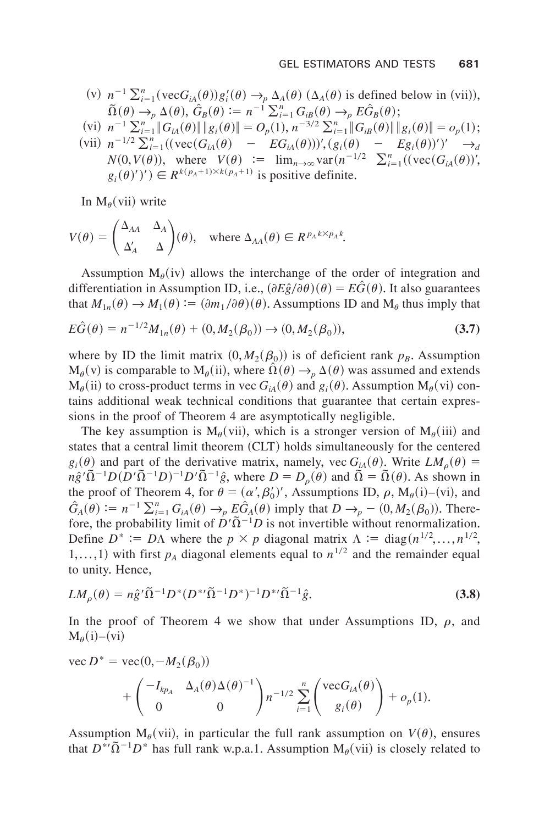(v) 
$$
n^{-1} \sum_{i=1}^{n} (vecG_A(\theta)) g'_i(\theta) \rightarrow_p \Delta_A(\theta) (\Delta_A(\theta))
$$
 is defined below in (vii)),  
\n $\tilde{\Omega}(\theta) \rightarrow_p \Delta(\theta), \hat{G}_B(\theta) := n^{-1} \sum_{i=1}^{n} G_{iB}(\theta) \rightarrow_p E \hat{G}_B(\theta);$ 

$$
\text{(vi)} \ \ n^{-1} \sum_{i=1}^n \|G_{iA}(\theta)\| \|g_i(\theta)\| = O_p(1),\ n^{-3/2} \sum_{i=1}^n \|G_{iB}(\theta)\| \|g_i(\theta)\| = o_p(1);
$$

 $(vii)$   $n^{-1/2} \sum_{i=1}^{n} ((vec(G_{iA}(\theta) - E_{iA}(\theta)))'$ ,  $(g_i(\theta) - E_{iB}(\theta))')' \rightarrow_d$  $N(0, V(\theta))$ , where  $V(\theta) := \lim_{n \to \infty} \text{var}(n^{-1/2} \sum_{i=1}^{n} ((\text{vec}(G_{iA}(\theta)))')$ ,  $g_i(\theta)')$   $\in$   $R^{k(p_A+1)\times k(p_A+1)}$  is positive definite.

In  $M_{\theta}(vii)$  write

$$
V(\theta) = \begin{pmatrix} \Delta_{AA} & \Delta_A \\ \Delta'_A & \Delta \end{pmatrix}(\theta), \text{ where } \Delta_{AA}(\theta) \in R^{p_A k \times p_A k}.
$$

Assumption  $M_\theta(iv)$  allows the interchange of the order of integration and differentiation in Assumption ID, i.e.,  $(\partial E \hat{g}/\partial \theta)(\theta) = E \hat{G}(\theta)$ . It also guarantees that  $M_{1n}(\theta) \rightarrow M_1(\theta) := (\partial m_1/\partial \theta)(\theta)$ . Assumptions ID and  $M_\theta$  thus imply that

$$
E\hat{G}(\theta) = n^{-1/2}M_{1n}(\theta) + (0, M_2(\beta_0)) \to (0, M_2(\beta_0)),
$$
\n(3.7)

where by ID the limit matrix  $(0, M_2(\beta_0))$  is of deficient rank  $p_B$ . Assumption  $M_{\theta}(v)$  is comparable to  $M_{\theta}(ii)$ , where  $\hat{\Omega}(\theta) \rightarrow_{p} \Delta(\theta)$  was assumed and extends  $M_{\theta}$ (ii) to cross-product terms in vec  $G_{iA}(\theta)$  and  $g_i(\theta)$ . Assumption  $M_{\theta}(vi)$  contains additional weak technical conditions that guarantee that certain expressions in the proof of Theorem 4 are asymptotically negligible.

The key assumption is  $M_{\theta}(vii)$ , which is a stronger version of  $M_{\theta}(iii)$  and states that a central limit theorem  $(CLT)$  holds simultaneously for the centered  $g_i(\theta)$  and part of the derivative matrix, namely, vec  $G_{iA}(\theta)$ . Write  $LM_{\rho}(\theta)$  =  $n\hat{g}'\tilde{\Omega}^{-1}D(D'\tilde{\Omega}^{-1}D)^{-1}D'\tilde{\Omega}^{-1}\hat{g}$ , where  $D=D_{\rho}(\theta)$  and  $\tilde{\Omega}=\tilde{\Omega}(\theta)$ . As shown in the proof of Theorem 4, for  $\theta = (\alpha', \beta'_0)'$ , Assumptions ID,  $\rho$ , M<sub> $\theta$ </sub>(i)–(vi), and  $\hat{G}_A(\theta) := n^{-1} \sum_{i=1}^n G_{iA}(\theta) \rightarrow_p E \hat{G}_A(\theta)$  imply that  $D \rightarrow_p - (0, M_2(\beta_0))$ . Therefore, the probability limit of  $\hat{D}' \tilde{\Omega}^{-1} D$  is not invertible without renormalization. Define  $D^* := D\Lambda$  where the  $p \times p$  diagonal matrix  $\Lambda := \text{diag}(n^{1/2}, \dots, n^{1/2},$ 1,...,1) with first  $p_A$  diagonal elements equal to  $n^{1/2}$  and the remainder equal to unity. Hence,

$$
LM_{\rho}(\theta) = n\hat{g}'\tilde{\Omega}^{-1}D^*(D^{*}\tilde{\Omega}^{-1}D^*)^{-1}D^{*}\tilde{\Omega}^{-1}\hat{g}.
$$
 (3.8)

In the proof of Theorem 4 we show that under Assumptions ID,  $\rho$ , and  $M_{\theta}(i)$ –(vi)

vec 
$$
D^*
$$
 = vec $(0, -M_2(\beta_0))$   
+  $\begin{pmatrix} -I_{kp_A} & \Delta_A(\theta) \Delta(\theta)^{-1} \\ 0 & 0 \end{pmatrix} n^{-1/2} \sum_{i=1}^n \begin{pmatrix} \text{vec}G_{iA}(\theta) \\ g_i(\theta) \end{pmatrix} + o_p(1).$ 

Assumption  $M_{\theta}(vii)$ , in particular the full rank assumption on  $V(\theta)$ , ensures that  $D^{\ast} \tilde{\Omega}^{-1} D^{\ast}$  has full rank w.p.a.1. Assumption  $M_{\theta}$ (vii) is closely related to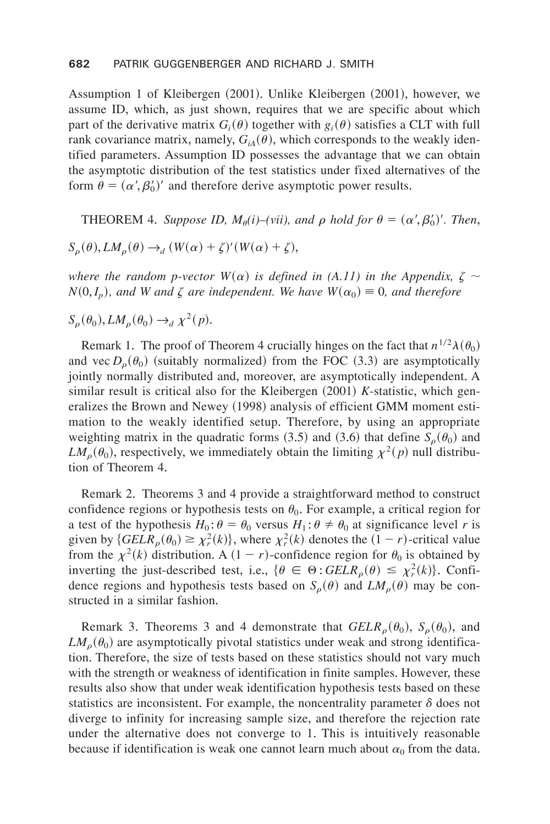Assumption 1 of Kleibergen (2001). Unlike Kleibergen (2001), however, we assume ID, which, as just shown, requires that we are specific about which part of the derivative matrix  $G_i(\theta)$  together with  $g_i(\theta)$  satisfies a CLT with full rank covariance matrix, namely,  $G_{iA}(\theta)$ , which corresponds to the weakly identified parameters. Assumption ID possesses the advantage that we can obtain the asymptotic distribution of the test statistics under fixed alternatives of the form  $\theta = (\alpha', \beta'_0)'$  and therefore derive asymptotic power results.

**THEOREM** 4. Suppose ID,  $M_{\theta}(i)$ –(vii), and  $\rho$  hold for  $\theta = (\alpha', \beta'_0)'$ . Then,

$$
S_{\rho}(\theta), LM_{\rho}(\theta) \rightarrow_d (W(\alpha) + \zeta)'(W(\alpha) + \zeta),
$$

*where the random p-vector*  $W(\alpha)$  *is defined in (A.11) in the Appendix,*  $\zeta \sim$  $N(0, I_p)$ , and *W* and  $\zeta$  *are independent. We have*  $W(\alpha_0) \equiv 0$ , and therefore

$$
S_{\rho}(\theta_0), LM_{\rho}(\theta_0) \rightarrow_d \chi^2(p).
$$

Remark 1. The proof of Theorem 4 crucially hinges on the fact that  $n^{1/2}\lambda(\theta_0)$ and vec  $D_{\rho}(\theta_0)$  (suitably normalized) from the FOC (3.3) are asymptotically jointly normally distributed and, moreover, are asymptotically independent. A similar result is critical also for the Kleibergen  $(2001)$  *K*-statistic, which generalizes the Brown and Newey (1998) analysis of efficient GMM moment estimation to the weakly identified setup. Therefore, by using an appropriate weighting matrix in the quadratic forms  $(3.5)$  and  $(3.6)$  that define  $S_{\rho}(\theta_0)$  and  $LM_{\rho}(\theta_0)$ , respectively, we immediately obtain the limiting  $\chi^2(p)$  null distribution of Theorem 4.

Remark 2. Theorems 3 and 4 provide a straightforward method to construct confidence regions or hypothesis tests on  $\theta_0$ . For example, a critical region for a test of the hypothesis  $H_0: \theta = \theta_0$  versus  $H_1: \theta \neq \theta_0$  at significance level *r* is given by  ${GELR_\rho(\theta_0) \geq \chi^2_r(k)}$ , where  $\chi^2_r(k)$  denotes the  $(1 - r)$ -critical value from the  $\chi^2(k)$  distribution. A  $(1 - r)$ -confidence region for  $\theta_0$  is obtained by inverting the just-described test, i.e.,  $\{\theta \in \Theta : GELR_{\rho}(\theta) \leq \chi^2_r(k)\}\)$ . Confidence regions and hypothesis tests based on  $S_o(\theta)$  and  $LM_o(\theta)$  may be constructed in a similar fashion.

Remark 3. Theorems 3 and 4 demonstrate that  $GELR_{\rho}(\theta_0)$ ,  $S_{\rho}(\theta_0)$ , and  $LM_{\rho}(\theta_0)$  are asymptotically pivotal statistics under weak and strong identification. Therefore, the size of tests based on these statistics should not vary much with the strength or weakness of identification in finite samples. However, these results also show that under weak identification hypothesis tests based on these statistics are inconsistent. For example, the noncentrality parameter  $\delta$  does not diverge to infinity for increasing sample size, and therefore the rejection rate under the alternative does not converge to 1. This is intuitively reasonable because if identification is weak one cannot learn much about  $\alpha_0$  from the data.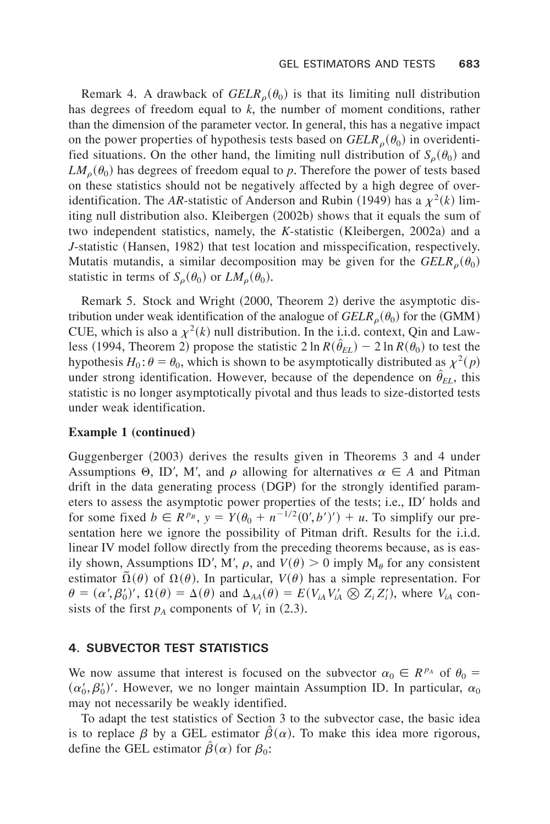Remark 4. A drawback of  $GELR<sub>o</sub>(\theta_0)$  is that its limiting null distribution has degrees of freedom equal to *k*, the number of moment conditions, rather than the dimension of the parameter vector. In general, this has a negative impact on the power properties of hypothesis tests based on  $GELR_{\rho}(\theta_0)$  in overidentified situations. On the other hand, the limiting null distribution of  $S_\rho(\theta_0)$  and  $LM_{\rho}(\theta_0)$  has degrees of freedom equal to p. Therefore the power of tests based on these statistics should not be negatively affected by a high degree of overidentification. The *AR*-statistic of Anderson and Rubin (1949) has a  $\chi^2(k)$  limiting null distribution also. Kleibergen (2002b) shows that it equals the sum of two independent statistics, namely, the *K*-statistic (Kleibergen, 2002a) and a *J*-statistic (Hansen, 1982) that test location and misspecification, respectively. Mutatis mutandis, a similar decomposition may be given for the  $GELR_{\rho}(\theta_0)$ statistic in terms of  $S_\rho(\theta_0)$  or  $LM_\rho(\theta_0)$ .

Remark 5. Stock and Wright (2000, Theorem 2) derive the asymptotic distribution under weak identification of the analogue of  $GELR_o(\theta_0)$  for the (GMM) CUE, which is also a  $\chi^2(k)$  null distribution. In the i.i.d. context, Qin and Lawless (1994, Theorem 2) propose the statistic  $2 \ln R(\hat{\theta}_{EL}) - 2 \ln R(\theta_0)$  to test the hypothesis  $H_0: \theta = \theta_0$ , which is shown to be asymptotically distributed as  $\chi^2(p)$ under strong identification. However, because of the dependence on  $\hat{\theta}_{EL}$ , this statistic is no longer asymptotically pivotal and thus leads to size-distorted tests under weak identification.

#### **Example 1 (continued)**

Guggenberger (2003) derives the results given in Theorems 3 and 4 under Assumptions  $\Theta$ , ID', M', and  $\rho$  allowing for alternatives  $\alpha \in A$  and Pitman drift in the data generating process  $(DGP)$  for the strongly identified parameters to assess the asymptotic power properties of the tests; i.e., ID' holds and for some fixed  $b \in R^{p_B}$ ,  $y = Y(\theta_0 + n^{-1/2}(0', b')) + u$ . To simplify our presentation here we ignore the possibility of Pitman drift. Results for the i.i.d. linear IV model follow directly from the preceding theorems because, as is easily shown, Assumptions ID', M',  $\rho$ , and  $V(\theta) > 0$  imply  $M_{\theta}$  for any consistent estimator  $\Omega(\theta)$  of  $\Omega(\theta)$ . In particular,  $V(\theta)$  has a simple representation. For  $\theta = (\alpha', \beta'_0)'$ ,  $\Omega(\theta) = \Delta(\theta)$  and  $\Delta_{AA}(\theta) = E(V_{iA}V'_{iA} \otimes Z_i Z'_i)$ , where  $V_{iA}$  consists of the first  $p_A$  components of  $V_i$  in  $(2.3)$ .

#### **4. SUBVECTOR TEST STATISTICS**

We now assume that interest is focused on the subvector  $\alpha_0 \in R^{p_A}$  of  $\theta_0 =$  $(\alpha'_0, \beta'_0)'$ . However, we no longer maintain Assumption ID. In particular,  $\alpha_0$ may not necessarily be weakly identified.

To adapt the test statistics of Section 3 to the subvector case, the basic idea is to replace  $\beta$  by a GEL estimator  $\beta(\alpha)$ . To make this idea more rigorous, define the GEL estimator  $\hat{\beta}(\alpha)$  for  $\beta_0$ :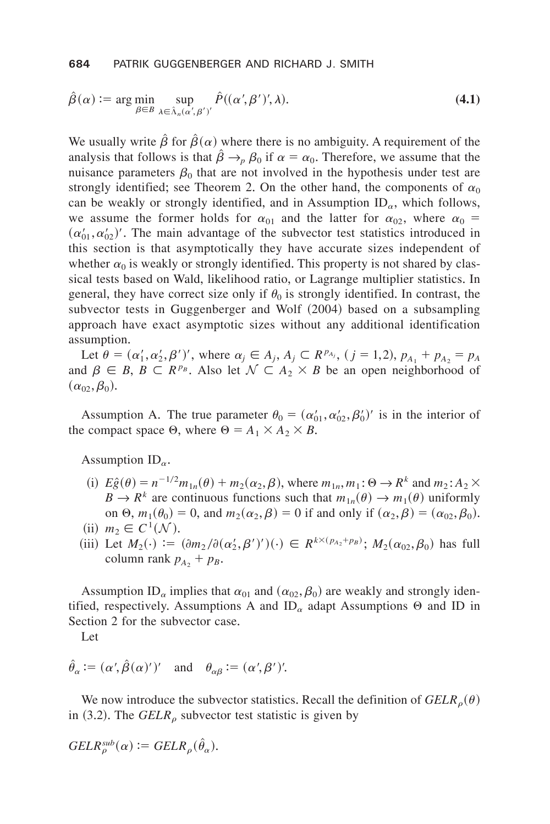$$
\hat{\beta}(\alpha) := \arg\min_{\beta \in B} \sup_{\lambda \in \hat{\Lambda}_n(\alpha', \beta')} \hat{P}((\alpha', \beta')', \lambda). \tag{4.1}
$$

We usually write  $\hat{\beta}$  for  $\hat{\beta}(\alpha)$  where there is no ambiguity. A requirement of the analysis that follows is that  $\hat{\beta} \rightarrow_{p} \beta_0$  if  $\alpha = \alpha_0$ . Therefore, we assume that the nuisance parameters  $\beta_0$  that are not involved in the hypothesis under test are strongly identified; see Theorem 2. On the other hand, the components of  $\alpha_0$ can be weakly or strongly identified, and in Assumption  $ID_{\alpha}$ , which follows, we assume the former holds for  $\alpha_{01}$  and the latter for  $\alpha_{02}$ , where  $\alpha_0 =$  $(\alpha_{01}', \alpha_{02}')'$ . The main advantage of the subvector test statistics introduced in this section is that asymptotically they have accurate sizes independent of whether  $\alpha_0$  is weakly or strongly identified. This property is not shared by classical tests based on Wald, likelihood ratio, or Lagrange multiplier statistics. In general, they have correct size only if  $\theta_0$  is strongly identified. In contrast, the subvector tests in Guggenberger and Wolf (2004) based on a subsampling approach have exact asymptotic sizes without any additional identification assumption.

Let  $\theta = (\alpha'_1, \alpha'_2, \beta')'$ , where  $\alpha_j \in A_j$ ,  $A_j \subset R^{p_{A_j}}$ ,  $(j = 1, 2)$ ,  $p_{A_1} + p_{A_2} = p_A$ and  $\beta \in B$ ,  $B \subset R^{p_B}$ . Also let  $\mathcal{N} \subset A_2 \times B$  be an open neighborhood of  $(\alpha_{02}, \beta_0).$ 

Assumption A. The true parameter  $\theta_0 = (\alpha'_{01}, \alpha'_{02}, \beta'_0)'$  is in the interior of the compact space  $\Theta$ , where  $\Theta = A_1 \times A_2 \times B$ .

Assumption  $ID_{\alpha}$ .

- (i)  $E\hat{g}(\theta) = n^{-1/2}m_{1n}(\theta) + m_2(\alpha_2, \beta)$ , where  $m_{1n}, m_1: \Theta \to \mathbb{R}^k$  and  $m_2: A_2 \times$  $B \to R^k$  are continuous functions such that  $m_{1n}(\theta) \to m_1(\theta)$  uniformly on  $\Theta$ ,  $m_1(\theta_0) = 0$ , and  $m_2(\alpha_2, \beta) = 0$  if and only if  $(\alpha_2, \beta) = (\alpha_{02}, \beta_0)$ .  $(iii)$   $m_2 \in C^1(\mathcal{N})$ .
- (iii) Let  $M_2(\cdot) := (\partial m_2 / \partial (\alpha'_2, \beta')') (\cdot) \in R^{k \times (p_{A_2} + p_B)}$ ;  $M_2(\alpha_{02}, \beta_0)$  has full column rank  $p_{A_2} + p_B$ .

Assumption ID<sub> $\alpha$ </sub> implies that  $\alpha_{01}$  and  $(\alpha_{02}, \beta_0)$  are weakly and strongly identified, respectively. Assumptions A and  $ID_{\alpha}$  adapt Assumptions  $\Theta$  and ID in Section 2 for the subvector case.

Let

$$
\hat{\theta}_{\alpha} := (\alpha', \hat{\beta}(\alpha)')'
$$
 and  $\theta_{\alpha\beta} := (\alpha', \beta')'$ .

We now introduce the subvector statistics. Recall the definition of  $GELR_{\rho}(\theta)$ in  $(3.2)$ . The *GELR*<sub>o</sub> subvector test statistic is given by

$$
GELR_{\rho}^{sub}(\alpha) := GELR_{\rho}(\hat{\theta}_{\alpha}).
$$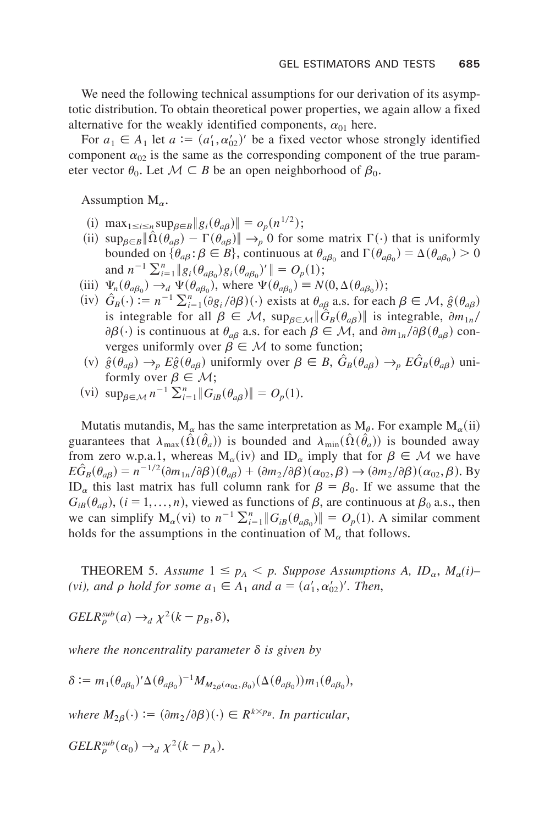We need the following technical assumptions for our derivation of its asymptotic distribution+ To obtain theoretical power properties, we again allow a fixed alternative for the weakly identified components,  $\alpha_{01}$  here.

For  $a_1 \in A_1$  let  $a := (a'_1, a'_0)'$  be a fixed vector whose strongly identified component  $\alpha_{02}$  is the same as the corresponding component of the true parameter vector  $\theta_0$ . Let  $\mathcal{M} \subset B$  be an open neighborhood of  $\beta_0$ .

Assumption  $M_{\alpha}$ .

- (i)  $\max_{1 \le i \le n} \sup_{\beta \in B} \|g_i(\theta_{a\beta})\| = o_p(n^{1/2});$
- (ii)  $\sup_{\beta \in B} \|\hat{\Omega}(\theta_{a\beta}) \Gamma(\theta_{a\beta})\| \to_p 0$  for some matrix  $\Gamma(\cdot)$  that is uniformly bounded on  $\{\theta_{a\beta} : \beta \in B\}$ , continuous at  $\theta_{a\beta_0}$  and  $\Gamma(\theta_{a\beta_0}) = \Delta(\theta_{a\beta_0}) > 0$ and  $n^{-1} \sum_{i=1}^{n} ||g_i(\theta_{a\beta_0})g_i(\theta_{a\beta_0})'|| = O_p(1);$
- (iii)  $\Psi_n(\theta_{a\beta_0}) \to_d \Psi(\theta_{a\beta_0})$ , where  $\Psi(\theta_{a\beta_0}) = N(0, \Delta(\theta_{a\beta_0}))$ ;
- $(iv)$   $\hat{G}_B(\cdot) := n^{-1} \sum_{i=1}^n (\partial g_i / \partial \beta)(\cdot)$  exists at  $\theta_{a\beta}$  a.s. for each  $\beta \in \mathcal{M}, \hat{g}(\theta_{a\beta})$ is integrable for all  $\beta \in M$ ,  $\sup_{\beta \in M} \|\hat{G}_B(\theta_{a\beta})\|$  is integrable,  $\partial m_{1n}/2$  $\partial \beta(\cdot)$  is continuous at  $\theta_{a\beta}$  a.s. for each  $\beta \in M$ , and  $\partial m_{1n}/\partial \beta(\theta_{a\beta})$  converges uniformly over  $\beta \in \mathcal{M}$  to some function;
- (v)  $\hat{g}(\theta_{a\beta}) \rightarrow_{p} E\hat{g}(\theta_{a\beta})$  uniformly over  $\beta \in B$ ,  $\hat{G}_{B}(\theta_{a\beta}) \rightarrow_{p} E\hat{G}_{B}(\theta_{a\beta})$  uniformly over  $\beta \in \mathcal{M}$ ;
- $(vi)$  sup<sub> $\beta \in \mathcal{M}} n^{-1} \sum_{i=1}^{n} \| G_{iB}(\theta_{a\beta}) \| = O_p(1)$ .</sub>

Mutatis mutandis,  $M_\alpha$  has the same interpretation as  $M_\theta$ . For example  $M_\alpha$ (ii) guarantees that  $\lambda_{\max}(\Omega(\hat{\theta}_a))$  is bounded and  $\lambda_{\min}(\Omega(\hat{\theta}_a))$  is bounded away from zero w.p.a.1, whereas  $M_{\alpha}(iv)$  and  $ID_{\alpha}$  imply that for  $\beta \in \mathcal{M}$  we have  $E\hat{G}_B(\theta_{a\beta}) = n^{-1/2}(\partial m_{1n}/\partial \beta)(\theta_{a\beta}) + (\partial m_2/\partial \beta)(\alpha_{02}, \beta) \rightarrow (\partial m_2/\partial \beta)(\alpha_{02}, \beta)$ . By ID<sub>a</sub> this last matrix has full column rank for  $\beta = \beta_0$ . If we assume that the  $G_{iB}(\theta_{aB})$ ,  $(i = 1,...,n)$ , viewed as functions of  $\beta$ , are continuous at  $\beta_0$  a.s., then we can simplify  $M_\alpha$ (vi) to  $n^{-1} \sum_{i=1}^n ||G_{iB}(\theta_{a\beta_0})|| = O_p(1)$ . A similar comment holds for the assumptions in the continuation of  $M_{\alpha}$  that follows.

**THEOREM 5.** Assume  $1 \leq p_A < p$ . Suppose Assumptions A,  $ID_\alpha$ ,  $M_\alpha(i)$ – *(vi), and*  $\rho$  *hold for some*  $a_1 \in A_1$  *and*  $a = (a'_1, a'_{02})'$ *. Then,* 

$$
GELR_{\rho}^{sub}(a) \rightarrow_d \chi^2(k - p_B, \delta),
$$

*where the noncentrality parameter*  $\delta$  *is given by* 

$$
\delta := m_1(\theta_{a\beta_0})' \Delta(\theta_{a\beta_0})^{-1} M_{M_{2\beta}(\alpha_{02}, \beta_0)}(\Delta(\theta_{a\beta_0})) m_1(\theta_{a\beta_0}),
$$

*where*  $M_{2\beta}(\cdot) := (\partial m_2 / \partial \beta)(\cdot) \in R^{k \times p_B}$ . In particular,

$$
GELR_{\rho}^{sub}(\alpha_0) \rightarrow_d \chi^2(k - p_A).
$$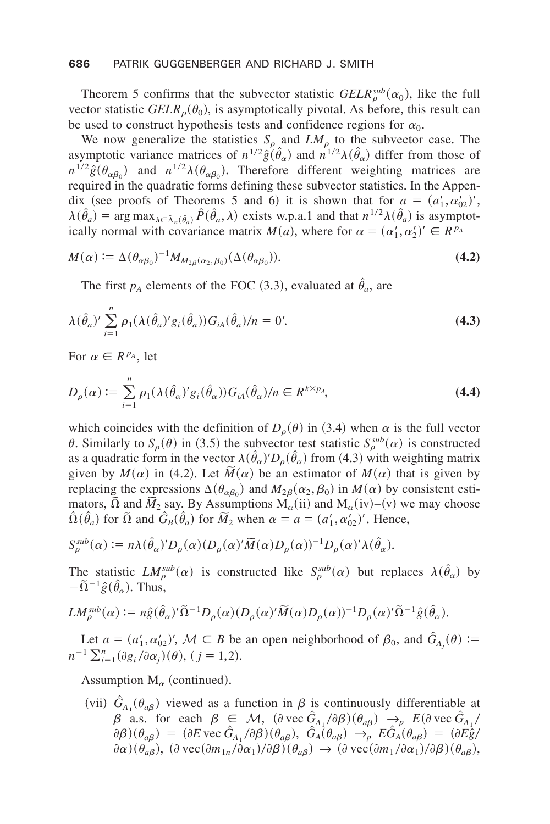#### **686** PATRIK GUGGENBERGER AND RICHARD J. SMITH

Theorem 5 confirms that the subvector statistic  $GELR_{\rho}^{sub}(\alpha_0)$ , like the full vector statistic  $GELR<sub>o</sub>(\theta_0)$ , is asymptotically pivotal. As before, this result can be used to construct hypothesis tests and confidence regions for  $\alpha_0$ .

We now generalize the statistics  $S_{\rho}$  and  $LM_{\rho}$  to the subvector case. The asymptotic variance matrices of  $n^{1/2} \hat{g}(\hat{\theta}_{\alpha})$  and  $n^{1/2} \lambda(\hat{\theta}_{\alpha})$  differ from those of  $n^{1/2}\hat{g}(\theta_{\alpha\beta_0})$  and  $n^{1/2}\lambda(\theta_{\alpha\beta_0})$ . Therefore different weighting matrices are required in the quadratic forms defining these subvector statistics. In the Appendix (see proofs of Theorems 5 and 6) it is shown that for  $a = (a'_1, a'_{02})'$ ,  $\lambda(\hat{\theta}_a)$  = arg max<sub> $\lambda \in \hat{\Lambda}_n(\hat{\theta}_a)} \hat{P}(\hat{\theta}_a, \lambda)$  exists w.p.a.1 and that  $n^{1/2}\lambda(\hat{\theta}_a)$  is asymptot-</sub> ically normal with covariance matrix  $M(a)$ , where for  $\alpha = (\alpha'_1, \alpha'_2)' \in R^{p_A}$ 

$$
M(\alpha) := \Delta(\theta_{\alpha\beta_0})^{-1} M_{M_{2\beta}(\alpha_2, \beta_0)}(\Delta(\theta_{\alpha\beta_0})).
$$
\n(4.2)

The first  $p_A$  elements of the FOC (3.3), evaluated at  $\hat{\theta}_a$ , are

$$
\lambda(\hat{\theta}_a)' \sum_{i=1}^n \rho_1(\lambda(\hat{\theta}_a)' g_i(\hat{\theta}_a)) G_{iA}(\hat{\theta}_a)/n = 0'. \tag{4.3}
$$

For  $\alpha \in R^{p_A}$ , let

$$
D_{\rho}(\alpha) := \sum_{i=1}^{n} \rho_1(\lambda(\hat{\theta}_{\alpha})' g_i(\hat{\theta}_{\alpha})) G_{iA}(\hat{\theta}_{\alpha})/n \in R^{k \times p_A},
$$
\n(4.4)

which coincides with the definition of  $D_{\rho}(\theta)$  in (3.4) when  $\alpha$  is the full vector  $\theta$ . Similarly to  $S_\rho(\theta)$  in (3.5) the subvector test statistic  $S_\rho^{sub}(\alpha)$  is constructed as a quadratic form in the vector  $\lambda(\hat{\theta}_\alpha)' D_\rho(\hat{\theta}_\alpha)$  from (4.3) with weighting matrix given by  $M(\alpha)$  in (4.2). Let  $\overline{M}(\alpha)$  be an estimator of  $M(\alpha)$  that is given by replacing the expressions  $\Delta(\theta_{\alpha\beta_0})$  and  $M_{2\beta}(\alpha_2, \beta_0)$  in  $M(\alpha)$  by consistent estimators,  $\Omega$  and  $\overline{M}_2$  say. By Assumptions M<sub>a</sub>(ii) and M<sub>a</sub>(iv)–(v) we may choose  $\Omega(\hat{\theta}_a)$  for  $\tilde{\Omega}$  and  $\tilde{G}_B(\hat{\theta}_a)$  for  $\tilde{M}_2$  when  $\alpha = a = (a'_1, a'_{02})'$ . Hence,

$$
S_{\rho}^{sub}(\alpha) := n\lambda(\hat{\theta}_{\alpha})' D_{\rho}(\alpha) (D_{\rho}(\alpha)'\widetilde{M}(\alpha)D_{\rho}(\alpha))^{-1} D_{\rho}(\alpha)'\lambda(\hat{\theta}_{\alpha}).
$$

The statistic  $LM_{\rho}^{sub}(\alpha)$  is constructed like  $S_{\rho}^{sub}(\alpha)$  but replaces  $\lambda(\hat{\theta}_{\alpha})$  by  $-\tilde{\Omega}^{-1}\hat{g}(\hat{\theta}_{\alpha})$ . Thus,

$$
LM_{\rho}^{sub}(\alpha) := n\hat{g}(\hat{\theta}_{\alpha})'\tilde{\Omega}^{-1}D_{\rho}(\alpha)(D_{\rho}(\alpha)'\tilde{M}(\alpha)D_{\rho}(\alpha))^{-1}D_{\rho}(\alpha)'\tilde{\Omega}^{-1}\hat{g}(\hat{\theta}_{\alpha}).
$$

Let  $a = (a'_1, a'_0)$ ',  $M \subset B$  be an open neighborhood of  $\beta_0$ , and  $G_{A_i}(\theta)$  :=  $n^{-1} \sum_{i=1}^{n} (\partial g_i / \partial \alpha_j)(\theta), (j = 1, 2).$ 

Assumption  $M_{\alpha}$  (continued).

(vii)  $G_{A_1}(\theta_{a\beta})$  viewed as a function in  $\beta$  is continuously differentiable at  $\beta$  a.s. for each  $\beta \in M$ ,  $(\partial \text{vec } \hat{G}_{A_1}/\partial \beta)(\theta_{a\beta}) \rightarrow_{p} E(\partial \text{vec } \hat{G}_{A_1}/\partial \beta)$  $\partial \beta$ ) $(\theta_{a\beta}) = (\partial E \text{ vec } \hat{G}_{A_1}/\partial \beta)(\theta_{a\beta}), \ \hat{G}_A(\theta_{a\beta}) \rightarrow_p E \hat{G}_A(\theta_{a\beta}) = (\partial E \hat{g})/2$  $\partial \alpha$ ) $(\theta_{a\beta})$ ,  $(\partial \text{vec}(\partial m_{1n}/\partial \alpha_1)/\partial \beta)$  $(\theta_{a\beta}) \rightarrow (\partial \text{vec}(\partial m_1/\partial \alpha_1)/\partial \beta)$  $(\theta_{a\beta})$ ,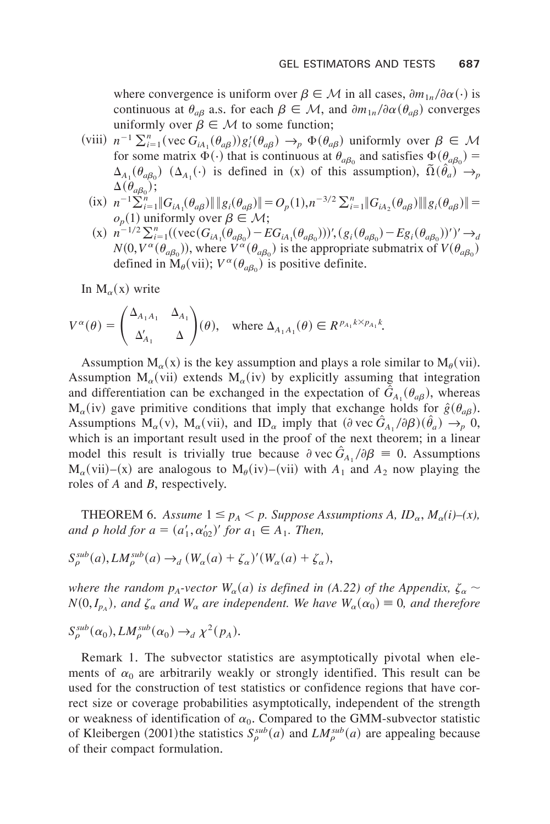where convergence is uniform over  $\beta \in M$  in all cases,  $\partial m_{1n}/\partial \alpha$  (·) is continuous at  $\theta_{a\beta}$  a.s. for each  $\beta \in M$ , and  $\partial m_{1n}/\partial \alpha(\theta_{a\beta})$  converges uniformly over  $\beta \in M$  to some function;

- (viii)  $n^{-1} \sum_{i=1}^{n} (\text{vec } G_{iA_i}(\theta_{a\beta})) g_i'(\theta_{a\beta}) \to_p \Phi(\theta_{a\beta})$  uniformly over  $\beta \in \mathcal{M}$ for some matrix  $\Phi(\cdot)$  that is continuous at  $\theta_{a\beta_0}$  and satisfies  $\Phi(\theta_{a\beta_0}) =$  $\Delta_{A_1}(\theta_{a\beta_0})$  ( $\Delta_{A_1}(\cdot)$  is defined in (x) of this assumption),  $\tilde{\Omega}(\hat{\theta}_a) \to_p$  $\Delta(\theta_{a\beta_0});$ 
	- $(i \times n^{-1} \sum_{i=1}^{n} ||G_{iA_{1}}(\theta_{a\beta})|| ||g_{i}(\theta_{a\beta})|| = O_{p}(1), n^{-3/2} \sum_{i=1}^{n} ||G_{iA_{2}}(\theta_{a\beta})|| ||g_{i}(\theta_{a\beta})|| =$  $o_p(1)$  uniformly over  $\beta \in \mathcal{M}$ ;
	- $(x)$   $n^{-1/2} \sum_{i=1}^{n} ((\text{vec}(G_{iA_1}(\theta_{a\beta_0}) EG_{iA_1}(\theta_{a\beta_0})))', (g_i(\theta_{a\beta_0}) Eg_i(\theta_{a\beta_0}))')' \rightarrow_d$  $N(0, V^{\alpha}(\theta_{a\beta_0}))$ , where  $V^{\alpha}(\theta_{a\beta_0})$  is the appropriate submatrix of  $V(\theta_{a\beta_0})$ defined in  $\dot{M}_{\theta}$ (vii);  $V^{\alpha}(\theta_{a\beta_0})$  is positive definite.

In  $M_{\alpha}(x)$  write

$$
V^{\alpha}(\theta) = \begin{pmatrix} \Delta_{A_1A_1} & \Delta_{A_1} \\ \Delta'_{A_1} & \Delta \end{pmatrix}(\theta), \text{ where } \Delta_{A_1A_1}(\theta) \in R^{p_{A_1}k \times p_{A_1}k}.
$$

Assumption  $M_{\alpha}(x)$  is the key assumption and plays a role similar to  $M_{\theta}(vii)$ . Assumption  $M_{\alpha}(vi)$  extends  $M_{\alpha}(iv)$  by explicitly assuming that integration and differentiation can be exchanged in the expectation of  $G_{A_1}(\theta_{a\beta})$ , whereas  $M_{\alpha}(iv)$  gave primitive conditions that imply that exchange holds for  $\hat{g}(\theta_{a\beta})$ . Assumptions  $M_{\alpha}(v)$ ,  $M_{\alpha}(vii)$ , and  $ID_{\alpha}$  imply that  $(\partial vec \hat{G}_{A_1}/\partial \beta)(\hat{\theta}_a) \rightarrow_p 0$ , which is an important result used in the proof of the next theorem; in a linear model this result is trivially true because  $\partial \text{vec } G_{A_1}/\partial \beta = 0$ . Assumptions  $M_{\alpha}(vii)$ –(x) are analogous to  $M_{\beta}(iv)$ –(vii) with  $A_1$  and  $A_2$  now playing the roles of *A* and *B*, respectively.

THEOREM 6. *Assume*  $1 \leq p_A < p$ . *Suppose Assumptions A, ID<sub>a</sub>, M<sub>a</sub>(i)–(x),*  $and \rho \text{ hold for } a = (a'_1, a'_0)' \text{ for } a_1 \in A_1.$  Then,

$$
S_{\rho}^{sub}(a), LM_{\rho}^{sub}(a) \rightarrow_d (W_{\alpha}(a) + \zeta_{\alpha})'(W_{\alpha}(a) + \zeta_{\alpha}),
$$

*where the random*  $p_A$ *-vector*  $W_\alpha(a)$  *is defined in (A.22) of the Appendix,*  $\zeta_\alpha \sim$  $N(0, I_{p_A})$ , and  $\zeta_\alpha$  *and*  $W_\alpha$  *are independent. We have*  $W_\alpha(\alpha_0) \equiv 0$ *, and therefore* 

$$
S_{\rho}^{sub}(\alpha_0), LM_{\rho}^{sub}(\alpha_0) \rightarrow_d \chi^2(p_A).
$$

Remark 1. The subvector statistics are asymptotically pivotal when elements of  $\alpha_0$  are arbitrarily weakly or strongly identified. This result can be used for the construction of test statistics or confidence regions that have correct size or coverage probabilities asymptotically, independent of the strength or weakness of identification of  $\alpha_0$ . Compared to the GMM-subvector statistic of Kleibergen (2001) the statistics  $S_\rho^{sub}(a)$  and  $LM_\rho^{sub}(a)$  are appealing because of their compact formulation.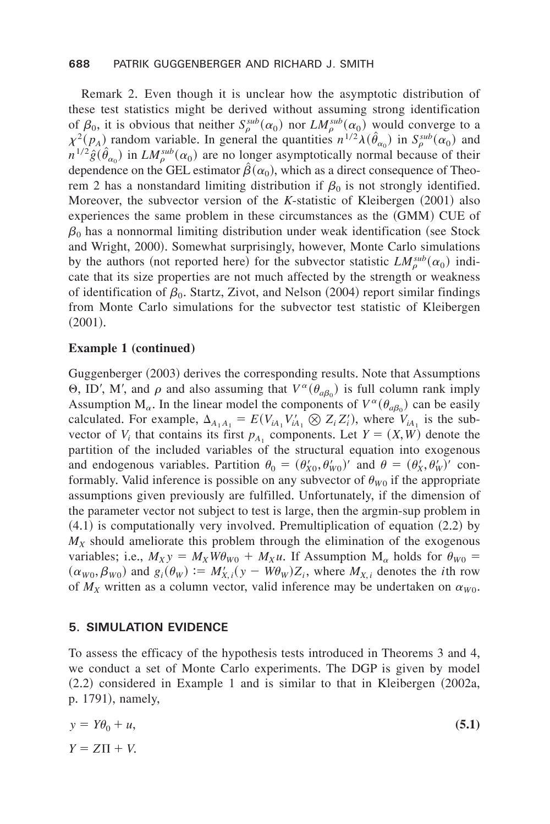Remark 2. Even though it is unclear how the asymptotic distribution of these test statistics might be derived without assuming strong identification of  $\beta_0$ , it is obvious that neither  $S_\rho^{sub}(\alpha_0)$  nor  $LM_\rho^{sub}(\alpha_0)$  would converge to a  $\chi^2(p_A)$  random variable. In general the quantities  $n^{1/2}\lambda(\hat{\theta}_{\alpha_0})$  in  $S_\rho^{sub}(\alpha_0)$  and  $n^{1/2} \hat{g}(\hat{\theta}_{\alpha_0})$  in  $LM_{\rho}^{sub}(\alpha_0)$  are no longer asymptotically normal because of their dependence on the GEL estimator  $\hat{\beta}(\alpha_0)$ , which as a direct consequence of Theorem 2 has a nonstandard limiting distribution if  $\beta_0$  is not strongly identified. Moreover, the subvector version of the *K*-statistic of Kleibergen (2001) also experiences the same problem in these circumstances as the  $(GMM)$  CUE of  $\beta_0$  has a nonnormal limiting distribution under weak identification (see Stock and Wright, 2000). Somewhat surprisingly, however, Monte Carlo simulations by the authors (not reported here) for the subvector statistic  $LM_{\rho}^{sub}(\alpha_0)$  indicate that its size properties are not much affected by the strength or weakness of identification of  $\beta_0$ . Startz, Zivot, and Nelson (2004) report similar findings from Monte Carlo simulations for the subvector test statistic of Kleibergen  $(2001).$ 

## **Example 1 (continued)**

Guggenberger (2003) derives the corresponding results. Note that Assumptions  $\Theta$ , ID', M', and  $\rho$  and also assuming that  $V^{\alpha}(\theta_{a\beta_0})$  is full column rank imply Assumption  $M_{\alpha}$ . In the linear model the components of  $V^{\alpha}(\theta_{a\beta_0})$  can be easily calculated. For example,  $\Delta_{A_1 A_1} = E(V_{iA_1} V'_{iA_1} \otimes Z_i Z'_i)$ , where  $V_{iA_1}$  is the subvector of  $V_i$  that contains its first  $p_{A_1}$  components. Let  $Y = (X, W)$  denote the partition of the included variables of the structural equation into exogenous and endogenous variables. Partition  $\theta_0 = (\theta'_{X0}, \theta'_{W0})'$  and  $\theta = (\theta'_{X}, \theta'_{W})'$  conformably. Valid inference is possible on any subvector of  $\theta_{W0}$  if the appropriate assumptions given previously are fulfilled. Unfortunately, if the dimension of the parameter vector not subject to test is large, then the argmin-sup problem in  $(4.1)$  is computationally very involved. Premultiplication of equation  $(2.2)$  by  $M_X$  should ameliorate this problem through the elimination of the exogenous variables; i.e.,  $M_{XY} = M_X W \theta_{W0} + M_X u$ . If Assumption  $M_\alpha$  holds for  $\theta_{W0} =$  $(\alpha_{W0}, \beta_{W0})$  and  $g_i(\theta_W) := M'_{X,i}(y - W\theta_W)Z_i$ , where  $M_{X,i}$  denotes the *i*th row of  $M_X$  written as a column vector, valid inference may be undertaken on  $\alpha_{W0}$ .

## **5. SIMULATION EVIDENCE**

To assess the efficacy of the hypothesis tests introduced in Theorems 3 and 4, we conduct a set of Monte Carlo experiments. The DGP is given by model  $(2.2)$  considered in Example 1 and is similar to that in Kleibergen  $(2002a,$ p. 1791), namely,

$$
y = Y\theta_0 + u,
$$
  
\n
$$
Y = Z\Pi + V.
$$
\n(5.1)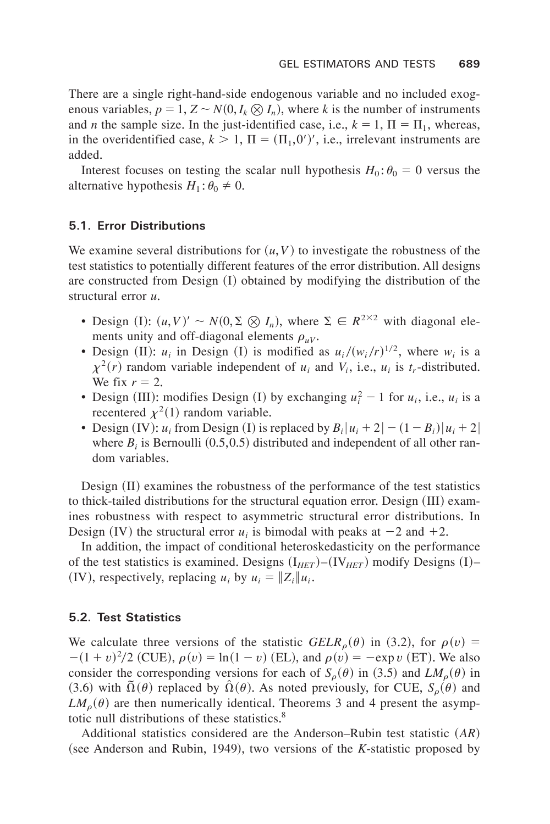There are a single right-hand-side endogenous variable and no included exogenous variables,  $p = 1$ ,  $Z \sim N(0, I_k \otimes I_n)$ , where *k* is the number of instruments and *n* the sample size. In the just-identified case, i.e.,  $k = 1$ ,  $\Pi = \Pi_1$ , whereas, in the overidentified case,  $k > 1$ ,  $\Pi = (\Pi_1, 0')'$ , i.e., irrelevant instruments are added.

Interest focuses on testing the scalar null hypothesis  $H_0: \theta_0 = 0$  versus the alternative hypothesis  $H_1$ :  $\theta_0 \neq 0$ .

## **5.1. Error Distributions**

We examine several distributions for  $(u, V)$  to investigate the robustness of the test statistics to potentially different features of the error distribution+ All designs are constructed from Design  $(I)$  obtained by modifying the distribution of the structural error *u*.

- Design (I):  $(u, V)' \sim N(0, \Sigma \otimes I_n)$ , where  $\Sigma \in R^{2 \times 2}$  with diagonal elements unity and off-diagonal elements  $\rho_{uv}$ .
- Design (II):  $u_i$  in Design (I) is modified as  $u_i/(w_i/r)^{1/2}$ , where  $w_i$  is a  $\chi^2(r)$  random variable independent of  $u_i$  and  $V_i$ , i.e.,  $u_i$  is  $t_r$ -distributed. We fix  $r = 2$ .
- Design (III): modifies Design (I) by exchanging  $u_i^2 1$  for  $u_i$ , i.e.,  $u_i$  is a recentered  $\chi^2(1)$  random variable.
- Design (IV):  $u_i$  from Design (I) is replaced by  $B_i |u_i + 2| (1 B_i) |u_i + 2|$ where  $B_i$  is Bernoulli  $(0.5,0.5)$  distributed and independent of all other random variables.

Design  $(II)$  examines the robustness of the performance of the test statistics to thick-tailed distributions for the structural equation error. Design  $(III)$  examines robustness with respect to asymmetric structural error distributions. In Design (IV) the structural error  $u_i$  is bimodal with peaks at  $-2$  and  $+2$ .

In addition, the impact of conditional heteroskedasticity on the performance of the test statistics is examined. Designs  $(I_{HET})$ – $(V_{HET})$  modify Designs  $(I)$ – (IV), respectively, replacing  $u_i$  by  $u_i = ||Z_i||u_i$ .

#### **5.2. Test Statistics**

We calculate three versions of the statistic  $GELR_{\rho}(\theta)$  in (3.2), for  $\rho(v)$  =  $-(1 + v)^2/2$  (CUE),  $\rho(v) = \ln(1 - v)$  (EL), and  $\rho(v) = -e^{v}$  (ET). We also consider the corresponding versions for each of  $S_{\rho}(\theta)$  in (3.5) and  $LM_{\rho}(\theta)$  in (3.6) with  $\tilde{\Omega}(\theta)$  replaced by  $\hat{\Omega}(\theta)$ . As noted previously, for CUE,  $S_{\rho}(\theta)$  and  $LM_{\rho}(\theta)$  are then numerically identical. Theorems 3 and 4 present the asymptotic null distributions of these statistics.<sup>8</sup>

Additional statistics considered are the Anderson–Rubin test statistic  $(AR)$ (see Anderson and Rubin, 1949), two versions of the *K*-statistic proposed by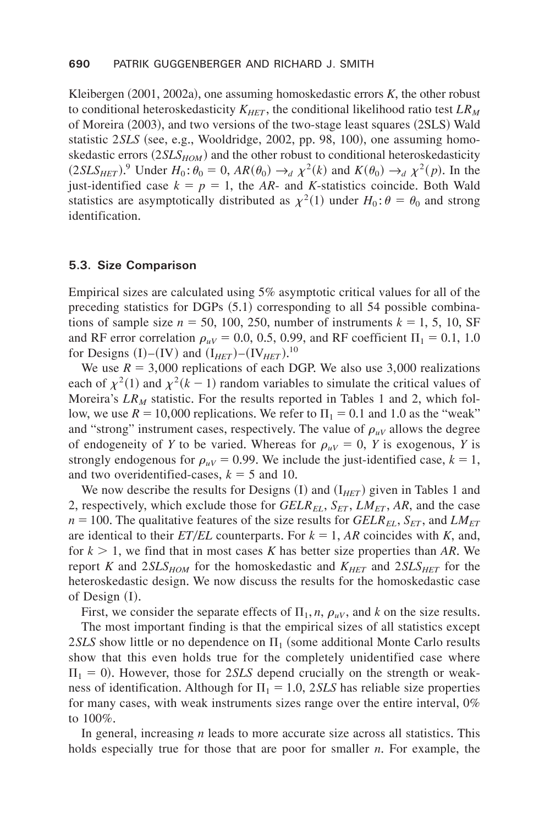Kleibergen  $(2001, 2002a)$ , one assuming homoskedastic errors  $K$ , the other robust to conditional heteroskedasticity  $K_{HET}$ , the conditional likelihood ratio test  $LR_M$ of Moreira  $(2003)$ , and two versions of the two-stage least squares  $(2SLS)$  Wald statistic 2*SLS* (see, e.g., Wooldridge, 2002, pp. 98, 100), one assuming homoskedastic errors  $(2SLS_{HOM})$  and the other robust to conditional heteroskedasticity  $(2SLS_{HET})$ <sup>9</sup> Under  $H_0: \theta_0 = 0$ ,  $AR(\theta_0) \rightarrow_d \chi^2(k)$  and  $K(\theta_0) \rightarrow_d \chi^2(p)$ . In the just-identified case  $k = p = 1$ , the *AR*- and *K*-statistics coincide. Both Wald statistics are asymptotically distributed as  $\chi^2(1)$  under  $H_0: \theta = \theta_0$  and strong identification.

#### **5.3. Size Comparison**

Empirical sizes are calculated using 5% asymptotic critical values for all of the preceding statistics for DGPs  $(5.1)$  corresponding to all 54 possible combinations of sample size  $n = 50$ , 100, 250, number of instruments  $k = 1, 5, 10, SF$ and RF error correlation  $\rho_{\mu V}$  = 0.0, 0.5, 0.99, and RF coefficient  $\Pi_1$  = 0.1, 1.0 for Designs (I)–(IV) and  $(I_{HET})$ – $(IV_{HET})$ <sup>10</sup>

We use  $R = 3,000$  replications of each DGP. We also use 3,000 realizations each of  $\chi^2(1)$  and  $\chi^2(k-1)$  random variables to simulate the critical values of Moreira's  $LR_M$  statistic. For the results reported in Tables 1 and 2, which follow, we use  $R = 10,000$  replications. We refer to  $\Pi_1 = 0.1$  and 1.0 as the "weak" and "strong" instrument cases, respectively. The value of  $\rho_{\mu\nu}$  allows the degree of endogeneity of *Y* to be varied. Whereas for  $\rho_{uv} = 0$ , *Y* is exogenous, *Y* is strongly endogenous for  $\rho_{uv} = 0.99$ . We include the just-identified case,  $k = 1$ , and two overidentified-cases,  $k = 5$  and 10.

We now describe the results for Designs  $(I)$  and  $(I<sub>HET</sub>)$  given in Tables 1 and 2, respectively, which exclude those for  $GELR_{EL}$ ,  $S_{ET}$ ,  $LM_{ET}$ , AR, and the case  $n = 100$ . The qualitative features of the size results for *GELR<sub>EL</sub>*, *S<sub>ET</sub>*, and *LM<sub>ET</sub>* are identical to their  $ET/EL$  counterparts. For  $k = 1$ , AR coincides with K, and, for  $k > 1$ , we find that in most cases K has better size properties than AR. We report *K* and  $2SLS_{HOM}$  for the homoskedastic and  $K_{HET}$  and  $2SLS_{HET}$  for the heteroskedastic design. We now discuss the results for the homoskedastic case of Design  $(I)$ .

First, we consider the separate effects of  $\Pi_1$ , *n*,  $\rho_{uV}$ , and *k* on the size results.

The most important finding is that the empirical sizes of all statistics except 2*SLS* show little or no dependence on  $\Pi_1$  (some additional Monte Carlo results show that this even holds true for the completely unidentified case where  $\Pi_1 = 0$ ). However, those for 2*SLS* depend crucially on the strength or weakness of identification. Although for  $\Pi_1 = 1.0$ , 2*SLS* has reliable size properties for many cases, with weak instruments sizes range over the entire interval, 0% to  $100\%$ .

In general, increasing  $n$  leads to more accurate size across all statistics. This holds especially true for those that are poor for smaller *n*. For example, the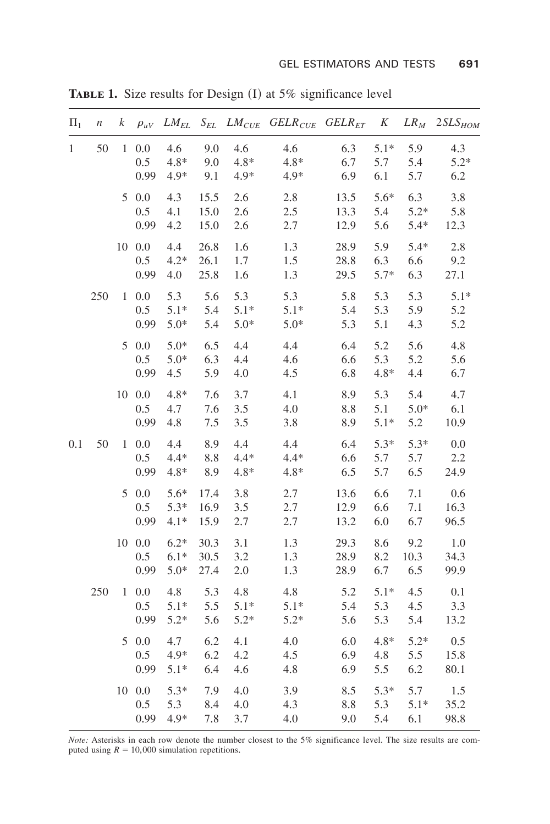| $\Pi_1$      | $\,$ | k | $\rho_{uV}$                       | $LM_{EL}$                  |                       |                         | $S_{EL}$ LM <sub>CUE</sub> GELR <sub>CUE</sub> GELR <sub>ET</sub> K |                      |                      | $LR_M$                  | $2SLS_{HOM}$         |
|--------------|------|---|-----------------------------------|----------------------------|-----------------------|-------------------------|---------------------------------------------------------------------|----------------------|----------------------|-------------------------|----------------------|
| $\mathbf{1}$ | 50   |   | $1\ 0.0$<br>$0.5^{\circ}$<br>0.99 | 4.6<br>$4.8*$<br>$4.9*$    | 9.0<br>9.0<br>9.1     | 4.6<br>$4.8*$<br>$4.9*$ | 4.6<br>$4.8*$<br>$4.9*$                                             | 6.3<br>6.7<br>6.9    | $5.1*$<br>5.7<br>6.1 | 5.9<br>5.4<br>5.7       | 4.3<br>$5.2*$<br>6.2 |
|              |      |   | 5 0.0<br>$0.5^{\circ}$<br>0.99    | 4.3<br>4.1<br>4.2          | 15.5<br>15.0<br>15.0  | 2.6<br>2.6<br>2.6       | 2.8<br>2.5<br>2.7                                                   | 13.5<br>13.3<br>12.9 | 5.6*<br>5.4<br>5.6   | 6.3<br>$5.2*$<br>$5.4*$ | 3.8<br>5.8<br>12.3   |
|              |      |   | 10 0.0<br>0.5<br>0.99             | 4.4<br>$4.2*$<br>4.0       | 26.8<br>26.1<br>25.8  | 1.6<br>1.7<br>1.6       | 1.3<br>1.5<br>1.3                                                   | 28.9<br>28.8<br>29.5 | 5.9<br>6.3<br>$5.7*$ | $5.4*$<br>6.6<br>6.3    | 2.8<br>9.2<br>27.1   |
|              | 250  |   | $1\ 0.0$<br>$0.5^{\circ}$<br>0.99 | 5.3<br>$5.1*$<br>$5.0*$    | 5.6<br>5.4<br>5.4     | 5.3<br>$5.1*$<br>$5.0*$ | 5.3<br>$5.1*$<br>$5.0*$                                             | 5.8<br>5.4<br>5.3    | 5.3<br>5.3<br>5.1    | 5.3<br>5.9<br>4.3       | $5.1*$<br>5.2<br>5.2 |
|              |      |   | 50.0<br>0.5<br>0.99               | $5.0*$<br>$5.0*$<br>4.5    | 6.5<br>6.3<br>5.9     | 4.4<br>4.4<br>4.0       | 4.4<br>4.6<br>4.5                                                   | 6.4<br>6.6<br>6.8    | 5.2<br>5.3<br>$4.8*$ | 5.6<br>5.2<br>4.4       | 4.8<br>5.6<br>6.7    |
|              |      |   | 100.0<br>0.5<br>0.99              | $4.8*$<br>4.7<br>4.8       | 7.6<br>7.6<br>7.5     | 3.7<br>3.5<br>3.5       | 4.1<br>4.0<br>3.8                                                   | 8.9<br>8.8<br>8.9    | 5.3<br>5.1<br>$5.1*$ | 5.4<br>$5.0*$<br>5.2    | 4.7<br>6.1<br>10.9   |
| 0.1          | 50   |   | $1\ 0.0$<br>0.5<br>0.99           | 4.4<br>$4.4*$<br>$4.8*$    | 8.9<br>$8.8\,$<br>8.9 | 4.4<br>$4.4*$<br>$4.8*$ | 4.4<br>$4.4*$<br>$4.8*$                                             | 6.4<br>6.6<br>6.5    | $5.3*$<br>5.7<br>5.7 | $5.3*$<br>5.7<br>6.5    | 0.0<br>2.2<br>24.9   |
|              |      |   | 50.0<br>0.5<br>0.99               | $5.6*$<br>$5.3*$<br>$4.1*$ | 17.4<br>16.9<br>15.9  | 3.8<br>3.5<br>2.7       | 2.7<br>2.7<br>2.7                                                   | 13.6<br>12.9<br>13.2 | 6.6<br>6.6<br>6.0    | 7.1<br>7.1<br>6.7       | 0.6<br>16.3<br>96.5  |
|              |      |   | 10 0.0<br>0.5<br>0.99             | $6.2*$<br>$6.1*$<br>$5.0*$ | 30.3<br>30.5<br>27.4  | 3.1<br>3.2<br>2.0       | 1.3<br>1.3<br>1.3                                                   | 29.3<br>28.9<br>28.9 | 8.6<br>8.2<br>6.7    | 9.2<br>10.3<br>6.5      | 1.0<br>34.3<br>99.9  |
|              | 250  |   | $1\ 0.0$<br>0.5<br>0.99           | 4.8<br>$5.1*$<br>$5.2*$    | 5.3<br>5.5<br>5.6     | 4.8<br>$5.1*$<br>$5.2*$ | 4.8<br>$5.1*$<br>$5.2*$                                             | 5.2<br>5.4<br>5.6    | $5.1*$<br>5.3<br>5.3 | 4.5<br>4.5<br>5.4       | 0.1<br>3.3<br>13.2   |
|              |      |   | 50.0<br>$0.5\,$<br>0.99           | 4.7<br>$4.9*$<br>$5.1*$    | 6.2<br>6.2<br>6.4     | 4.1<br>4.2<br>4.6       | 4.0<br>4.5<br>4.8                                                   | 6.0<br>6.9<br>6.9    | $4.8*$<br>4.8<br>5.5 | $5.2*$<br>5.5<br>6.2    | 0.5<br>15.8<br>80.1  |
|              |      |   | 10 0.0<br>$0.5\,$<br>0.99         | $5.3*$<br>5.3<br>$4.9*$    | 7.9<br>8.4<br>7.8     | 4.0<br>4.0<br>3.7       | 3.9<br>4.3<br>4.0                                                   | 8.5<br>8.8<br>9.0    | $5.3*$<br>5.3<br>5.4 | 5.7<br>$5.1*$<br>6.1    | 1.5<br>35.2<br>98.8  |

**TABLE 1.** Size results for Design (I) at 5% significance level

*Note:* Asterisks in each row denote the number closest to the 5% significance level. The size results are com-<br>puted using  $R = 10,000$  simulation repetitions.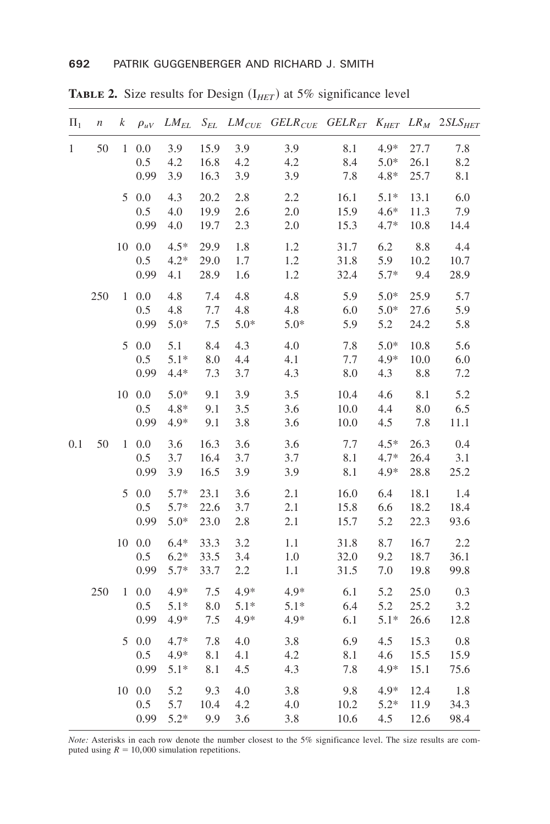| $\Pi_1$ | $\boldsymbol{n}$ | k            | $\rho_{uV}$              |                            |                      |                          | $LM_{EL}$ S <sub>EL</sub> $LM_{CUE}$ GELR <sub>CUE</sub> GELR <sub>ET</sub> K <sub>HET</sub> LR <sub>M</sub> 2SLS <sub>HET</sub> |                      |                            |                      |                     |
|---------|------------------|--------------|--------------------------|----------------------------|----------------------|--------------------------|----------------------------------------------------------------------------------------------------------------------------------|----------------------|----------------------------|----------------------|---------------------|
| 1       | 50               |              | $1\ 0.0$<br>0.5<br>0.99  | 3.9<br>4.2<br>3.9          | 15.9<br>16.8<br>16.3 | 3.9<br>4.2<br>3.9        | 3.9<br>4.2<br>3.9                                                                                                                | 8.1<br>8.4<br>7.8    | 4.9*<br>$5.0*$<br>$4.8*$   | 27.7<br>26.1<br>25.7 | 7.8<br>8.2<br>8.1   |
|         |                  |              | 50.0<br>0.5<br>0.99      | 4.3<br>4.0<br>4.0          | 20.2<br>19.9<br>19.7 | 2.8<br>2.6<br>2.3        | 2.2<br>2.0<br>2.0                                                                                                                | 16.1<br>15.9<br>15.3 | $5.1*$<br>$4.6*$<br>$4.7*$ | 13.1<br>11.3<br>10.8 | 6.0<br>7.9<br>14.4  |
|         |                  |              | 100.0<br>0.5<br>0.99     | $4.5*$<br>$4.2*$<br>4.1    | 29.9<br>29.0<br>28.9 | 1.8<br>1.7<br>1.6        | 1.2<br>1.2<br>1.2                                                                                                                | 31.7<br>31.8<br>32.4 | 6.2<br>5.9<br>$5.7*$       | 8.8<br>10.2<br>9.4   | 4.4<br>10.7<br>28.9 |
|         | 250              | 1            | $0.0\,$<br>0.5<br>0.99   | 4.8<br>4.8<br>$5.0*$       | 7.4<br>7.7<br>7.5    | 4.8<br>4.8<br>$5.0*$     | 4.8<br>4.8<br>$5.0*$                                                                                                             | 5.9<br>6.0<br>5.9    | $5.0*$<br>$5.0*$<br>5.2    | 25.9<br>27.6<br>24.2 | 5.7<br>5.9<br>5.8   |
|         |                  |              | 50.0<br>0.5<br>0.99      | 5.1<br>$5.1*$<br>$4.4*$    | 8.4<br>8.0<br>7.3    | 4.3<br>4.4<br>3.7        | 4.0<br>4.1<br>4.3                                                                                                                | 7.8<br>7.7<br>8.0    | $5.0*$<br>$4.9*$<br>4.3    | 10.8<br>10.0<br>8.8  | 5.6<br>6.0<br>7.2   |
|         |                  |              | 100.0<br>0.5<br>0.99     | $5.0*$<br>$4.8*$<br>4.9*   | 9.1<br>9.1<br>9.1    | 3.9<br>3.5<br>3.8        | 3.5<br>3.6<br>3.6                                                                                                                | 10.4<br>10.0<br>10.0 | 4.6<br>4.4<br>4.5          | 8.1<br>8.0<br>7.8    | 5.2<br>6.5<br>11.1  |
| 0.1     | 50               | $\mathbf{1}$ | $0.0\,$<br>0.5<br>0.99   | 3.6<br>3.7<br>3.9          | 16.3<br>16.4<br>16.5 | 3.6<br>3.7<br>3.9        | 3.6<br>3.7<br>3.9                                                                                                                | 7.7<br>8.1<br>8.1    | $4.5*$<br>$4.7*$<br>$4.9*$ | 26.3<br>26.4<br>28.8 | 0.4<br>3.1<br>25.2  |
|         |                  | 5            | 0.0<br>0.5<br>0.99       | $5.7*$<br>$5.7*$<br>$5.0*$ | 23.1<br>22.6<br>23.0 | 3.6<br>3.7<br>2.8        | 2.1<br>2.1<br>2.1                                                                                                                | 16.0<br>15.8<br>15.7 | 6.4<br>6.6<br>5.2          | 18.1<br>18.2<br>22.3 | 1.4<br>18.4<br>93.6 |
|         |                  |              | $10\ 0.0$<br>0.5<br>0.99 | $6.4*$<br>$6.2*$<br>$5.7*$ | 33.3<br>33.5<br>33.7 | 3.2<br>3.4<br>2.2        | 1.1<br>1.0<br>1.1                                                                                                                | 31.8<br>32.0<br>31.5 | 8.7<br>9.2<br>7.0          | 16.7<br>18.7<br>19.8 | 2.2<br>36.1<br>99.8 |
|         | 250              | $\mathbf{1}$ | 0.0<br>0.5<br>0.99       | 4.9*<br>$5.1*$<br>$4.9*$   | 7.5<br>8.0<br>7.5    | $4.9*$<br>$5.1*$<br>4.9* | $4.9*$<br>$5.1*$<br>$4.9*$                                                                                                       | 6.1<br>6.4<br>6.1    | 5.2<br>5.2<br>$5.1*$       | 25.0<br>25.2<br>26.6 | 0.3<br>3.2<br>12.8  |
|         |                  | 5            | 0.0<br>0.5<br>0.99       | $4.7*$<br>$4.9*$<br>$5.1*$ | 7.8<br>8.1<br>8.1    | 4.0<br>4.1<br>4.5        | 3.8<br>4.2<br>4.3                                                                                                                | 6.9<br>8.1<br>7.8    | 4.5<br>4.6<br>4.9*         | 15.3<br>15.5<br>15.1 | 0.8<br>15.9<br>75.6 |
|         |                  |              | 10 0.0<br>0.5<br>0.99    | 5.2<br>5.7<br>$5.2*$       | 9.3<br>10.4<br>9.9   | 4.0<br>4.2<br>3.6        | 3.8<br>4.0<br>3.8                                                                                                                | 9.8<br>10.2<br>10.6  | 4.9*<br>$5.2*$<br>4.5      | 12.4<br>11.9<br>12.6 | 1.8<br>34.3<br>98.4 |

**TABLE 2.** Size results for Design  $(I_{HET})$  at 5% significance level

*Note:* Asterisks in each row denote the number closest to the 5% significance level. The size results are com-<br>puted using  $R = 10,000$  simulation repetitions.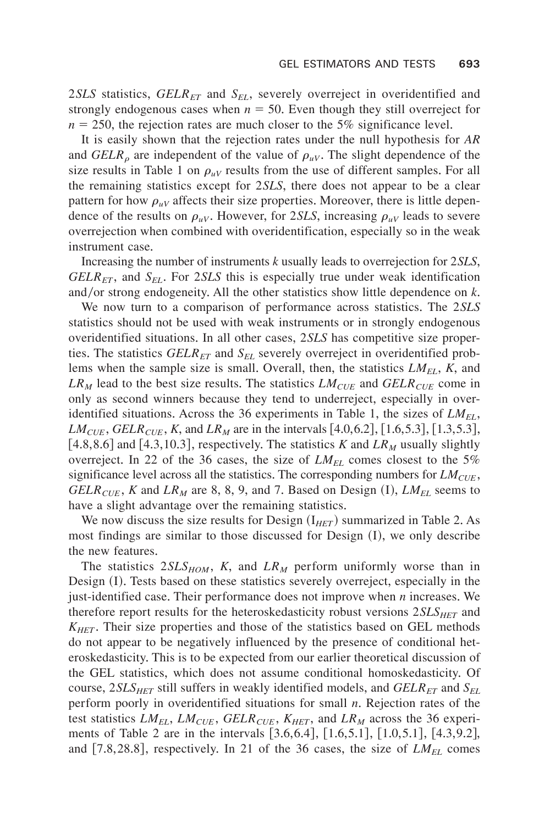2*SLS* statistics,  $GELR<sub>ET</sub>$  and  $S<sub>EL</sub>$ , severely overreject in overidentified and strongly endogenous cases when  $n = 50$ . Even though they still overreject for  $n = 250$ , the rejection rates are much closer to the 5% significance level.

It is easily shown that the rejection rates under the null hypothesis for *AR* and *GELR<sub>o</sub>* are independent of the value of  $\rho_{\mu V}$ . The slight dependence of the size results in Table 1 on  $\rho_{uv}$  results from the use of different samples. For all the remaining statistics except for 2*SLS*, there does not appear to be a clear pattern for how  $\rho_{uV}$  affects their size properties. Moreover, there is little dependence of the results on  $\rho_{uv}$ . However, for 2*SLS*, increasing  $\rho_{uv}$  leads to severe overrejection when combined with overidentification, especially so in the weak instrument case.

Increasing the number of instruments *k* usually leads to overrejection for 2*SLS*,  $GELR<sub>ET</sub>$ , and  $S<sub>EL</sub>$ . For 2*SLS* this is especially true under weak identification and/or strong endogeneity. All the other statistics show little dependence on  $k$ .

We now turn to a comparison of performance across statistics. The 2*SLS* statistics should not be used with weak instruments or in strongly endogenous overidentified situations. In all other cases, 2*SLS* has competitive size properties. The statistics *GELR<sub>ET</sub>* and *S<sub>EL</sub>* severely overreject in overidentified problems when the sample size is small+ Overall, then, the statistics *LMEL*, *K*, and  $LR_M$  lead to the best size results. The statistics  $LM_{CUE}$  and  $GELR_{CUE}$  come in only as second winners because they tend to underreject, especially in overidentified situations. Across the 36 experiments in Table 1, the sizes of  $LM_{EL}$ , *LM<sub>CUE</sub>*, *GELR<sub>CUE</sub>*, *K*, and *LR<sub>M</sub>* are in the intervals [4.0,6.2], [1.6,5.3], [1.3,5.3], [4.8,8.6] and [4.3,10.3], respectively. The statistics *K* and  $LR<sub>M</sub>$  usually slightly overreject. In 22 of the 36 cases, the size of  $LM_{EL}$  comes closest to the 5% significance level across all the statistics. The corresponding numbers for  $LM_{CUE}$ , *GELR<sub>CUE</sub>*, *K* and *LR<sub>M</sub>* are 8, 8, 9, and 7. Based on Design  $(I)$ , *LM<sub>EL</sub>* seems to have a slight advantage over the remaining statistics.

We now discuss the size results for Design  $(I_{HET})$  summarized in Table 2. As most findings are similar to those discussed for Design  $(I)$ , we only describe the new features.

The statistics  $2SLS_{HOM}$ , *K*, and  $LR_M$  perform uniformly worse than in Design  $(I)$ . Tests based on these statistics severely overreject, especially in the just-identified case. Their performance does not improve when *n* increases. We therefore report results for the heteroskedasticity robust versions  $2SLS_{HET}$  and  $K_{HET}$ . Their size properties and those of the statistics based on GEL methods do not appear to be negatively influenced by the presence of conditional heteroskedasticity. This is to be expected from our earlier theoretical discussion of the GEL statistics, which does not assume conditional homoskedasticity. Of course, 2*SLS<sub>HET</sub>* still suffers in weakly identified models, and *GELR<sub>ET</sub>* and *S<sub>EL</sub>* perform poorly in overidentified situations for small *n*. Rejection rates of the test statistics  $LM_{EL}$ ,  $LM_{CUE}$ ,  $GELR_{CUE}$ ,  $K_{HET}$ , and  $LR_M$  across the 36 experiments of Table 2 are in the intervals  $[3.6,6.4]$ ,  $[1.6,5.1]$ ,  $[1.0,5.1]$ ,  $[4.3,9.2]$ , and  $[7.8,28.8]$ , respectively. In 21 of the 36 cases, the size of  $LM_{EL}$  comes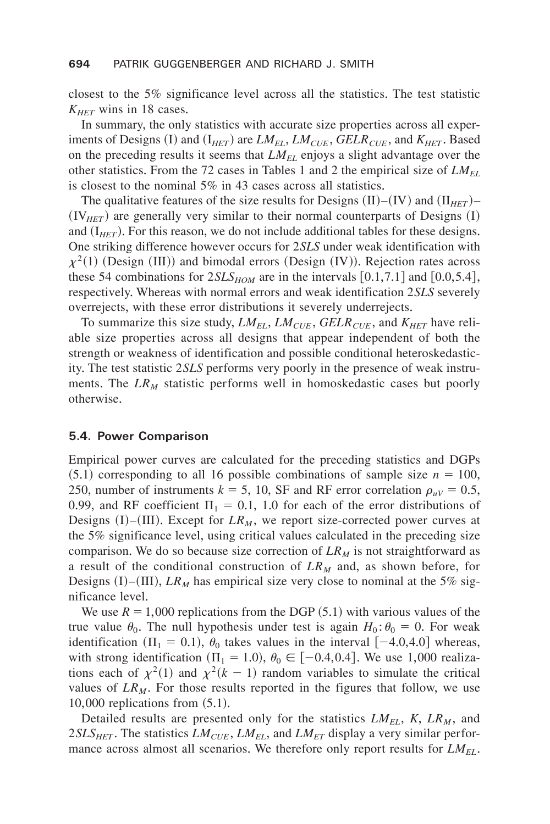closest to the  $5\%$  significance level across all the statistics. The test statistic  $K_{HET}$  wins in 18 cases.

In summary, the only statistics with accurate size properties across all experiments of Designs (I) and ( $I_{HET}$ ) are *LM<sub>EL</sub>*, *LM<sub>CUE</sub>*, *GELR<sub>CUE</sub>*, and *K<sub>HET</sub>*. Based on the preceding results it seems that *LMEL* enjoys a slight advantage over the other statistics. From the 72 cases in Tables 1 and 2 the empirical size of *LM<sub>EL</sub>* is closest to the nominal  $5\%$  in 43 cases across all statistics.

The qualitative features of the size results for Designs  $(II)$ – $(IV)$  and  $(II<sub>HET</sub>)$ –  $(V_{HET})$  are generally very similar to their normal counterparts of Designs  $(I)$ and  $(I<sub>HET</sub>)$ . For this reason, we do not include additional tables for these designs. One striking difference however occurs for 2*SLS* under weak identification with  $\chi^2(1)$  (Design (III)) and bimodal errors (Design (IV)). Rejection rates across these 54 combinations for  $2SLS_{HOM}$  are in the intervals  $[0.1,7.1]$  and  $[0.0,5.4]$ , respectively+ Whereas with normal errors and weak identification 2*SLS* severely overrejects, with these error distributions it severely underrejects.

To summarize this size study,  $LM_{EL}$ ,  $LM_{CUE}$ ,  $GELR_{CUE}$ , and  $K_{HET}$  have reliable size properties across all designs that appear independent of both the strength or weakness of identification and possible conditional heteroskedasticity. The test statistic 2*SLS* performs very poorly in the presence of weak instruments. The  $LR_M$  statistic performs well in homoskedastic cases but poorly otherwise.

#### **5.4. Power Comparison**

Empirical power curves are calculated for the preceding statistics and DGPs  $(5.1)$  corresponding to all 16 possible combinations of sample size  $n = 100$ , 250, number of instruments  $k = 5$ , 10, SF and RF error correlation  $\rho_{\mu\nu} = 0.5$ , 0.99, and RF coefficient  $\Pi_1 = 0.1$ , 1.0 for each of the error distributions of Designs  $(I)$ – $(III)$ . Except for  $LR_M$ , we report size-corrected power curves at the 5% significance level, using critical values calculated in the preceding size comparison. We do so because size correction of  $LR_M$  is not straightforward as a result of the conditional construction of  $LR_M$  and, as shown before, for Designs  $(I)$ – $(III)$ , *LR<sub>M</sub>* has empirical size very close to nominal at the 5% significance level.

We use  $R = 1,000$  replications from the DGP  $(5.1)$  with various values of the true value  $\theta_0$ . The null hypothesis under test is again  $H_0$ :  $\theta_0 = 0$ . For weak identification ( $\Pi_1 = 0.1$ ),  $\theta_0$  takes values in the interval  $[-4.0, 4.0]$  whereas, with strong identification ( $\Pi_1 = 1.0$ ),  $\theta_0 \in [-0.4, 0.4]$ . We use 1,000 realizations each of  $\chi^2(1)$  and  $\chi^2(k-1)$  random variables to simulate the critical values of  $LR_M$ . For those results reported in the figures that follow, we use  $10,000$  replications from  $(5.1)$ .

Detailed results are presented only for the statistics  $LM_{EL}$ ,  $K$ ,  $LR_M$ , and  $2SLS<sub>HET</sub>$ . The statistics  $LM<sub>CUE</sub>$ ,  $LM<sub>EL</sub>$ , and  $LM<sub>ET</sub>$  display a very similar performance across almost all scenarios. We therefore only report results for  $LM_{EL}$ .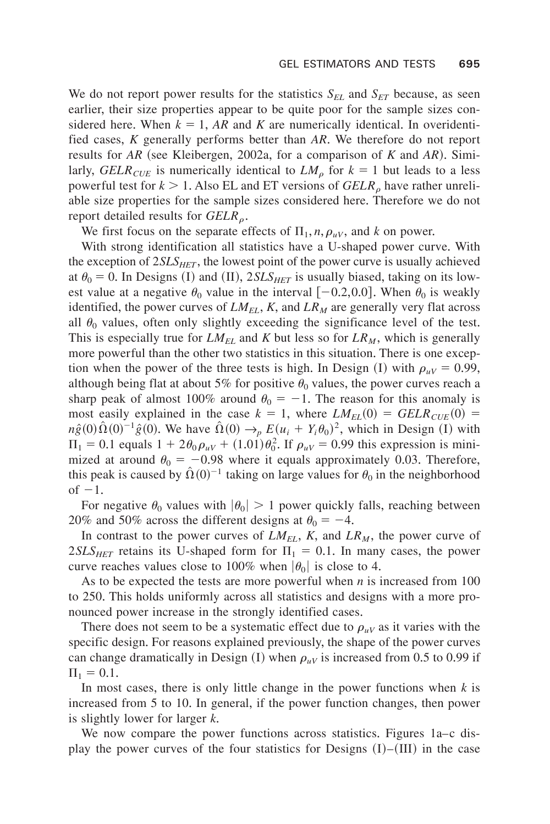We do not report power results for the statistics  $S_{EL}$  and  $S_{ET}$  because, as seen earlier, their size properties appear to be quite poor for the sample sizes considered here. When  $k = 1$ , *AR* and *K* are numerically identical. In overidentified cases, *K* generally performs better than *AR*+ We therefore do not report results for  $AR$  (see Kleibergen, 2002a, for a comparison of  $K$  and  $AR$ ). Similarly, *GELR<sub>CUE</sub>* is numerically identical to  $LM<sub>o</sub>$  for  $k = 1$  but leads to a less powerful test for  $k > 1$ . Also EL and ET versions of *GELR<sub>o</sub>* have rather unreliable size properties for the sample sizes considered here+ Therefore we do not report detailed results for  $GELR_{\rho}$ .

We first focus on the separate effects of  $\Pi_1$ , *n*,  $\rho_{uV}$ , and *k* on power.

With strong identification all statistics have a U-shaped power curve. With the exception of  $2SLS<sub>HET</sub>$ , the lowest point of the power curve is usually achieved at  $\theta_0 = 0$ . In Designs (I) and (II), 2*SLS<sub>HET</sub>* is usually biased, taking on its lowest value at a negative  $\theta_0$  value in the interval  $[-0.2,0.0]$ . When  $\theta_0$  is weakly identified, the power curves of  $LM_{EL}$ ,  $K$ , and  $LR_M$  are generally very flat across all  $\theta_0$  values, often only slightly exceeding the significance level of the test. This is especially true for  $LM_{EL}$  and K but less so for  $LR_M$ , which is generally more powerful than the other two statistics in this situation. There is one exception when the power of the three tests is high. In Design (I) with  $\rho_{\mu V} = 0.99$ , although being flat at about 5% for positive  $\theta_0$  values, the power curves reach a sharp peak of almost 100% around  $\theta_0 = -1$ . The reason for this anomaly is most easily explained in the case  $k = 1$ , where  $LM_{EL}(0) = GELR_{CUE}(0)$  =  $n\hat{g}(0)\hat{\Omega}(0)^{-1}\hat{g}(0)$ . We have  $\hat{\Omega}(0) \rightarrow_{p} E(u_i + Y_i\theta_0)^2$ , which in Design (I) with  $\Pi_1 = 0.1$  equals  $1 + 2\theta_0 \rho_{uv} + (1.01)\theta_0^2$ . If  $\rho_{uv} = 0.99$  this expression is minimized at around  $\theta_0 = -0.98$  where it equals approximately 0.03. Therefore, this peak is caused by  $\hat{\Omega}(0)^{-1}$  taking on large values for  $\theta_0$  in the neighborhood of  $-1$ .

For negative  $\theta_0$  values with  $|\theta_0| > 1$  power quickly falls, reaching between 20% and 50% across the different designs at  $\theta_0 = -4$ .

In contrast to the power curves of  $LM_{EL}$ , K, and  $LR_M$ , the power curve of  $2SLS<sub>HET</sub>$  retains its U-shaped form for  $\Pi_1 = 0.1$ . In many cases, the power curve reaches values close to 100% when  $|\theta_0|$  is close to 4.

As to be expected the tests are more powerful when *n* is increased from 100 to 250. This holds uniformly across all statistics and designs with a more pronounced power increase in the strongly identified cases.

There does not seem to be a systematic effect due to  $\rho_{\mu}$  as it varies with the specific design. For reasons explained previously, the shape of the power curves can change dramatically in Design  $(I)$  when  $\rho_{uV}$  is increased from 0.5 to 0.99 if  $\Pi_1 = 0.1.$ 

In most cases, there is only little change in the power functions when *k* is increased from 5 to 10. In general, if the power function changes, then power is slightly lower for larger *k*.

We now compare the power functions across statistics. Figures  $1a-c$  display the power curves of the four statistics for Designs  $(I)$ – $(III)$  in the case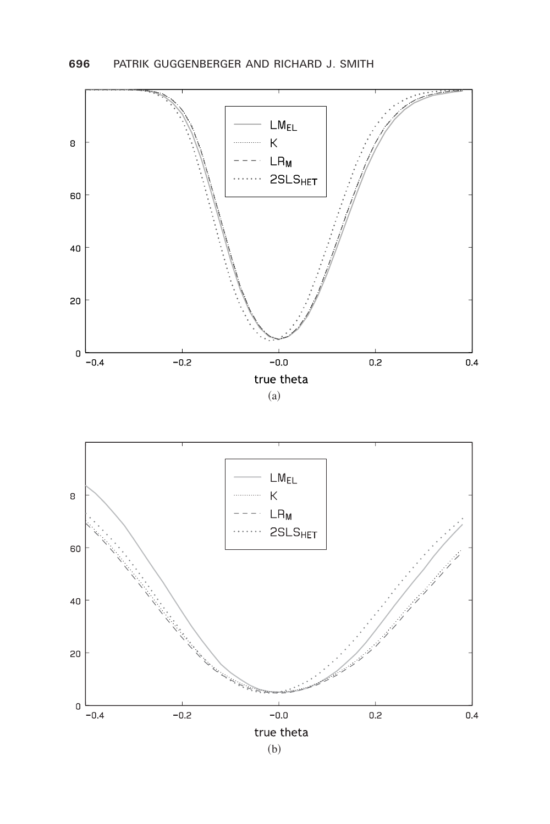

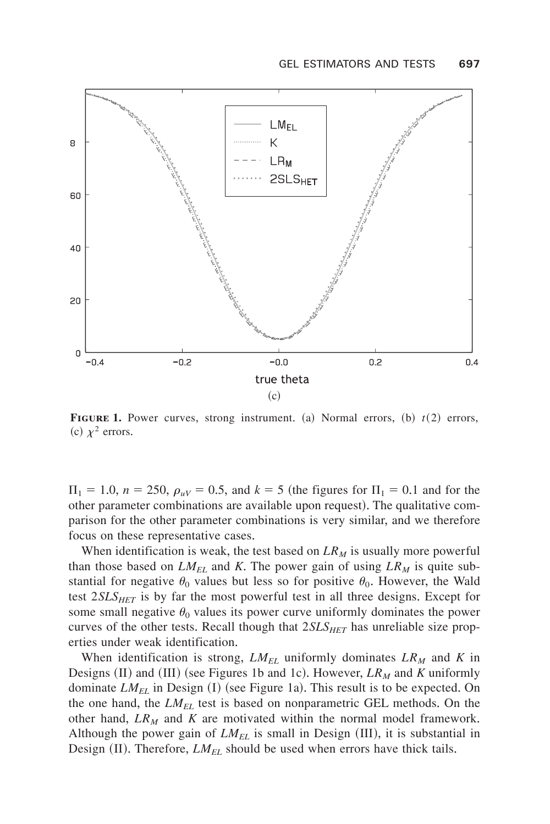

**FIGURE 1.** Power curves, strong instrument. (a) Normal errors,  $(b)$   $t(2)$  errors, (c)  $\chi^2$  errors.

 $\Pi_1 = 1.0$ ,  $n = 250$ ,  $\rho_{uv} = 0.5$ , and  $k = 5$  (the figures for  $\Pi_1 = 0.1$  and for the other parameter combinations are available upon request). The qualitative comparison for the other parameter combinations is very similar, and we therefore focus on these representative cases.

When identification is weak, the test based on  $LR<sub>M</sub>$  is usually more powerful than those based on  $LM_{EL}$  and K. The power gain of using  $LR_M$  is quite substantial for negative  $\theta_0$  values but less so for positive  $\theta_0$ . However, the Wald test  $2SLS_{HET}$  is by far the most powerful test in all three designs. Except for some small negative  $\theta_0$  values its power curve uniformly dominates the power curves of the other tests. Recall though that  $2SLS_{HET}$  has unreliable size properties under weak identification.

When identification is strong,  $LM_{EL}$  uniformly dominates  $LR_M$  and K in Designs (II) and (III) (see Figures 1b and 1c). However,  $LR_M$  and *K* uniformly dominate  $LM_{EL}$  in Design (I) (see Figure 1a). This result is to be expected. On the one hand, the  $LM_{EL}$  test is based on nonparametric GEL methods. On the other hand,  $LR_M$  and  $K$  are motivated within the normal model framework. Although the power gain of  $LM_{EL}$  is small in Design  $(III)$ , it is substantial in Design  $(II)$ . Therefore, *LM<sub>EL</sub>* should be used when errors have thick tails.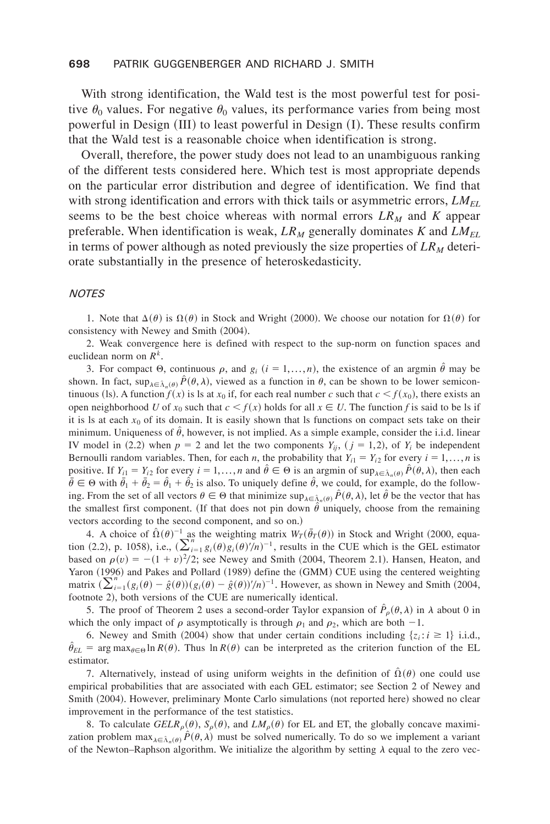#### **698** PATRIK GUGGENBERGER AND RICHARD J. SMITH

With strong identification, the Wald test is the most powerful test for positive  $\theta_0$  values. For negative  $\theta_0$  values, its performance varies from being most powerful in Design  $(III)$  to least powerful in Design  $(I)$ . These results confirm that the Wald test is a reasonable choice when identification is strong+

Overall, therefore, the power study does not lead to an unambiguous ranking of the different tests considered here. Which test is most appropriate depends on the particular error distribution and degree of identification. We find that with strong identification and errors with thick tails or asymmetric errors,  $LM_{EL}$ seems to be the best choice whereas with normal errors  $LR_M$  and  $K$  appear preferable. When identification is weak,  $LR_M$  generally dominates *K* and  $LM_{EL}$ in terms of power although as noted previously the size properties of  $LR<sub>M</sub>$  deteriorate substantially in the presence of heteroskedasticity.

#### *NOTES*

1. Note that  $\Delta(\theta)$  is  $\Omega(\theta)$  in Stock and Wright (2000). We choose our notation for  $\Omega(\theta)$  for consistency with Newey and Smith (2004).

2. Weak convergence here is defined with respect to the sup-norm on function spaces and euclidean norm on  $R^k$ .

3. For compact  $\Theta$ , continuous  $\rho$ , and  $g_i$   $(i = 1,..., n)$ , the existence of an argmin  $\hat{\theta}$  may be shown. In fact,  $\sup_{\lambda \in \hat{\Lambda}_n(\theta)} P(\theta, \lambda)$ , viewed as a function in  $\theta$ , can be shown to be lower semicontinuous (1s). A function  $f(x)$  is 1s at  $x_0$  if, for each real number *c* such that  $c < f(x_0)$ , there exists an open neighborhood *U* of  $x_0$  such that  $c < f(x)$  holds for all  $x \in U$ . The function *f* is said to be ls if it is ls at each  $x_0$  of its domain. It is easily shown that ls functions on compact sets take on their minimum. Uniqueness of  $\hat{\theta}$ , however, is not implied. As a simple example, consider the i.i.d. linear IV model in (2.2) when  $p = 2$  and let the two components  $Y_{ij}$ ,  $(j = 1,2)$ , of  $Y_i$  be independent Bernoulli random variables. Then, for each *n*, the probability that  $Y_{i1} = Y_{i2}$  for every  $i = 1,..., n$  is positive. If  $Y_{i1} = Y_{i2}$  for every  $i = 1,..., n$  and  $\hat{\theta} \in \Theta$  is an argmin of  $\sup_{\lambda \in \hat{\Lambda}, (\theta)} \hat{P}(\theta, \lambda)$ , then each  $\bar{\theta} \in \Theta$  with  $\bar{\theta}_1 + \bar{\theta}_2 = \hat{\theta}_1 + \hat{\theta}_2$  is also. To uniquely define  $\hat{\theta}$ , we could, for example, do the following. From the set of all vectors  $\theta \in \Theta$  that minimize  $\sup_{\lambda \in \hat{\Lambda}_n(\theta)} \hat{P}(\theta, \lambda)$ , let  $\hat{\theta}$  be the vector that has the smallest first component. (If that does not pin down  $\hat{\theta}$  uniquely, choose from the remaining vectors according to the second component, and so on.)

4. A choice of  $\hat{\Omega}(\theta)^{-1}$  as the weighting matrix  $W_T(\bar{\theta}_T(\theta))$  in Stock and Wright (2000, equation (2.2), p. 1058), i.e.,  $(\sum_{i=1}^{n} g_i(\theta)g_i(\theta)^{\prime}/n)^{-1}$ , results in the CUE which is the GEL estimator based on  $\rho(v) = -(1 + v)^2/2$ ; see Newey and Smith (2004, Theorem 2.1). Hansen, Heaton, and Yaron (1996) and Pakes and Pollard (1989) define the (GMM) CUE using the centered weighting matrix ~(*<sup>i</sup>*<sup>1</sup> *n* ~*gi*~u! *g*[ ~u!!~*gi*~u! *g*[ ~u!!' 0*n*! <sup>1</sup>+ However, as shown in Newey and Smith ~2004, footnote 2), both versions of the CUE are numerically identical.

5. The proof of Theorem 2 uses a second-order Taylor expansion of  $\hat{P}_\rho(\theta, \lambda)$  in  $\lambda$  about 0 in which the only impact of  $\rho$  asymptotically is through  $\rho_1$  and  $\rho_2$ , which are both -1.

6. Newey and Smith (2004) show that under certain conditions including  $\{z_i : i \ge 1\}$  i.i.d.,  $\hat{\theta}_{EL}$  = arg max<sub> $\theta \in \Theta$ </sub> ln *R*( $\theta$ ). Thus ln *R*( $\theta$ ) can be interpreted as the criterion function of the EL estimator.

7. Alternatively, instead of using uniform weights in the definition of  $\hat{\Omega}(\theta)$  one could use empirical probabilities that are associated with each GEL estimator; see Section 2 of Newey and Smith (2004). However, preliminary Monte Carlo simulations (not reported here) showed no clear improvement in the performance of the test statistics.

8. To calculate  $GELR_{\rho}(\theta)$ ,  $S_{\rho}(\theta)$ , and  $LM_{\rho}(\theta)$  for EL and ET, the globally concave maximization problem  $\max_{\lambda \in \hat{\Lambda}_n(\theta)} \hat{P}(\theta, \lambda)$  must be solved numerically. To do so we implement a variant of the Newton–Raphson algorithm. We initialize the algorithm by setting  $\lambda$  equal to the zero vec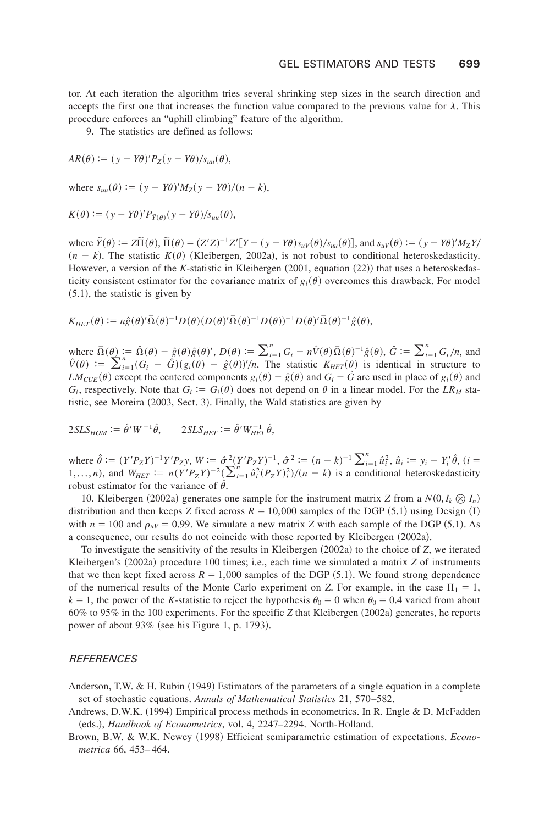tor. At each iteration the algorithm tries several shrinking step sizes in the search direction and accepts the first one that increases the function value compared to the previous value for  $\lambda$ . This procedure enforces an "uphill climbing" feature of the algorithm.

9. The statistics are defined as follows:

$$
AR(\theta) := (y - Y\theta)'P_Z(y - Y\theta)/s_{uu}(\theta),
$$

where  $s_{uu}(\theta) := (y - Y\theta)'M_Z(y - Y\theta)/(n - k),$ 

$$
K(\theta) := (y - Y\theta)'P_{\tilde{Y}(\theta)}(y - Y\theta)/s_{uu}(\theta),
$$

where  $\tilde{Y}(\theta) := Z\tilde{\Pi}(\theta)$ ,  $\tilde{\Pi}(\theta) = (Z'Z)^{-1}Z'[Y - (y - Y\theta)s_{uv}(\theta)/s_{uu}(\theta)]$ , and  $s_{uv}(\theta) := (y - Y\theta)'M_ZY/\theta$  $(n - k)$ . The statistic  $K(\theta)$  (Kleibergen, 2002a), is not robust to conditional heteroskedasticity. However, a version of the *K*-statistic in Kleibergen (2001, equation (22)) that uses a heteroskedasticity consistent estimator for the covariance matrix of  $g_i(\theta)$  overcomes this drawback. For model  $(5.1)$ , the statistic is given by

$$
K_{HET}(\theta) := n\hat{g}(\theta)'\bar{\Omega}(\theta)^{-1}D(\theta)(D(\theta)'\bar{\Omega}(\theta)^{-1}D(\theta))^{-1}D(\theta)'\bar{\Omega}(\theta)^{-1}\hat{g}(\theta),
$$

where  $\overline{\Omega}(\theta) := \hat{\Omega}(\theta) - \hat{g}(\theta)\hat{g}(\theta)'$ ,  $D(\theta) := \sum_{i=1}^{n} G_i - n\hat{V}(\theta)\overline{\Omega}(\theta)^{-1}\hat{g}(\theta)$ ,  $\hat{G} := \sum_{i=1}^{n} G_i/n$ , and  $\hat{V}(\theta) := \sum_{i=1}^{n} (G_i - \hat{G}) (g_i(\theta) - \hat{g}(\theta))'/n$ . The statistic  $K_{HET}(\theta)$  is identical in structure to *LM<sub>CUE</sub>*( $\theta$ ) except the centered components  $g_i(\theta) - \hat{g}(\theta)$  and  $G_i - \hat{G}$  are used in place of  $g_i(\theta)$  and  $G_i$ , respectively. Note that  $G_i := G_i(\theta)$  does not depend on  $\theta$  in a linear model. For the *LR<sub>M</sub>* statistic, see Moreira  $(2003, Sect. 3)$ . Finally, the Wald statistics are given by

 $2SLS_{HOM} := \hat{\theta}'W^{-1}\hat{\theta},$   $2SLS_{HET} := \hat{\theta}'W_{HET}^{-1}\hat{\theta},$ 

where  $\hat{\theta} := (Y'P_ZY)^{-1}Y'P_Zy$ ,  $W := \hat{\sigma}^2(Y'P_ZY)^{-1}$ ,  $\hat{\sigma}^2 := (n-k)^{-1}\sum_{i=1}^n \hat{u}_i^2$ ,  $\hat{u}_i := y_i - Y_i'\hat{\theta}$ ,  $(i =$ 1,...,*n*), and  $W_{HET} := n(Y'P_Z Y)^{-2} (\sum_{i=1}^{n} \hat{u}_i^2 (P_Z Y)^2)/(n - k)$  is a conditional heteroskedasticity robust estimator for the variance of  $\hat{\theta}$ .

10. Kleibergen (2002a) generates one sample for the instrument matrix *Z* from a  $N(0, I_k \otimes I_n)$ distribution and then keeps *Z* fixed across  $R = 10,000$  samples of the DGP  $(5.1)$  using Design  $(1)$ with  $n = 100$  and  $\rho_{\mu V} = 0.99$ . We simulate a new matrix *Z* with each sample of the DGP (5.1). As a consequence, our results do not coincide with those reported by Kleibergen (2002a).

To investigate the sensitivity of the results in Kleibergen  $(2002a)$  to the choice of *Z*, we iterated Kleibergen's (2002a) procedure 100 times; i.e., each time we simulated a matrix *Z* of instruments that we then kept fixed across  $R = 1,000$  samples of the DGP  $(5.1)$ . We found strong dependence of the numerical results of the Monte Carlo experiment on *Z*. For example, in the case  $\Pi_1 = 1$ ,  $k = 1$ , the power of the *K*-statistic to reject the hypothesis  $\theta_0 = 0$  when  $\theta_0 = 0.4$  varied from about 60% to 95% in the 100 experiments. For the specific *Z* that Kleibergen (2002a) generates, he reports power of about  $93\%$  (see his Figure 1, p, 1793).

#### *REFERENCES*

- Anderson, T.W. & H. Rubin  $(1949)$  Estimators of the parameters of a single equation in a complete set of stochastic equations. Annals of Mathematical Statistics 21, 570–582.
- Andrews, D.W.K.  $(1994)$  Empirical process methods in econometrics. In R. Engle & D. McFadden (eds.), *Handbook of Econometrics*, vol. 4, 2247–2294. North-Holland.
- Brown, B.W. & W.K. Newey (1998) Efficient semiparametric estimation of expectations. *Econometrica* 66, 453-464.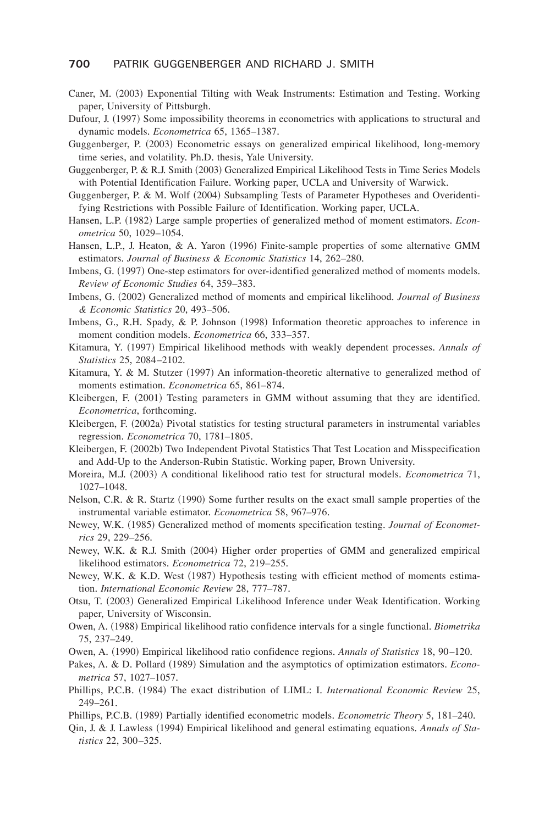#### **700** PATRIK GUGGENBERGER AND RICHARD J. SMITH

- Caner, M. (2003) Exponential Tilting with Weak Instruments: Estimation and Testing. Working paper, University of Pittsburgh.
- Dufour, J. (1997) Some impossibility theorems in econometrics with applications to structural and dynamic models. *Econometrica* 65, 1365–1387.
- Guggenberger, P. (2003) Econometric essays on generalized empirical likelihood, long-memory time series, and volatility. Ph.D. thesis, Yale University.
- Guggenberger, P. & R.J. Smith (2003) Generalized Empirical Likelihood Tests in Time Series Models with Potential Identification Failure. Working paper, UCLA and University of Warwick.
- Guggenberger, P. & M. Wolf (2004) Subsampling Tests of Parameter Hypotheses and Overidentifying Restrictions with Possible Failure of Identification. Working paper, UCLA.
- Hansen, L.P. (1982) Large sample properties of generalized method of moment estimators. *Econometrica* 50, 1029-1054.
- Hansen, L.P., J. Heaton, & A. Yaron  $(1996)$  Finite-sample properties of some alternative GMM estimators. Journal of Business & Economic Statistics 14, 262–280.
- Imbens, G. (1997) One-step estimators for over-identified generalized method of moments models. *Review of Economic Studies* 64, 359–383+
- Imbens, G. (2002) Generalized method of moments and empirical likelihood. *Journal of Business*  $& Economic Statistics 20, 493–506.$
- Imbens, G., R.H. Spady, & P. Johnson  $(1998)$  Information theoretic approaches to inference in moment condition models. *Econometrica* 66, 333–357.
- Kitamura, Y. (1997) Empirical likelihood methods with weakly dependent processes. *Annals of Statistics* 25, 2084–2102+
- Kitamura, Y. & M. Stutzer (1997) An information-theoretic alternative to generalized method of moments estimation. *Econometrica* 65, 861–874.
- Kleibergen, F. (2001) Testing parameters in GMM without assuming that they are identified. *Econometrica*, forthcoming+
- Kleibergen, F. (2002a) Pivotal statistics for testing structural parameters in instrumental variables regression. *Econometrica* 70, 1781–1805.
- Kleibergen, F. (2002b) Two Independent Pivotal Statistics That Test Location and Misspecification and Add-Up to the Anderson-Rubin Statistic. Working paper, Brown University.
- Moreira, M.J. (2003) A conditional likelihood ratio test for structural models. *Econometrica* 71, 1027–1048+
- Nelson, C.R. & R. Startz  $(1990)$  Some further results on the exact small sample properties of the instrumental variable estimator. *Econometrica* 58, 967–976.
- Newey, W.K. (1985) Generalized method of moments specification testing. *Journal of Econometrics* 29, 229–256.
- Newey, W.K. & R.J. Smith (2004) Higher order properties of GMM and generalized empirical likelihood estimators. *Econometrica* 72, 219–255.
- Newey, W.K. & K.D. West (1987) Hypothesis testing with efficient method of moments estimation. *International Economic Review* 28, 777–787.
- Otsu, T. (2003) Generalized Empirical Likelihood Inference under Weak Identification. Working paper, University of Wisconsin.
- Owen, A. (1988) Empirical likelihood ratio confidence intervals for a single functional. *Biometrika* 75, 237–249+
- Owen, A. (1990) Empirical likelihood ratio confidence regions. Annals of Statistics 18, 90–120.
- Pakes, A. & D. Pollard (1989) Simulation and the asymptotics of optimization estimators. *Econometrica* 57, 1027-1057.
- Phillips, P.C.B. (1984) The exact distribution of LIML: I. *International Economic Review* 25, 249–261+
- Phillips, P.C.B. (1989) Partially identified econometric models. *Econometric Theory* 5, 181–240.
- Qin, J. & J. Lawless (1994) Empirical likelihood and general estimating equations. Annals of Sta*tistics* 22, 300–325+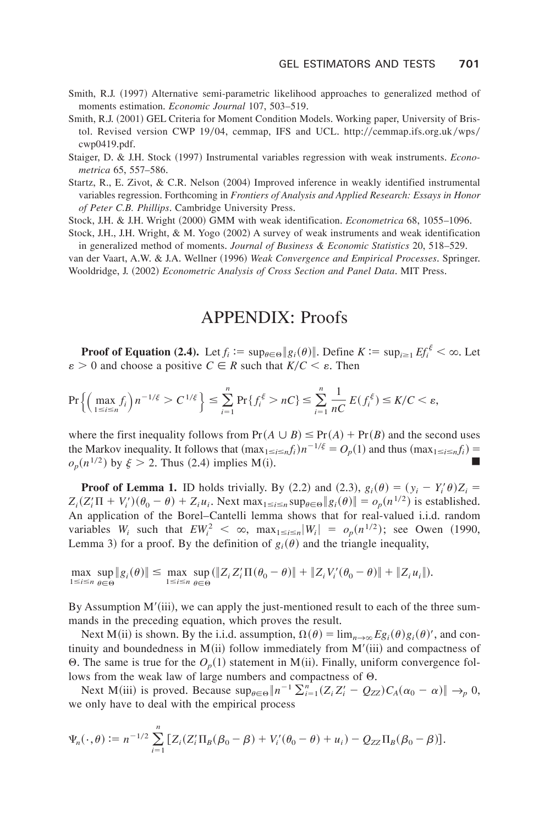- Smith, R.J. (1997) Alternative semi-parametric likelihood approaches to generalized method of moments estimation. *Economic Journal* 107, 503–519.
- Smith, R.J. (2001) GEL Criteria for Moment Condition Models. Working paper, University of Bristol. Revised version CWP 19/04, cemmap, IFS and UCL. http://cemmap.ifs.org.uk/wps/  $cwp0419.pdf.$
- Staiger, D. & J.H. Stock (1997) Instrumental variables regression with weak instruments. *Econo*metrica 65, 557–586.
- Startz, R., E. Zivot, & C.R. Nelson  $(2004)$  Improved inference in weakly identified instrumental variables regression. Forthcoming in *Frontiers of Analysis and Applied Research: Essays in Honor* of Peter C.B. Phillips. Cambridge University Press.

Stock, J.H. & J.H. Wright (2000) GMM with weak identification. *Econometrica* 68, 1055–1096.

Stock, J.H., J.H. Wright, & M. Yogo (2002) A survey of weak instruments and weak identification in generalized method of moments. *Journal of Business & Economic Statistics* 20, 518–529.

van der Vaart, A.W. & J.A. Wellner (1996) *Weak Convergence and Empirical Processes*. Springer. Wooldridge, J. (2002) *Econometric Analysis of Cross Section and Panel Data*. MIT Press.

## APPENDIX: Proofs

**Proof of Equation (2.4).** Let  $f_i := \sup_{\theta \in \Theta} |g_i(\theta)|$ . Define  $K := \sup_{i \ge 1} Ef_i^{\xi} < \infty$ . Let  $\varepsilon > 0$  and choose a positive  $C \in R$  such that  $K/C \leq \varepsilon$ . Then

$$
\Pr\left\{\left(\max_{1\leq i\leq n}f_i\right)n^{-1/\xi}>C^{1/\xi}\right\}\leq \sum_{i=1}^n\Pr\{f_i^{\xi}>nC\}\leq \sum_{i=1}^n\frac{1}{nC}E(f_i^{\xi})\leq K/C<\varepsilon,
$$

where the first inequality follows from  $Pr(A \cup B) \leq Pr(A) + Pr(B)$  and the second uses the Markov inequality. It follows that  $(\max_{1 \le i \le n} f_i) n^{-1/\xi} = O_p(1)$  and thus  $(\max_{1 \le i \le n} f_i)$  $o_p(n^{1/2})$  by  $\xi > 2$ . Thus (2.4) implies M(i).

**Proof of Lemma 1.** ID holds trivially. By (2.2) and (2.3),  $g_i(\theta) = (y_i - Y_i' \theta)Z_i$  $Z_i(Z_i'\Pi + V_i')(\theta_0 - \theta) + Z_iu_i$ . Next max<sub>1≤i≤n</sub> sup<sub> $\theta \in \Theta$ </sub>  $||g_i(\theta)|| = o_p(n^{1/2})$  is established. An application of the Borel–Cantelli lemma shows that for real-valued i.i.d. random variables  $W_i$  such that  $EW_i^2 < \infty$ ,  $\max_{1 \le i \le n} |W_i| = o_p(n^{1/2})$ ; see Owen (1990, Lemma 3) for a proof. By the definition of  $g_i(\theta)$  and the triangle inequality,

$$
\max_{1 \le i \le n} \sup_{\theta \in \Theta} \|g_i(\theta)\| \le \max_{1 \le i \le n} \sup_{\theta \in \Theta} (\|Z_i Z_i' \Pi(\theta_0 - \theta)\| + \|Z_i V_i'(\theta_0 - \theta)\| + \|Z_i u_i\|).
$$

By Assumption M'(iii), we can apply the just-mentioned result to each of the three summands in the preceding equation, which proves the result.

Next M(ii) is shown. By the i.i.d. assumption,  $\Omega(\theta) = \lim_{n\to\infty} E g_i(\theta) g_i(\theta)'$ , and continuity and boundedness in  $M(ii)$  follow immediately from  $M'(iii)$  and compactness of  $\Theta$ . The same is true for the  $O_p(1)$  statement in M(ii). Finally, uniform convergence follows from the weak law of large numbers and compactness of  $\Theta$ .

Next M(iii) is proved. Because  $\sup_{\theta \in \Theta} ||n^{-1} \sum_{i=1}^n (Z_i Z_i' - Q_{ZZ}) C_A(\alpha_0 - \alpha) || \rightarrow_p 0$ , we only have to deal with the empirical process

$$
\Psi_n(\cdot,\theta) \mathrel{\mathop:}= n^{-1/2} \sum_{i=1}^n \big[ Z_i (Z_i' \Pi_B(\beta_0 - \beta) + V_i'(\theta_0 - \theta) + u_i) - Q_{ZZ} \Pi_B(\beta_0 - \beta) \big].
$$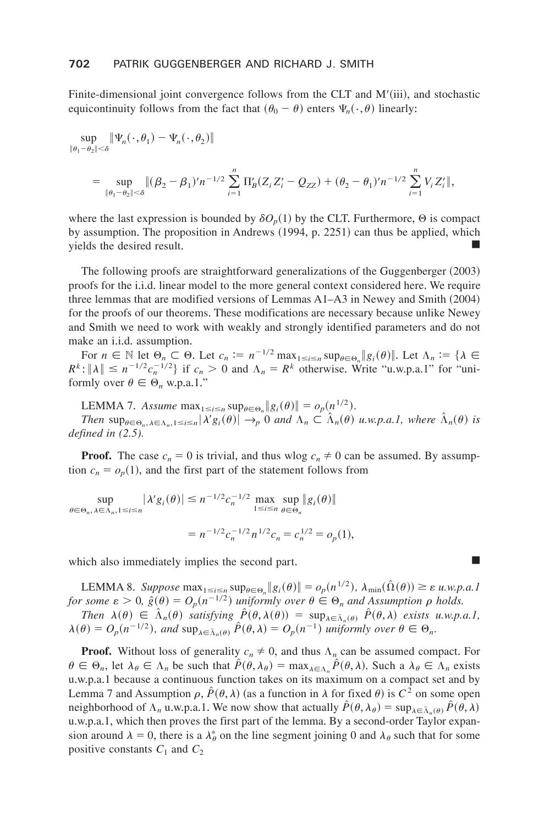Finite-dimensional joint convergence follows from the CLT and M'(iii), and stochastic equicontinuity follows from the fact that  $(\theta_0 - \theta)$  enters  $\Psi_n(\cdot, \theta)$  linearly:

$$
\sup_{\|\theta_1 - \theta_2\| < \delta} \|\Psi_n(\cdot, \theta_1) - \Psi_n(\cdot, \theta_2)\|
$$
\n
$$
= \sup_{\|\theta_1 - \theta_2\| < \delta} \|(\beta_2 - \beta_1)' n^{-1/2} \sum_{i=1}^n \Pi_B'(Z_i Z_i' - Q_{ZZ}) + (\theta_2 - \theta_1)' n^{-1/2} \sum_{i=1}^n V_i Z_i' \|,
$$

where the last expression is bounded by  $\delta O_p(1)$  by the CLT. Furthermore,  $\Theta$  is compact by assumption. The proposition in Andrews  $(1994, p. 2251)$  can thus be applied, which yields the desired result.

The following proofs are straightforward generalizations of the Guggenberger  $(2003)$ proofs for the i.i.d. linear model to the more general context considered here. We require three lemmas that are modified versions of Lemmas  $A1-A3$  in Newey and Smith  $(2004)$ for the proofs of our theorems. These modifications are necessary because unlike Newey and Smith we need to work with weakly and strongly identified parameters and do not make an i.i.d. assumption.

For  $n \in \mathbb{N}$  let  $\Theta_n \subset \Theta$ . Let  $c_n := n^{-1/2} \max_{1 \le i \le n} \sup_{\theta \in \Theta_n} \|g_i(\theta)\|$ . Let  $\Lambda_n := \{\lambda \in \mathbb{N} : |\lambda| < n^{-1/2}e^{-1/2}1 \text{ if } c > 0 \text{ and } \lambda = \mathbb{R}^k \text{ otherwise. Write "in we say that } \lim_{n \to \infty} \mathbb{R}^n \leq \infty \}$  $R^k$ :  $\|\lambda\| \leq n^{-1/2}c_n^{-1/2}\}$  if  $c_n > 0$  and  $\Lambda_n = R^k$  otherwise. Write "u.w.p.a.1" for "uniformly over  $\theta \in \Theta_n$ , w.p.a.1."

LEMMA 7. *Assume*  $\max_{1 \le i \le n} \sup_{\theta \in \Theta_n} ||g_i(\theta)|| = o_p(n^{1/2})$ .

*Then*  $\sup_{\theta \in \Theta_n, \lambda \in \Lambda_n, 1 \le i \le n} |\lambda' g_i(\theta)| \to_p^{\infty} 0$  *and*  $\Lambda_n \subset \hat{\Lambda}_n(\theta)$  *u.w.p.a.1, where*  $\hat{\Lambda}_n(\theta)$  *is defined in (2.5).*

**Proof.** The case  $c_n = 0$  is trivial, and thus wlog  $c_n \neq 0$  can be assumed. By assumption  $c_n = o_p(1)$ , and the first part of the statement follows from

sup  $\sup_{\theta \in \Theta_n, \lambda \in \Lambda_n, 1 \le i \le n} |\lambda' g_i(\theta)| \le n^{-1/2} c_n^{-1/2} \max_{1 \le i \le n} \sup_{\theta \in \Theta_n} ||g_i(\theta)||$ 

$$
= n^{-1/2} c_n^{-1/2} n^{1/2} c_n = c_n^{1/2} = o_p(1),
$$

which also immediately implies the second part.  $\blacksquare$ 

LEMMA 8. Suppose  $\max_{1 \le i \le n} \sup_{\theta \in \Theta_n} ||g_i(\theta)|| = o_p(n^{1/2}), \lambda_{\min}(\hat{\Omega}(\theta)) \ge \varepsilon$  u.w.p.a.1 *for some*  $\varepsilon > 0$ ,  $\hat{g}(\theta) = O_p(n^{-1/2})$  *uniformly over*  $\theta \in \Theta_n$  *and Assumption*  $\rho$  *holds. Then*  $\lambda(\theta) \in \hat{\Lambda}_n(\theta)$  *satisfying*  $\hat{P}(\theta, \lambda(\theta)) = \sup_{\lambda \in \hat{\Lambda}_n(\theta)} \hat{P}(\theta, \lambda)$  *exists u.w.p.a.1,* 

 $\lambda(\theta) = O_p(n^{-1/2})$ , and  $\sup_{\lambda \in \hat{\Lambda}_n(\theta)} \hat{P}(\theta, \lambda) = O_p(n^{-1})$  uniformly over  $\theta \in \Theta_n$ .

**Proof.** Without loss of generality  $c_n \neq 0$ , and thus  $\Lambda_n$  can be assumed compact. For  $\theta \in \Theta_n$ , let  $\lambda_{\theta} \in \Lambda_n$  be such that  $P(\theta, \lambda_{\theta}) = \max_{\lambda \in \Lambda_n} P(\theta, \lambda)$ . Such a  $\lambda_{\theta} \in \Lambda_n$  exists u.w.p.a.1 because a continuous function takes on its maximum on a compact set and by Lemma 7 and Assumption  $\rho$ ,  $\hat{P}(\theta, \lambda)$  (as a function in  $\lambda$  for fixed  $\theta$ ) is  $C^2$  on some open neighborhood of  $\Lambda_n$  u.w.p.a.1. We now show that actually  $\hat{P}(\theta, \lambda_\theta) = \sup_{\lambda \in \hat{\Lambda}_n(\theta)} \hat{P}(\theta, \lambda)$ u.w.p.a.1, which then proves the first part of the lemma. By a second-order Taylor expansion around  $\lambda = 0$ , there is a  $\lambda_{\theta}^{*}$  on the line segment joining 0 and  $\lambda_{\theta}$  such that for some positive constants  $C_1$  and  $C_2$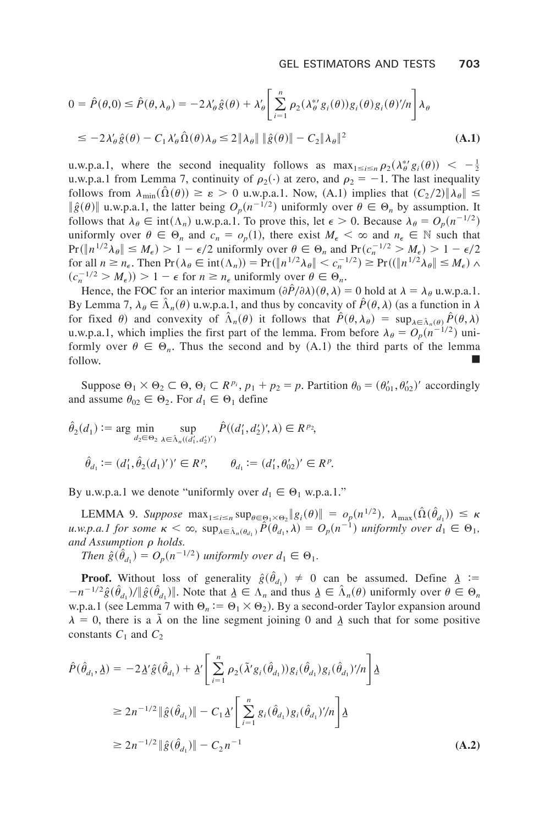$$
0 = \hat{P}(\theta,0) \le \hat{P}(\theta,\lambda_{\theta}) = -2\lambda_{\theta}'\hat{g}(\theta) + \lambda_{\theta}' \left[ \sum_{i=1}^{n} \rho_{2}(\lambda_{\theta}^{*'}g_{i}(\theta))g_{i}(\theta)g_{i}(\theta)'\!/\!n \right] \lambda_{\theta}
$$
  
\n
$$
\le -2\lambda_{\theta}'\hat{g}(\theta) - C_{1}\lambda_{\theta}'\hat{\Omega}(\theta)\lambda_{\theta} \le 2\|\lambda_{\theta}\| \|\hat{g}(\theta)\| - C_{2}\|\lambda_{\theta}\|^{2}
$$
 (A.1)

u.w.p.a.1, where the second inequality follows as  $\max_{1 \le i \le n} \rho_2(\lambda_{\theta}^{*'} g_i(\theta)) < -\frac{1}{2}$ <br>u.w.p.a.1 from Lemma 7, continuity of  $\rho_2(\cdot)$  at zero, and  $\rho_2 = -1$ . The last inequality follows from  $\lambda_{\min}(\Omega(\theta)) \ge \varepsilon > 0$  u.w.p.a.1. Now, (A.1) implies that  $(C_2/2) \|\lambda_{\theta}\| \le$  $\|\hat{g}(\theta)\|$  u.w.p.a.1, the latter being  $O_p(n^{-1/2})$  uniformly over  $\theta \in \Theta_n$  by assumption. It follows that  $\lambda_{\theta} \in \text{int}(\Lambda_n)$  u.w.p.a.1. To prove this, let  $\epsilon > 0$ . Because  $\lambda_{\theta} = O_p(n^{-1/2})$ uniformly over  $\theta \in \Theta_n$  and  $c_n = o_n(1)$ , there exist  $M_{\epsilon} < \infty$  and  $n_{\epsilon} \in \mathbb{N}$  such that  $Pr(\Vert n^{1/2}\lambda_{\theta}\Vert \leq M_{\epsilon}) > 1 - \epsilon/2$  uniformly over  $\theta \in \Theta_n$  and  $Pr(c_n^{-1/2} > M_{\epsilon}) > 1 - \epsilon/2$ for all  $n \ge n_{\epsilon}$ . Then  $Pr(\lambda_{\theta} \in \text{int}(\Lambda_n)) = Pr(\Vert n^{1/2}\lambda_{\theta} \Vert \le c_n^{-1/2}) \ge Pr((\Vert n^{1/2}\lambda_{\theta} \Vert \le M_{\epsilon}) \wedge$  $(c_n^{-1/2} > M_{\epsilon})$  > 1 –  $\epsilon$  for  $n \ge n_{\epsilon}$  uniformly over  $\theta \in \Theta_n$ .

Hence, the FOC for an interior maximum  $(\partial \hat{P}/\partial \lambda)(\theta, \lambda) = 0$  hold at  $\lambda = \lambda_{\theta}$  u.w.p.a.1. By Lemma 7,  $\lambda_{\theta} \in \hat{\Lambda}_n(\theta)$  u.w.p.a.1, and thus by concavity of  $\hat{P}(\theta,\lambda)$  (as a function in  $\lambda$ for fixed  $\theta$ ) and convexity of  $\hat{\Lambda}_n(\theta)$  it follows that  $\hat{P}(\theta, \lambda_\theta) = \sup_{\lambda \in \hat{\Lambda}_n(\theta)} \hat{P}(\theta, \lambda)$ u.w.p.a.1, which implies the first part of the lemma. From before  $\lambda_{\theta} = O_p(n^{-1/2})$  uniformly over  $\theta \in \Theta_n$ . Thus the second and by (A.1) the third parts of the lemma follow. follow<sup>+</sup> -

Suppose  $\Theta_1 \times \Theta_2 \subset \Theta$ ,  $\Theta_i \subset R^{p_i}$ ,  $p_1 + p_2 = p$ . Partition  $\theta_0 = (\theta'_{01}, \theta'_{02})'$  accordingly and assume  $\theta_{02} \in \Theta_2$ . For  $d_1 \in \Theta_1$  define

$$
\hat{\theta}_2(d_1) := \arg \min_{d_2 \in \Theta_2} \sup_{\lambda \in \hat{\Lambda}_n((d'_1, d'_2))} \hat{P}((d'_1, d'_2)', \lambda) \in R^{p_2},
$$
  

$$
\hat{\theta}_{d_1} := (d'_1, \hat{\theta}_2(d_1)')' \in R^p, \qquad \theta_{d_1} := (d'_1, \theta'_{02})' \in R^p.
$$

By u.w.p.a.1 we denote "uniformly over  $d_1 \in \Theta_1$  w.p.a.1."

LEMMA 9. Suppose  $\max_{1 \le i \le n} \sup_{\theta \in \Theta_i \times \Theta_2} \|g_i(\theta)\| = o_p(n^{1/2}), \ \lambda_{\max}(\hat{\Omega}(\hat{\theta}_{d_1})) \le \kappa$  $u.w.p.a.1$  for some  $\kappa < \infty$ ,  $\sup_{\lambda \in \hat{\Lambda}_n(\theta_{d_1})} \hat{P}(\theta_{d_1}, \lambda) = O_p(n^{-1})$  uniformly over  $d_1 \in \Theta_1$ , *and Assumption*  $\rho$  *holds.* 

*Then*  $\hat{g}(\hat{\theta}_{d_1}) = O_p(n^{-1/2})$  *uniformly over*  $d_1 \in \Theta_1$ *.* 

**Proof.** Without loss of generality  $\hat{g}(\hat{\theta}_{d_1}) \neq 0$  can be assumed. Define  $\underline{\lambda} :=$  $-n^{-1/2}\hat{g}(\hat{\theta}_{d_1})/\|\hat{g}(\hat{\theta}_{d_1})\|$ . Note that  $\underline{\lambda} \in \Lambda_n$  and thus  $\underline{\lambda} \in \hat{\Lambda}_n(\theta)$  uniformly over  $\theta \in \Theta_n$ w.p.a.1 (see Lemma 7 with  $\Theta_n := \Theta_1 \times \Theta_2$ ). By a second-order Taylor expansion around  $\lambda = 0$ , there is a  $\tilde{\lambda}$  on the line segment joining 0 and  $\lambda$  such that for some positive constants  $C_1$  and  $C_2$ 

$$
\hat{P}(\hat{\theta}_{d_1}, \underline{\lambda}) = -2 \underline{\lambda}' \hat{g}(\hat{\theta}_{d_1}) + \underline{\lambda}' \Bigg[ \sum_{i=1}^n \rho_2(\tilde{\lambda}' g_i(\hat{\theta}_{d_1})) g_i(\hat{\theta}_{d_1}) g_i(\hat{\theta}_{d_1})'/n \Bigg] \underline{\lambda}
$$
\n
$$
\geq 2n^{-1/2} \|\hat{g}(\hat{\theta}_{d_1})\| - C_1 \underline{\lambda}' \Bigg[ \sum_{i=1}^n g_i(\hat{\theta}_{d_1}) g_i(\hat{\theta}_{d_1})'/n \Bigg] \underline{\lambda}
$$
\n
$$
\geq 2n^{-1/2} \|\hat{g}(\hat{\theta}_{d_1})\| - C_2 n^{-1} \tag{A.2}
$$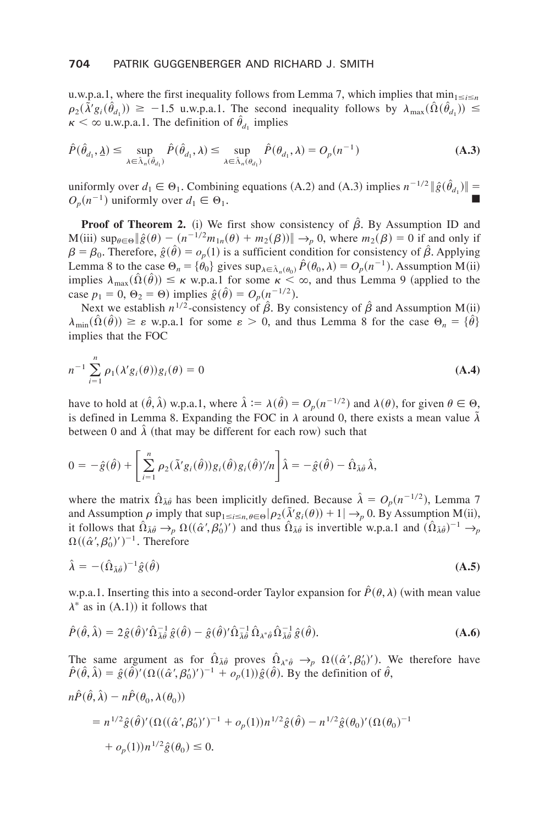u.w.p.a.1, where the first inequality follows from Lemma 7, which implies that  $\min_{1 \leq i \leq n}$  $\rho_2(\lambda' g_i(\hat{\theta}_{d_1})) \ge -1.5$  u.w.p.a.1. The second inequality follows by  $\lambda_{\max}(\hat{\Omega}(\hat{\theta}_{d_1})) \le$  $\kappa < \infty$  u.w.p.a.1. The definition of  $\hat{\theta}_{d_1}$  implies

$$
\hat{P}(\hat{\theta}_{d_1}, \underline{\lambda}) \le \sup_{\lambda \in \hat{\lambda}_n(\hat{\theta}_{d_1})} \hat{P}(\hat{\theta}_{d_1}, \lambda) \le \sup_{\lambda \in \hat{\lambda}_n(\theta_{d_1})} \hat{P}(\theta_{d_1}, \lambda) = O_p(n^{-1})
$$
\n(A.3)

uniformly over  $d_1 \in \Theta_1$ . Combining equations (A.2) and (A.3) implies  $n^{-1/2} || \hat{g}(\hat{\theta}_{d_1}) ||$  $O_p(n^{-1})$  uniformly over  $d_1 \in \Theta_1$ .

**Proof of Theorem 2.** (i) We first show consistency of  $\hat{\beta}$ . By Assumption ID and  $M(iii)$  sup<sub> $\theta \in \Theta$ </sub>  $\|\hat{g}(\theta) - (n^{-1/2}m_{1n}(\theta) + m_2(\beta))\| \to_p 0$ , where  $m_2(\beta) = 0$  if and only if  $\beta = \beta_0$ . Therefore,  $\hat{g}(\hat{\theta}) = o_p(1)$  is a sufficient condition for consistency of  $\hat{\beta}$ . Applying Lemma 8 to the case  $\Theta_n = {\hat{\theta}_0}$  gives  $\sup_{\lambda \in \hat{\Lambda}_n(\theta_0)} \hat{P}(\theta_0, \lambda) = O_p(n^{-1})$ . Assumption M(ii) implies  $\lambda_{\text{max}}(\hat{\Omega}(\hat{\theta})) \le \kappa$  w.p.a.1 for some  $\kappa < \infty$ , and thus Lemma 9 (applied to the case  $p_1 = 0$ ,  $\Theta_2 = \Theta$ ) implies  $\hat{g}(\hat{\theta}) = O_p(n^{-1/2})$ .

Next we establish  $n^{1/2}$ -consistency of  $\hat{\beta}$ . By consistency of  $\hat{\beta}$  and Assumption M(ii)  $\lambda_{\min}(\Omega(\hat{\theta})) \ge \varepsilon$  w.p.a.1 for some  $\varepsilon > 0$ , and thus Lemma 8 for the case  $\Theta_n = {\hat{\theta}}$ implies that the FOC

$$
n^{-1} \sum_{i=1}^{n} \rho_1(\lambda' g_i(\theta)) g_i(\theta) = 0
$$
 (A.4)

have to hold at  $({\hat{\theta}}, {\hat{\lambda}})$  w.p.a.1, where  ${\hat{\lambda}} := {\lambda}({\hat{\theta}}) = O_p(n^{-1/2})$  and  ${\lambda}({\theta})$ , for given  ${\theta} \in \Theta$ , is defined in Lemma 8. Expanding the FOC in  $\lambda$  around 0, there exists a mean value  $\tilde{\lambda}$ between 0 and  $\hat{\lambda}$  (that may be different for each row) such that

$$
0 = -\hat{g}(\hat{\theta}) + \left[ \sum_{i=1}^{n} \rho_2(\tilde{\lambda}' g_i(\hat{\theta})) g_i(\hat{\theta}) g_i(\hat{\theta})' / n \right] \hat{\lambda} = -\hat{g}(\hat{\theta}) - \hat{\Omega}_{\tilde{\lambda}\hat{\theta}} \hat{\lambda},
$$

where the matrix  $\hat{\Omega}_{\tilde{\lambda}\theta}$  has been implicitly defined. Because  $\hat{\lambda} = O_p(n^{-1/2})$ , Lemma 7 and Assumption  $\rho$  imply that  $\sup_{1 \le i \le n, \theta \in \Theta} |\rho_2(\tilde{\lambda}' g_i(\theta)) + 1| \to_p 0$ . By Assumption M(ii), it follows that  $\hat{\Omega}_{\tilde{\lambda}\hat{\theta}} \to_p \Omega((\hat{\alpha}', \beta'_0)'')$  and thus  $\hat{\Omega}_{\tilde{\lambda}\hat{\theta}}$  is invertible w.p.a.1 and  $(\hat{\Omega}_{\tilde{\lambda}\hat{\theta}})^{-1} \to_p$  $\Omega((\hat{\alpha}', \beta'_0)')^{-1}$ . Therefore

$$
\hat{\lambda} = -(\hat{\Omega}_{\tilde{\lambda}\hat{\theta}})^{-1}\hat{g}(\hat{\theta})
$$
\n(A.5)

w.p.a.1. Inserting this into a second-order Taylor expansion for  $\hat{P}(\theta, \lambda)$  (with mean value  $\lambda^*$  as in  $(A,1)$  it follows that

$$
\hat{P}(\hat{\theta},\hat{\lambda}) = 2\hat{g}(\hat{\theta})'\hat{\Omega}_{\bar{\lambda}\hat{\theta}}^{-1}\hat{g}(\hat{\theta}) - \hat{g}(\hat{\theta})'\hat{\Omega}_{\bar{\lambda}\hat{\theta}}^{-1}\hat{\Omega}_{\lambda^*\hat{\theta}}\hat{\Omega}_{\bar{\lambda}\hat{\theta}}^{-1}\hat{g}(\hat{\theta}).
$$
\n(A.6)

The same argument as for  $\hat{\Omega}_{\lambda \hat{\theta}}$  proves  $\hat{\Omega}_{\lambda^* \hat{\theta}} \to_p \Omega((\hat{\alpha}', \beta'_0)')$ . We therefore have  $\hat{P}(\hat{\theta}, \hat{\lambda}) = \hat{g}(\hat{\theta})'(\Omega((\hat{\alpha}', \beta'_0)')^{-1} + o_p(1))\hat{g}(\hat{\theta})$ . By the definition of  $\hat{\theta}$ ,

$$
n\hat{P}(\hat{\theta}, \hat{\lambda}) - n\hat{P}(\theta_0, \lambda(\theta_0))
$$
  
=  $n^{1/2}\hat{g}(\hat{\theta})'(\Omega((\hat{\alpha}', \beta'_0)')^{-1} + o_p(1))n^{1/2}\hat{g}(\hat{\theta}) - n^{1/2}\hat{g}(\theta_0)'(\Omega(\theta_0)^{-1} + o_p(1))n^{1/2}\hat{g}(\theta_0) \le 0.$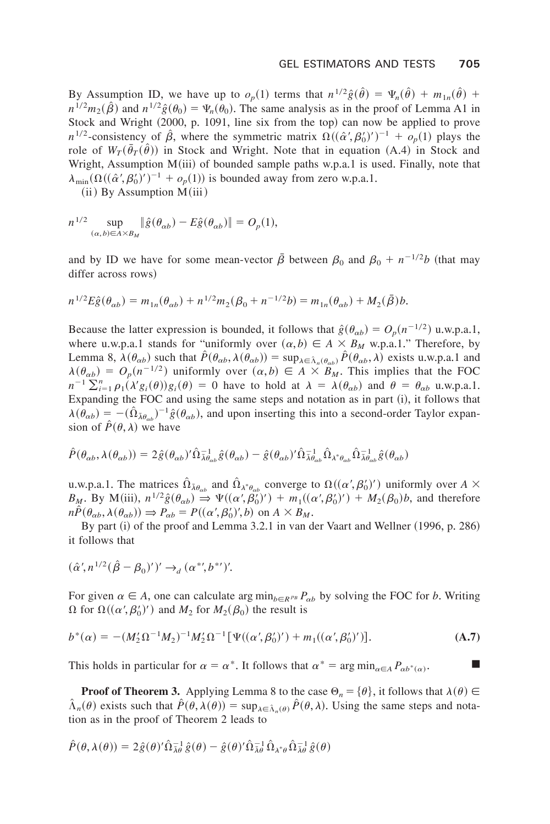By Assumption ID, we have up to  $o_p(1)$  terms that  $n^{1/2}\hat{g}(\hat{\theta}) = \Psi_n(\hat{\theta}) + m_{1n}(\hat{\theta}) +$  $n^{1/2}m_2(\hat{\beta})$  and  $n^{1/2}\hat{g}(\theta_0) = \Psi_n(\theta_0)$ . The same analysis as in the proof of Lemma A1 in Stock and Wright  $(2000, p. 1091,$  line six from the top) can now be applied to prove  $n^{1/2}$ -consistency of  $\hat{\beta}$ , where the symmetric matrix  $\Omega((\hat{\alpha}', \beta'_0)')^{-1} + o_p(1)$  plays the role of  $W_T(\bar{\theta}_T(\hat{\theta}))$  in Stock and Wright. Note that in equation (A.4) in Stock and Wright, Assumption  $M(iii)$  of bounded sample paths w.p.a.1 is used. Finally, note that  $\lambda_{\min}(\Omega((\hat{\alpha}', \beta'_0)')^{-1} + o_p(1))$  is bounded away from zero w.p.a.1.

 $(iii)$  By Assumption  $\overline{M}(iii)$ 

$$
n^{1/2} \sup_{(\alpha,b)\in A\times B_M} \|\hat{g}(\theta_{\alpha b}) - E\hat{g}(\theta_{\alpha b})\| = O_p(1),
$$

and by ID we have for some mean-vector  $\bar{\beta}$  between  $\beta_0$  and  $\beta_0 + n^{-1/2}b$  (that may differ across rows)

$$
n^{1/2}E\hat{g}(\theta_{\alpha b}) = m_{1n}(\theta_{\alpha b}) + n^{1/2}m_2(\beta_0 + n^{-1/2}b) = m_{1n}(\theta_{\alpha b}) + M_2(\bar{\beta})b.
$$

Because the latter expression is bounded, it follows that  $\hat{g}(\theta_{ab}) = O_p(n^{-1/2})$  u.w.p.a.1, where u.w.p.a.1 stands for "uniformly over  $(\alpha, b) \in A \times B_M$  w.p.a.1." Therefore, by Lemma 8,  $\lambda(\theta_{\alpha b})$  such that  $\hat{P}(\theta_{\alpha b}, \lambda(\theta_{\alpha b})) = \sup_{\lambda \in \hat{\Lambda}_n(\theta_{\alpha b})} \hat{P}(\theta_{\alpha b}, \lambda)$  exists u.w.p.a.1 and  $\lambda(\theta_{ab}) = O_p(n^{-1/2})$  uniformly over  $(\alpha, b) \in A \times B_M$ . This implies that the FOC  $n^{-1}\sum_{i=1}^{n} \rho_1(\lambda' g_i(\theta)) g_i(\theta) = 0$  have to hold at  $\lambda = \lambda(\theta_{\alpha b})$  and  $\theta = \theta_{\alpha b}$  u.w.p.a.1. Expanding the FOC and using the same steps and notation as in part  $(i)$ , it follows that  $\lambda(\theta_{\alpha b}) = -(\hat{\Omega}_{\lambda \theta_{\alpha b}})^{-1} \hat{g}(\theta_{\alpha b})$ , and upon inserting this into a second-order Taylor expansion of  $\hat{P}(\theta, \lambda)$  we have

$$
\hat{P}(\theta_{\alpha b}, \lambda(\theta_{\alpha b})) = 2\hat{g}(\theta_{\alpha b})'\hat{\Omega}_{\bar{\lambda}\theta_{\alpha b}}^{-1}\hat{g}(\theta_{\alpha b}) - \hat{g}(\theta_{\alpha b})'\hat{\Omega}_{\bar{\lambda}\theta_{\alpha b}}^{-1}\hat{\Omega}_{\lambda^*\theta_{\alpha b}}\hat{\Omega}_{\bar{\lambda}\theta_{\alpha b}}^{-1}\hat{g}(\theta_{\alpha b})
$$

u.w.p.a.1. The matrices  $\Omega_{\bar{\lambda}\theta_{ab}}$  and  $\Omega_{\lambda^*\theta_{ab}}$  converge to  $\Omega((\alpha', \beta'_0)' )$  uniformly over  $A \times$  $B_M$ . By M(iii),  $n^{1/2}\hat{g}(\theta_{\alpha b}) \Rightarrow \Psi((\alpha', \beta'_0)'') + m_1((\alpha', \beta'_0)') + M_2(\beta_0)b$ , and therefore  $n\hat{P}(\theta_{\alpha b}, \lambda(\theta_{\alpha b})) \Rightarrow P_{\alpha b} = P((\alpha', \beta'_{0})', b)$  on  $A \times B_M$ .

By part (i) of the proof and Lemma 3.2.1 in van der Vaart and Wellner (1996, p. 286) it follows that

$$
(\hat{\alpha}', n^{1/2}(\hat{\beta} - \beta_0)')' \to_d (\alpha^{*,b'})'.
$$

For given  $\alpha \in A$ , one can calculate arg min<sub>b $\in R^{p_B}P_{\alpha b}$  by solving the FOC for *b*. Writing</sub>  $\Omega$  for  $\Omega((\alpha', \beta'_0)')$  and  $M_2$  for  $M_2(\beta_0)$  the result is

$$
b^*(\alpha) = -(M_2'\Omega^{-1}M_2)^{-1}M_2'\Omega^{-1}[\Psi((\alpha',\beta'_0)') + m_1((\alpha',\beta'_0)')].
$$
 (A.7)

This holds in particular for  $\alpha = \alpha^*$ . It follows that  $\alpha^* = \arg \min_{\alpha \in A} P_{\alpha \beta^*(\alpha)}$ .

**Proof of Theorem 3.** Applying Lemma 8 to the case  $\Theta_n = {\theta}$ , it follows that  $\lambda(\theta) \in$  $\hat{\Lambda}_n(\theta)$  exists such that  $\hat{P}(\theta, \lambda(\theta)) = \sup_{\lambda \in \hat{\Lambda}_n(\theta)} \hat{P}(\theta, \lambda)$ . Using the same steps and notation as in the proof of Theorem 2 leads to

$$
\hat{P}(\theta, \lambda(\theta)) = 2\hat{g}(\theta)'\hat{\Omega}_{\bar{\lambda}\theta}^{-1}\hat{g}(\theta) - \hat{g}(\theta)'\hat{\Omega}_{\bar{\lambda}\theta}^{-1}\hat{\Omega}_{\lambda^*\theta}\hat{\Omega}_{\bar{\lambda}\theta}^{-1}\hat{g}(\theta)
$$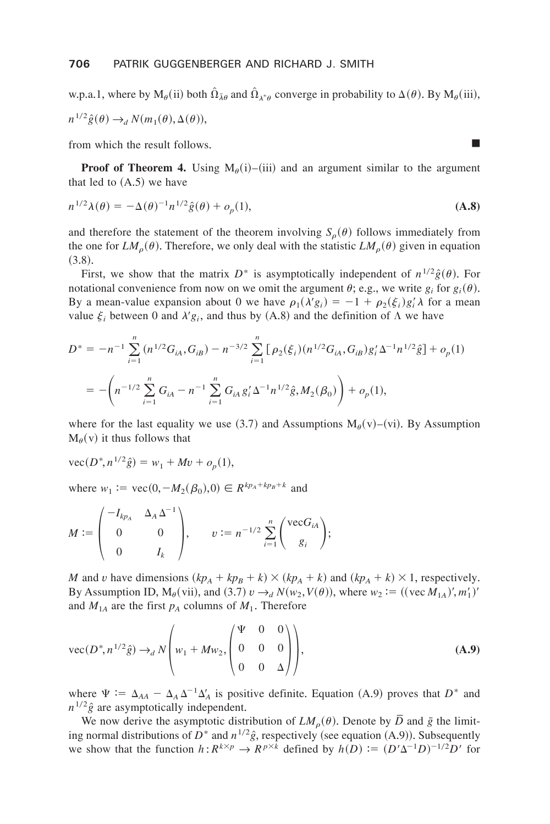w.p.a.1, where by  $M_{\theta}$ (ii) both  $\hat{\Omega}_{\lambda\theta}$  and  $\hat{\Omega}_{\lambda^*\theta}$  converge in probability to  $\Delta(\theta)$ . By  $M_{\theta}$ (iii),  $n^{1/2}\hat{g}(\theta) \rightarrow_d N(m_1(\theta), \Delta(\theta)),$ 

from which the result follows.

**Proof of Theorem 4.** Using  $M_\theta(i)$ –(iii) and an argument similar to the argument that led to  $(A.5)$  we have

$$
n^{1/2}\lambda(\theta) = -\Delta(\theta)^{-1}n^{1/2}\hat{g}(\theta) + o_p(1),
$$
\n(A.8)

and therefore the statement of the theorem involving  $S<sub>o</sub>(\theta)$  follows immediately from the one for  $LM_{\rho}(\theta)$ . Therefore, we only deal with the statistic  $LM_{\rho}(\theta)$  given in equation  $(3.8).$ 

First, we show that the matrix  $D^*$  is asymptotically independent of  $n^{1/2}\hat{g}(\theta)$ . For notational convenience from now on we omit the argument  $\theta$ ; e.g., we write  $g_i$  for  $g_i(\theta)$ . By a mean-value expansion about 0 we have  $\rho_1(\lambda' g_i) = -1 + \rho_2(\xi_i) g'_i \lambda$  for a mean value  $\xi_i$  between 0 and  $\lambda' g_i$ , and thus by (A.8) and the definition of  $\Lambda$  we have

$$
D^* = -n^{-1} \sum_{i=1}^n (n^{1/2} G_{iA}, G_{iB}) - n^{-3/2} \sum_{i=1}^n \left[ \rho_2(\xi_i) (n^{1/2} G_{iA}, G_{iB}) g'_i \Delta^{-1} n^{1/2} \hat{g} \right] + o_p(1)
$$
  
= 
$$
- \left( n^{-1/2} \sum_{i=1}^n G_{iA} - n^{-1} \sum_{i=1}^n G_{iA} g'_i \Delta^{-1} n^{1/2} \hat{g}, M_2(\beta_0) \right) + o_p(1),
$$

where for the last equality we use (3.7) and Assumptions  $M_{\theta}(v)$ –(vi). By Assumption  $M_{\theta}(v)$  it thus follows that

$$
\text{vec}(D^*, n^{1/2}\hat{g}) = w_1 + Mv + o_p(1),
$$

where  $w_1 := \text{vec}(0, -M_2(\mathcal{B}_0), 0) \in R^{kp_A + kp_B + k}$  and

$$
M := \begin{pmatrix} -I_{k p_A} & \Delta_A \Delta^{-1} \\ 0 & 0 \\ 0 & I_k \end{pmatrix}, \qquad v := n^{-1/2} \sum_{i=1}^n \begin{pmatrix} \text{vec} G_{iA} \\ g_i \end{pmatrix};
$$

*M* and *v* have dimensions  $(kp_A + kp_B + k) \times (kp_A + k)$  and  $(kp_A + k) \times 1$ , respectively. By Assumption ID,  $M_{\theta}$ (vii), and (3.7)  $v \rightarrow_d N(w_2, V(\theta))$ , where  $w_2 := ((\text{vec } M_{1A})', m'_1)'$ and  $M_{1A}$  are the first  $p_A$  columns of  $M_1$ . Therefore

$$
\text{vec}(D^*, n^{1/2}\hat{g}) \to_d N \left( w_1 + M w_2, \begin{pmatrix} \Psi & 0 & 0 \\ 0 & 0 & 0 \\ 0 & 0 & \Delta \end{pmatrix} \right),\tag{A.9}
$$

where  $\Psi := \Delta_{AA} - \Delta_A \Delta^{-1} \Delta'_A$  is positive definite. Equation (A.9) proves that  $D^*$  and  $n^{1/2}\hat{g}$  are asymptotically independent.

We now derive the asymptotic distribution of  $LM_{\rho}(\theta)$ . Denote by  $\overline{D}$  and  $\overline{g}$  the limiting normal distributions of  $D^*$  and  $n^{1/2}\hat{g}$ , respectively (see equation (A.9)). Subsequently we show that the function  $h: R^{k \times p} \to R^{p \times k}$  defined by  $h(D) := (D' \Delta^{-1} D)^{-1/2} D'$  for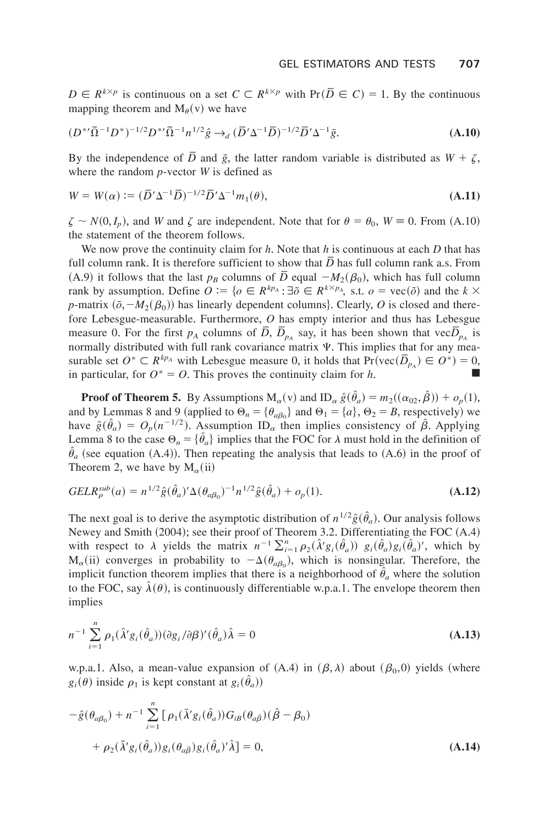$D \in R^{k \times p}$  is continuous on a set  $C \subset R^{k \times p}$  with  $Pr(\overline{D} \in C) = 1$ . By the continuous mapping theorem and  $M_{\theta}(v)$  we have

$$
(D^{*}\tilde{\Omega}^{-1}D^{*})^{-1/2}D^{*}\tilde{\Omega}^{-1}n^{1/2}\hat{g} \to_{d} (\overline{D}'\Delta^{-1}\overline{D})^{-1/2}\overline{D}'\Delta^{-1}\overline{g}.
$$
 (A.10)

By the independence of  $\overline{D}$  and  $\overline{g}$ , the latter random variable is distributed as  $W + \zeta$ , where the random *p*-vector *W* is defined as

$$
W = W(\alpha) := (\overline{D}'\Delta^{-1}\overline{D})^{-1/2}\overline{D}'\Delta^{-1}m_1(\theta), \tag{A.11}
$$

 $\zeta \sim N(0, I_p)$ , and *W* and  $\zeta$  are independent. Note that for  $\theta = \theta_0$ ,  $W \equiv 0$ . From (A.10) the statement of the theorem follows.

We now prove the continuity claim for  $h$ . Note that  $h$  is continuous at each  $D$  that has full column rank. It is therefore sufficient to show that  $\overline{D}$  has full column rank a.s. From  $(A,9)$  it follows that the last  $p_B$  columns of  $\overline{D}$  equal  $-M_2(\beta_0)$ , which has full column rank by assumption. Define  $O := \{o \in R^{kp_A} : \exists \tilde{o} \in R^{k \times p_A}, \text{ s.t. } o = \text{vec}(\tilde{o}) \text{ and the } k \times n \}$ *p*-matrix  $(\tilde{o}, -M_2(\beta_0))$  has linearly dependent columns}. Clearly, *O* is closed and therefore Lebesgue-measurable. Furthermore, *O* has empty interior and thus has Lebesgue measure 0. For the first  $p_A$  columns of  $\overline{D}$ ,  $\overline{D}_{p_A}$  say, it has been shown that vec $\overline{D}_{p_A}$  is normally distributed with full rank covariance matrix  $\Psi$ . This implies that for any measurable set  $O^* \subset R^{kp_A}$  with Lebesgue measure 0, it holds that  $Pr(\text{vec}(\overline{D}_{p_A}) \in O^*) = 0$ , in particular, for  $O^* = O$ . This proves the continuity claim for *h*.

**Proof of Theorem 5.** By Assumptions  $M_{\alpha}(v)$  and  $ID_{\alpha} \hat{g}(\hat{\theta}_a) = m_2((\alpha_{02}, \hat{\beta})) + o_p(1)$ , and by Lemmas 8 and 9 (applied to  $\Theta_n = {\theta_{a\beta_0}}$  and  $\Theta_1 = {a}$ ,  $\Theta_2 = B$ , respectively) we have  $\hat{g}(\hat{\theta}_a) = O_p(n^{-1/2})$ . Assumption ID<sub>a</sub> then implies consistency of  $\hat{\beta}$ . Applying Lemma 8 to the case  $\Theta_n = {\{\hat{\theta}_a\}}$  implies that the FOC for  $\lambda$  must hold in the definition of  $\hat{\theta}_a$  (see equation (A.4)). Then repeating the analysis that leads to (A.6) in the proof of Theorem 2, we have by  $M_\alpha$ (ii)

$$
GELR_{\rho}^{sub}(a) = n^{1/2}\hat{g}(\hat{\theta}_a)' \Delta(\theta_{a\beta_0})^{-1} n^{1/2}\hat{g}(\hat{\theta}_a) + o_p(1).
$$
 (A.12)

The next goal is to derive the asymptotic distribution of  $n^{1/2} \hat{g}(\hat{\theta}_a)$ . Our analysis follows Newey and Smith  $(2004)$ ; see their proof of Theorem 3.2. Differentiating the FOC  $(A.4)$ with respect to  $\lambda$  yields the matrix  $n^{-1} \sum_{i=1}^{n} \rho_2(\hat{\lambda}' g_i(\hat{\theta}_a)) g_i(\hat{\theta}_a) g_i(\hat{\theta}_a)'$ , which by  $M_{\alpha}$ (ii) converges in probability to  $-\Delta(\theta_{a\beta_0})$ , which is nonsingular. Therefore, the implicit function theorem implies that there is a neighborhood of  $\hat{\theta}_a$  where the solution to the FOC, say  $\hat{\lambda}(\theta)$ , is continuously differentiable w.p.a.1. The envelope theorem then implies

$$
n^{-1} \sum_{i=1}^{n} \rho_1(\hat{\lambda}' g_i(\hat{\theta}_a)) (\partial g_i/\partial \beta)'(\hat{\theta}_a) \hat{\lambda} = 0
$$
\n(A.13)

w.p.a.1. Also, a mean-value expansion of  $(A.4)$  in  $(\beta, \lambda)$  about  $(\beta_0, 0)$  yields (where  $g_i(\theta)$  inside  $\rho_1$  is kept constant at  $g_i(\hat{\theta}_a)$ 

$$
-\hat{g}(\theta_{a\beta_0}) + n^{-1} \sum_{i=1}^n \left[ \rho_1(\bar{\lambda}' g_i(\hat{\theta}_a)) G_{i\beta}(\theta_{a\bar{\beta}}) (\hat{\beta} - \beta_0) \right. \n+ \rho_2(\bar{\lambda}' g_i(\hat{\theta}_a)) g_i(\theta_{a\bar{\beta}}) g_i(\hat{\theta}_a)' \hat{\lambda} = 0,
$$
\n(A.14)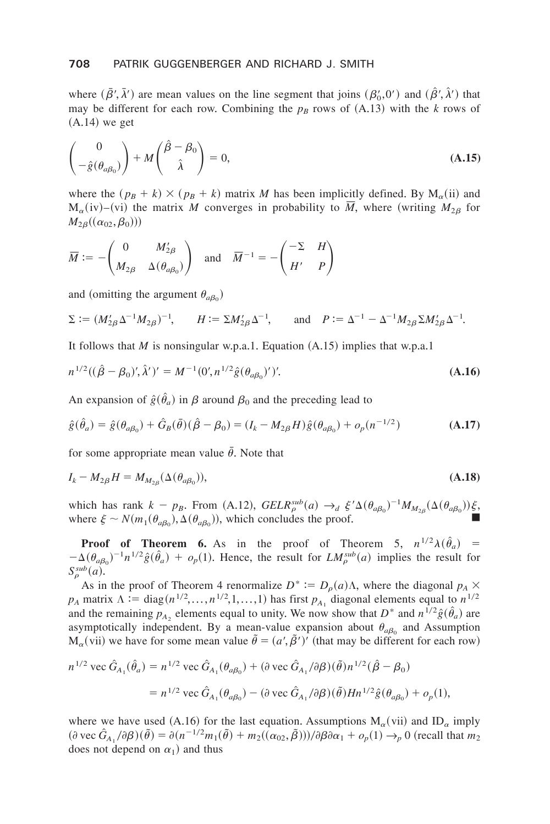#### **708** PATRIK GUGGENBERGER AND RICHARD J. SMITH

where  $(\bar{\beta}', \bar{\lambda}')$  are mean values on the line segment that joins  $(\beta'_0, 0')$  and  $(\bar{\beta}', \bar{\lambda}')$  that may be different for each row. Combining the  $p_B$  rows of  $(A.13)$  with the *k* rows of  $(A.14)$  we get

$$
\begin{pmatrix} 0 \\ -\hat{g}(\theta_{a\beta_0}) \end{pmatrix} + M \begin{pmatrix} \hat{\beta} - \beta_0 \\ \hat{\lambda} \end{pmatrix} = 0, \tag{A.15}
$$

where the  $(p_B + k) \times (p_B + k)$  matrix *M* has been implicitly defined. By  $M_\alpha$ (ii) and  $M_{\alpha}(iv)$ –(vi) the matrix *M* converges in probability to  $\overline{M}$ , where (writing  $M_{2\beta}$  for  $M_{2\beta}((\alpha_{02}, \beta_0)))$ 

$$
\overline{M} := -\begin{pmatrix} 0 & M'_{2\beta} \\ M_{2\beta} & \Delta(\theta_{a\beta_0}) \end{pmatrix} \text{ and } \overline{M}^{-1} = -\begin{pmatrix} -\Sigma & H \\ H' & P \end{pmatrix}
$$

and (omitting the argument  $\theta_{a\beta_0}$ )

$$
\Sigma := (M'_{2\beta} \Delta^{-1} M_{2\beta})^{-1}, \qquad H := \Sigma M'_{2\beta} \Delta^{-1}, \qquad \text{and} \quad P := \Delta^{-1} - \Delta^{-1} M_{2\beta} \Sigma M'_{2\beta} \Delta^{-1}.
$$

It follows that *M* is nonsingular w.p.a.1. Equation  $(A.15)$  implies that w.p.a.1

$$
n^{1/2}((\hat{\beta} - \beta_0)', \hat{\lambda}')' = M^{-1}(0', n^{1/2}\hat{g}(\theta_{a\beta_0})')'. \tag{A.16}
$$

An expansion of  $\hat{g}(\hat{\theta}_a)$  in  $\beta$  around  $\beta_0$  and the preceding lead to

$$
\hat{g}(\hat{\theta}_a) = \hat{g}(\theta_{a\beta_0}) + \hat{G}_B(\bar{\theta})(\hat{\beta} - \beta_0) = (I_k - M_{2\beta}H)\hat{g}(\theta_{a\beta_0}) + o_p(n^{-1/2})
$$
\n(A.17)

for some appropriate mean value  $\bar{\theta}$ . Note that

$$
I_k - M_{2\beta}H = M_{M_{2\beta}}(\Delta(\theta_{a\beta_0})),
$$
\n(A.18)

which has rank  $k - p_B$ . From (A.12),  $GELR_{\rho}^{sub}(a) \rightarrow_d \xi' \Delta(\theta_{a\beta_0})^{-1} M_{M_{2\beta}}(\Delta(\theta_{a\beta_0})) \xi$ , where  $\xi \sim N(m_1(\theta_{a\beta_0}), \Delta(\theta_{a\beta_0}))$ , which concludes the proof.

**Proof of Theorem 6.** As in the proof of Theorem 5,  $n^{1/2}\lambda(\hat{\theta}_a)$  =  $-\Delta(\theta_{a\beta_0})^{-1}n^{1/2}\hat{g}(\hat{\theta}_a) + o_p(1)$ . Hence, the result for  $LM_{\rho}^{sub}(a)$  implies the result for  $S^{sub}_{\rho}(a)$ .

As in the proof of Theorem 4 renormalize  $D^* := D_\rho(a)\Lambda$ , where the diagonal  $p_A \times$  $p_A$  matrix  $\Lambda := \text{diag}(n^{1/2},...,n^{1/2},1,...,1)$  has first  $p_{A_1}$  diagonal elements equal to  $n^{1/2}$ and the remaining  $p_{A_2}$  elements equal to unity. We now show that  $D^*$  and  $n^{1/2} \hat{g}(\hat{\theta}_a)$  are asymptotically independent. By a mean-value expansion about  $\theta_{a\beta_0}$  and Assumption  $M_{\alpha}$ (vii) we have for some mean value  $\hat{\theta} = (a', \hat{\beta}')'$  (that may be different for each row)

$$
n^{1/2} \text{ vec } \hat{G}_{A_1}(\hat{\theta}_a) = n^{1/2} \text{ vec } \hat{G}_{A_1}(\theta_{a\beta_0}) + (\partial \text{ vec } \hat{G}_{A_1}/\partial \beta)(\tilde{\theta}) n^{1/2} (\hat{\beta} - \beta_0)
$$
  
=  $n^{1/2} \text{ vec } \hat{G}_{A_1}(\theta_{a\beta_0}) - (\partial \text{ vec } \hat{G}_{A_1}/\partial \beta)(\tilde{\theta}) H n^{1/2} \hat{g}(\theta_{a\beta_0}) + o_p(1),$ 

where we have used (A.16) for the last equation. Assumptions  $M_\alpha$ (vii) and ID<sub> $\alpha$ </sub> imply  $(\partial \text{vec } G_A, \partial \beta)(\tilde{\theta}) = \partial (n^{-1/2}m_1(\tilde{\theta}) + m_2((\alpha_{02}, \tilde{\beta}))) / \partial \beta \partial \alpha_1 + o_p(1) \rightarrow_p 0$  (recall that  $m_2$ does not depend on  $\alpha_1$ ) and thus